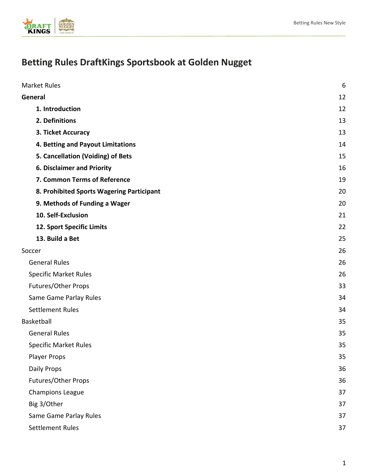

# **Betting Rules DraftKings Sportsbook at Golden Nugget**

| <b>Market Rules</b>                       | 6  |
|-------------------------------------------|----|
| General                                   | 12 |
| 1. Introduction                           | 12 |
| 2. Definitions                            | 13 |
| 3. Ticket Accuracy                        | 13 |
| 4. Betting and Payout Limitations         | 14 |
| 5. Cancellation (Voiding) of Bets         | 15 |
| <b>6. Disclaimer and Priority</b>         | 16 |
| 7. Common Terms of Reference              | 19 |
| 8. Prohibited Sports Wagering Participant | 20 |
| 9. Methods of Funding a Wager             | 20 |
| 10. Self-Exclusion                        | 21 |
| 12. Sport Specific Limits                 | 22 |
| 13. Build a Bet                           | 25 |
| Soccer                                    | 26 |
| <b>General Rules</b>                      | 26 |
| <b>Specific Market Rules</b>              | 26 |
| Futures/Other Props                       | 33 |
| Same Game Parlay Rules                    | 34 |
| <b>Settlement Rules</b>                   | 34 |
| <b>Basketball</b>                         | 35 |
| <b>General Rules</b>                      | 35 |
| <b>Specific Market Rules</b>              | 35 |
| <b>Player Props</b>                       | 35 |
| Daily Props                               | 36 |
| Futures/Other Props                       | 36 |
| <b>Champions League</b>                   | 37 |
| Big 3/Other                               | 37 |
| Same Game Parlay Rules                    | 37 |
| <b>Settlement Rules</b>                   | 37 |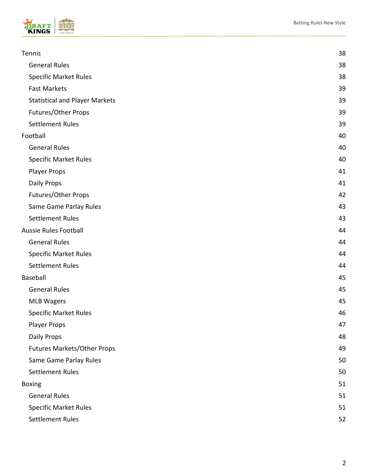

| Tennis                                | 38 |
|---------------------------------------|----|
| <b>General Rules</b>                  | 38 |
| <b>Specific Market Rules</b>          | 38 |
| <b>Fast Markets</b>                   | 39 |
| <b>Statistical and Player Markets</b> | 39 |
| Futures/Other Props                   | 39 |
| <b>Settlement Rules</b>               | 39 |
| Football                              | 40 |
| <b>General Rules</b>                  | 40 |
| <b>Specific Market Rules</b>          | 40 |
| <b>Player Props</b>                   | 41 |
| Daily Props                           | 41 |
| <b>Futures/Other Props</b>            | 42 |
| Same Game Parlay Rules                | 43 |
| <b>Settlement Rules</b>               | 43 |
| Aussie Rules Football                 | 44 |
| <b>General Rules</b>                  | 44 |
| <b>Specific Market Rules</b>          | 44 |
| <b>Settlement Rules</b>               | 44 |
| Baseball                              | 45 |
| <b>General Rules</b>                  | 45 |
| <b>MLB Wagers</b>                     | 45 |
| <b>Specific Market Rules</b>          | 46 |
| <b>Player Props</b>                   | 47 |
| Daily Props                           | 48 |
| <b>Futures Markets/Other Props</b>    | 49 |
| Same Game Parlay Rules                | 50 |
| <b>Settlement Rules</b>               | 50 |
| <b>Boxing</b>                         | 51 |
| <b>General Rules</b>                  | 51 |
| <b>Specific Market Rules</b>          | 51 |
| Settlement Rules                      | 52 |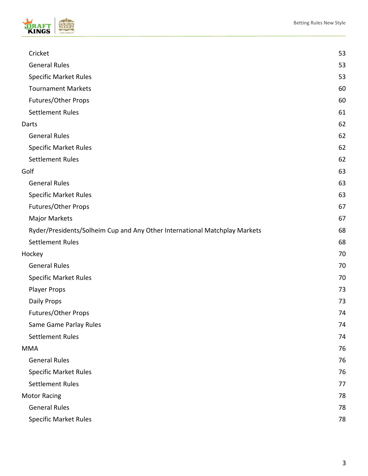



| Cricket                                                                    | 53 |
|----------------------------------------------------------------------------|----|
| <b>General Rules</b>                                                       | 53 |
| <b>Specific Market Rules</b>                                               | 53 |
| <b>Tournament Markets</b>                                                  | 60 |
| Futures/Other Props                                                        | 60 |
| <b>Settlement Rules</b>                                                    | 61 |
| Darts                                                                      | 62 |
| <b>General Rules</b>                                                       | 62 |
| <b>Specific Market Rules</b>                                               | 62 |
| <b>Settlement Rules</b>                                                    | 62 |
| Golf                                                                       | 63 |
| <b>General Rules</b>                                                       | 63 |
| <b>Specific Market Rules</b>                                               | 63 |
| Futures/Other Props                                                        | 67 |
| <b>Major Markets</b>                                                       | 67 |
| Ryder/Presidents/Solheim Cup and Any Other International Matchplay Markets | 68 |
| <b>Settlement Rules</b>                                                    | 68 |
| Hockey                                                                     | 70 |
| <b>General Rules</b>                                                       | 70 |
| <b>Specific Market Rules</b>                                               | 70 |
| <b>Player Props</b>                                                        | 73 |
| Daily Props                                                                | 73 |
| Futures/Other Props                                                        | 74 |
| Same Game Parlay Rules                                                     | 74 |
| <b>Settlement Rules</b>                                                    | 74 |
| MMA                                                                        | 76 |
| <b>General Rules</b>                                                       | 76 |
| <b>Specific Market Rules</b>                                               | 76 |
| <b>Settlement Rules</b>                                                    | 77 |
| <b>Motor Racing</b>                                                        | 78 |
| <b>General Rules</b>                                                       | 78 |
| <b>Specific Market Rules</b>                                               | 78 |
|                                                                            |    |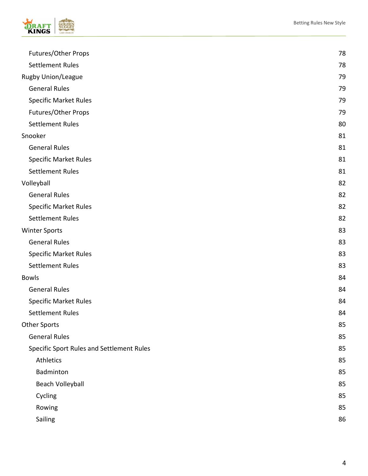

| Futures/Other Props                       | 78 |
|-------------------------------------------|----|
| <b>Settlement Rules</b>                   | 78 |
| Rugby Union/League                        | 79 |
| <b>General Rules</b>                      | 79 |
| <b>Specific Market Rules</b>              | 79 |
| Futures/Other Props                       | 79 |
| Settlement Rules                          | 80 |
| Snooker                                   | 81 |
| <b>General Rules</b>                      | 81 |
| <b>Specific Market Rules</b>              | 81 |
| <b>Settlement Rules</b>                   | 81 |
| Volleyball                                | 82 |
| <b>General Rules</b>                      | 82 |
| <b>Specific Market Rules</b>              | 82 |
| <b>Settlement Rules</b>                   | 82 |
| <b>Winter Sports</b>                      | 83 |
| <b>General Rules</b>                      | 83 |
| <b>Specific Market Rules</b>              | 83 |
| <b>Settlement Rules</b>                   | 83 |
| <b>Bowls</b>                              | 84 |
| <b>General Rules</b>                      | 84 |
| <b>Specific Market Rules</b>              | 84 |
| <b>Settlement Rules</b>                   | 84 |
| <b>Other Sports</b>                       | 85 |
| <b>General Rules</b>                      | 85 |
| Specific Sport Rules and Settlement Rules | 85 |
| Athletics                                 | 85 |
| Badminton                                 | 85 |
| Beach Volleyball                          | 85 |
| Cycling                                   | 85 |
| Rowing                                    | 85 |
| Sailing                                   | 86 |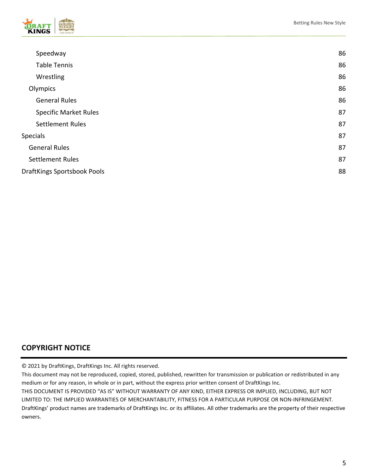

| Speedway                           | 86 |
|------------------------------------|----|
| <b>Table Tennis</b>                | 86 |
| Wrestling                          | 86 |
| Olympics                           | 86 |
| <b>General Rules</b>               | 86 |
| <b>Specific Market Rules</b>       | 87 |
| <b>Settlement Rules</b>            | 87 |
| Specials                           | 87 |
| <b>General Rules</b>               | 87 |
| <b>Settlement Rules</b>            | 87 |
| <b>DraftKings Sportsbook Pools</b> | 88 |
|                                    |    |

## **COPYRIGHT NOTICE**

© 2021 by DraftKings, DraftKings Inc. All rights reserved.

This document may not be reproduced, copied, stored, published, rewritten for transmission or publication or redistributed in any medium or for any reason, in whole or in part, without the express prior written consent of DraftKings Inc. THIS DOCUMENT IS PROVIDED "AS IS" WITHOUT WARRANTY OF ANY KIND, EITHER EXPRESS OR IMPLIED, INCLUDING, BUT NOT LIMITED TO: THE IMPLIED WARRANTIES OF MERCHANTABILITY, FITNESS FOR A PARTICULAR PURPOSE OR NON-INFRINGEMENT. DraftKings' product names are trademarks of DraftKings Inc. or its affiliates. All other trademarks are the property of their respective owners.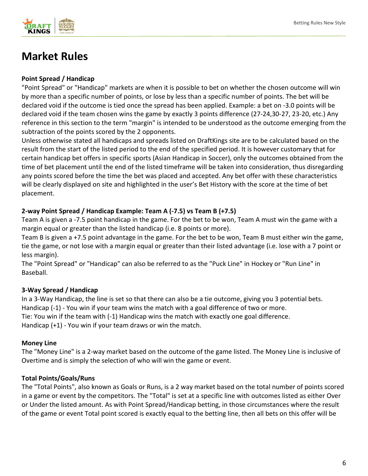

# <span id="page-5-0"></span>**Market Rules**

#### **Point Spread / Handicap**

"Point Spread" or "Handicap" markets are when it is possible to bet on whether the chosen outcome will win by more than a specific number of points, or lose by less than a specific number of points. The bet will be declared void if the outcome is tied once the spread has been applied. Example: a bet on -3.0 points will be declared void if the team chosen wins the game by exactly 3 points difference (27-24,30-27, 23-20, etc.) Any reference in this section to the term "margin" is intended to be understood as the outcome emerging from the subtraction of the points scored by the 2 opponents.

Unless otherwise stated all handicaps and spreads listed on DraftKings site are to be calculated based on the result from the start of the listed period to the end of the specified period. It is however customary that for certain handicap bet offers in specific sports (Asian Handicap in Soccer), only the outcomes obtained from the time of bet placement until the end of the listed timeframe will be taken into consideration, thus disregarding any points scored before the time the bet was placed and accepted. Any bet offer with these characteristics will be clearly displayed on site and highlighted in the user's Bet History with the score at the time of bet placement.

### **2-way Point Spread / Handicap Example: Team A (-7.5) vs Team B (+7.5)**

Team A is given a -7.5 point handicap in the game. For the bet to be won, Team A must win the game with a margin equal or greater than the listed handicap (i.e. 8 points or more).

Team B is given a +7.5 point advantage in the game. For the bet to be won, Team B must either win the game, tie the game, or not lose with a margin equal or greater than their listed advantage (i.e. lose with a 7 point or less margin).

The "Point Spread" or "Handicap" can also be referred to as the "Puck Line" in Hockey or "Run Line" in Baseball.

### **3-Way Spread / Handicap**

In a 3-Way Handicap, the line is set so that there can also be a tie outcome, giving you 3 potential bets. Handicap (-1) - You win if your team wins the match with a goal difference of two or more. Tie: You win if the team with (-1) Handicap wins the match with exactly one goal difference. Handicap (+1) - You win if your team draws or win the match.

#### **Money Line**

The "Money Line" is a 2-way market based on the outcome of the game listed. The Money Line is inclusive of Overtime and is simply the selection of who will win the game or event.

#### **Total Points/Goals/Runs**

The "Total Points", also known as Goals or Runs, is a 2 way market based on the total number of points scored in a game or event by the competitors. The "Total" is set at a specific line with outcomes listed as either Over or Under the listed amount. As with Point Spread/Handicap betting, in those circumstances where the result of the game or event Total point scored is exactly equal to the betting line, then all bets on this offer will be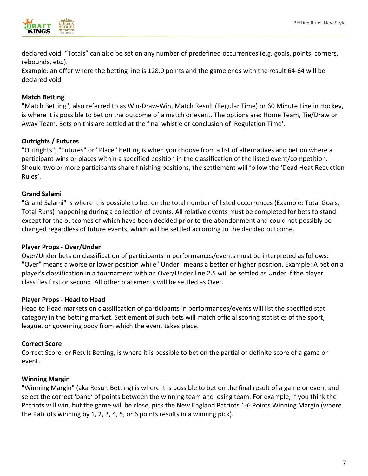

declared void. "Totals" can also be set on any number of predefined occurrences (e.g. goals, points, corners, rebounds, etc.).

Example: an offer where the betting line is 128.0 points and the game ends with the result 64-64 will be declared void.

#### **Match Betting**

"Match Betting", also referred to as Win-Draw-Win, Match Result (Regular Time) or 60 Minute Line in Hockey, is where it is possible to bet on the outcome of a match or event. The options are: Home Team, Tie/Draw or Away Team. Bets on this are settled at the final whistle or conclusion of 'Regulation Time'.

#### **Outrights / Futures**

"Outrights", "Futures" or "Place" betting is when you choose from a list of alternatives and bet on where a participant wins or places within a specified position in the classification of the listed event/competition. Should two or more participants share finishing positions, the settlement will follow the 'Dead Heat Reduction Rules'.

#### **Grand Salami**

"Grand Salami" is where it is possible to bet on the total number of listed occurrences (Example: Total Goals, Total Runs) happening during a collection of events. All relative events must be completed for bets to stand except for the outcomes of which have been decided prior to the abandonment and could not possibly be changed regardless of future events, which will be settled according to the decided outcome.

#### **Player Props - Over/Under**

Over/Under bets on classification of participants in performances/events must be interpreted as follows: "Over" means a worse or lower position while "Under" means a better or higher position. Example: A bet on a player's classification in a tournament with an Over/Under line 2.5 will be settled as Under if the player classifies first or second. All other placements will be settled as Over.

#### **Player Props - Head to Head**

Head to Head markets on classification of participants in performances/events will list the specified stat category in the betting market. Settlement of such bets will match official scoring statistics of the sport, league, or governing body from which the event takes place.

#### **Correct Score**

Correct Score, or Result Betting, is where it is possible to bet on the partial or definite score of a game or event.

#### **Winning Margin**

"Winning Margin" (aka Result Betting) is where it is possible to bet on the final result of a game or event and select the correct 'band' of points between the winning team and losing team. For example, if you think the Patriots will win, but the game will be close, pick the New England Patriots 1-6 Points Winning Margin (where the Patriots winning by 1, 2, 3, 4, 5, or 6 points results in a winning pick).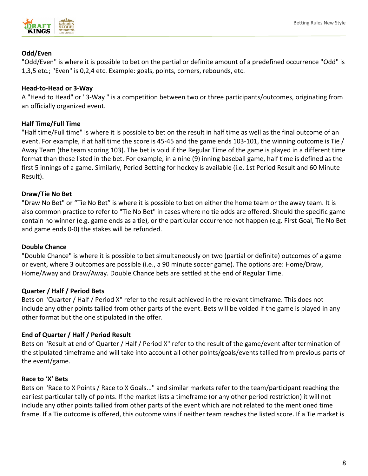#### **Odd/Even**

"Odd/Even" is where it is possible to bet on the partial or definite amount of a predefined occurrence "Odd" is 1,3,5 etc.; "Even" is 0,2,4 etc. Example: goals, points, corners, rebounds, etc.

#### **Head-to-Head or 3-Way**

A "Head to Head" or "3-Way " is a competition between two or three participants/outcomes, originating from an officially organized event.

#### **Half Time/Full Time**

"Half time/Full time" is where it is possible to bet on the result in half time as well as the final outcome of an event. For example, if at half time the score is 45-45 and the game ends 103-101, the winning outcome is Tie / Away Team (the team scoring 103). The bet is void if the Regular Time of the game is played in a different time format than those listed in the bet. For example, in a nine (9) inning baseball game, half time is defined as the first 5 innings of a game. Similarly, Period Betting for hockey is available (i.e. 1st Period Result and 60 Minute Result).

#### **Draw/Tie No Bet**

"Draw No Bet" or "Tie No Bet" is where it is possible to bet on either the home team or the away team. It is also common practice to refer to "Tie No Bet" in cases where no tie odds are offered. Should the specific game contain no winner (e.g. game ends as a tie), or the particular occurrence not happen (e.g. First Goal, Tie No Bet and game ends 0-0) the stakes will be refunded.

#### **Double Chance**

"Double Chance" is where it is possible to bet simultaneously on two (partial or definite) outcomes of a game or event, where 3 outcomes are possible (i.e., a 90 minute soccer game). The options are: Home/Draw, Home/Away and Draw/Away. Double Chance bets are settled at the end of Regular Time.

### **Quarter / Half / Period Bets**

Bets on "Quarter / Half / Period X" refer to the result achieved in the relevant timeframe. This does not include any other points tallied from other parts of the event. Bets will be voided if the game is played in any other format but the one stipulated in the offer.

### **End of Quarter / Half / Period Result**

Bets on "Result at end of Quarter / Half / Period X" refer to the result of the game/event after termination of the stipulated timeframe and will take into account all other points/goals/events tallied from previous parts of the event/game.

#### **Race to 'X' Bets**

Bets on "Race to X Points / Race to X Goals..." and similar markets refer to the team/participant reaching the earliest particular tally of points. If the market lists a timeframe (or any other period restriction) it will not include any other points tallied from other parts of the event which are not related to the mentioned time frame. If a Tie outcome is offered, this outcome wins if neither team reaches the listed score. If a Tie market is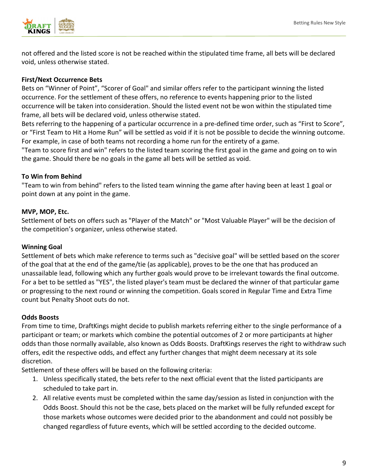

not offered and the listed score is not be reached within the stipulated time frame, all bets will be declared void, unless otherwise stated.

#### **First/Next Occurrence Bets**

Bets on "Winner of Point", "Scorer of Goal" and similar offers refer to the participant winning the listed occurrence. For the settlement of these offers, no reference to events happening prior to the listed occurrence will be taken into consideration. Should the listed event not be won within the stipulated time frame, all bets will be declared void, unless otherwise stated.

Bets referring to the happening of a particular occurrence in a pre-defined time order, such as "First to Score", or "First Team to Hit a Home Run" will be settled as void if it is not be possible to decide the winning outcome. For example, in case of both teams not recording a home run for the entirety of a game.

"Team to score first and win" refers to the listed team scoring the first goal in the game and going on to win the game. Should there be no goals in the game all bets will be settled as void.

#### **To Win from Behind**

"Team to win from behind" refers to the listed team winning the game after having been at least 1 goal or point down at any point in the game.

#### **MVP, MOP, Etc.**

Settlement of bets on offers such as "Player of the Match" or "Most Valuable Player" will be the decision of the competition's organizer, unless otherwise stated.

#### **Winning Goal**

Settlement of bets which make reference to terms such as "decisive goal" will be settled based on the scorer of the goal that at the end of the game/tie (as applicable), proves to be the one that has produced an unassailable lead, following which any further goals would prove to be irrelevant towards the final outcome. For a bet to be settled as "YES", the listed player's team must be declared the winner of that particular game or progressing to the next round or winning the competition. Goals scored in Regular Time and Extra Time count but Penalty Shoot outs do not.

#### **Odds Boosts**

From time to time, DraftKings might decide to publish markets referring either to the single performance of a participant or team; or markets which combine the potential outcomes of 2 or more participants at higher odds than those normally available, also known as Odds Boosts. DraftKings reserves the right to withdraw such offers, edit the respective odds, and effect any further changes that might deem necessary at its sole discretion.

Settlement of these offers will be based on the following criteria:

- 1. Unless specifically stated, the bets refer to the next official event that the listed participants are scheduled to take part in.
- 2. All relative events must be completed within the same day/session as listed in conjunction with the Odds Boost. Should this not be the case, bets placed on the market will be fully refunded except for those markets whose outcomes were decided prior to the abandonment and could not possibly be changed regardless of future events, which will be settled according to the decided outcome.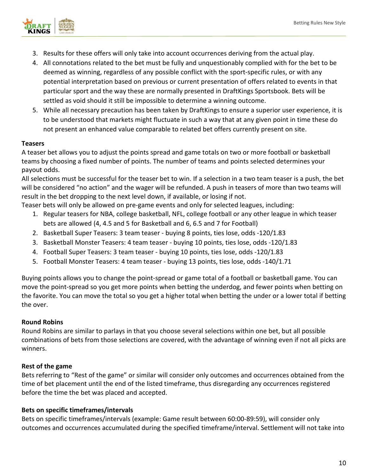

- 3. Results for these offers will only take into account occurrences deriving from the actual play.
- 4. All connotations related to the bet must be fully and unquestionably complied with for the bet to be deemed as winning, regardless of any possible conflict with the sport-specific rules, or with any potential interpretation based on previous or current presentation of offers related to events in that particular sport and the way these are normally presented in DraftKings Sportsbook. Bets will be settled as void should it still be impossible to determine a winning outcome.
- 5. While all necessary precaution has been taken by DraftKings to ensure a superior user experience, it is to be understood that markets might fluctuate in such a way that at any given point in time these do not present an enhanced value comparable to related bet offers currently present on site.

#### **Teasers**

A teaser bet allows you to adjust the points spread and game totals on two or more football or basketball teams by choosing a fixed number of points. The number of teams and points selected determines your payout odds.

All selections must be successful for the teaser bet to win. If a selection in a two team teaser is a push, the bet will be considered "no action" and the wager will be refunded. A push in teasers of more than two teams will result in the bet dropping to the next level down, if available, or losing if not.

Teaser bets will only be allowed on pre-game events and only for selected leagues, including:

- 1. Regular teasers for NBA, college basketball, NFL, college football or any other league in which teaser bets are allowed (4, 4.5 and 5 for Basketball and 6, 6.5 and 7 for Football)
- 2. Basketball Super Teasers: 3 team teaser buying 8 points, ties lose, odds -120/1.83
- 3. Basketball Monster Teasers: 4 team teaser buying 10 points, ties lose, odds -120/1.83
- 4. Football Super Teasers: 3 team teaser buying 10 points, ties lose, odds -120/1.83
- 5. Football Monster Teasers: 4 team teaser buying 13 points, ties lose, odds -140/1.71

Buying points allows you to change the point-spread or game total of a football or basketball game. You can move the point-spread so you get more points when betting the underdog, and fewer points when betting on the favorite. You can move the total so you get a higher total when betting the under or a lower total if betting the over.

#### **Round Robins**

Round Robins are similar to parlays in that you choose several selections within one bet, but all possible combinations of bets from those selections are covered, with the advantage of winning even if not all picks are winners.

#### **Rest of the game**

Bets referring to "Rest of the game" or similar will consider only outcomes and occurrences obtained from the time of bet placement until the end of the listed timeframe, thus disregarding any occurrences registered before the time the bet was placed and accepted.

#### **Bets on specific timeframes/intervals**

Bets on specific timeframes/intervals (example: Game result between 60:00-89:59), will consider only outcomes and occurrences accumulated during the specified timeframe/interval. Settlement will not take into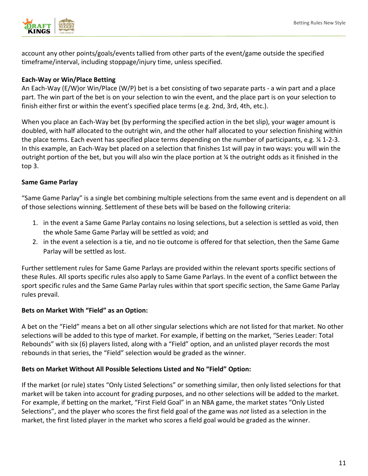

account any other points/goals/events tallied from other parts of the event/game outside the specified timeframe/interval, including stoppage/injury time, unless specified.

#### **Each-Way or Win/Place Betting**

An Each-Way (E/W)or Win/Place (W/P) bet is a bet consisting of two separate parts - a win part and a place part. The win part of the bet is on your selection to win the event, and the place part is on your selection to finish either first or within the event's specified place terms (e.g. 2nd, 3rd, 4th, etc.).

When you place an Each-Way bet (by performing the specified action in the bet slip), your wager amount is doubled, with half allocated to the outright win, and the other half allocated to your selection finishing within the place terms. Each event has specified place terms depending on the number of participants, e.g. ¼ 1-2-3. In this example, an Each-Way bet placed on a selection that finishes 1st will pay in two ways: you will win the outright portion of the bet, but you will also win the place portion at  $\chi$  the outright odds as it finished in the top 3.

#### **Same Game Parlay**

"Same Game Parlay" is a single bet combining multiple selections from the same event and is dependent on all of those selections winning. Settlement of these bets will be based on the following criteria:

- 1. in the event a Same Game Parlay contains no losing selections, but a selection is settled as void, then the whole Same Game Parlay will be settled as void; and
- 2. in the event a selection is a tie, and no tie outcome is offered for that selection, then the Same Game Parlay will be settled as lost.

Further settlement rules for Same Game Parlays are provided within the relevant sports specific sections of these Rules. All sports specific rules also apply to Same Game Parlays. In the event of a conflict between the sport specific rules and the Same Game Parlay rules within that sport specific section, the Same Game Parlay rules prevail.

#### **Bets on Market With "Field" as an Option:**

A bet on the "Field" means a bet on all other singular selections which are not listed for that market. No other selections will be added to this type of market. For example, if betting on the market, "Series Leader: Total Rebounds" with six (6) players listed, along with a "Field" option, and an unlisted player records the most rebounds in that series, the "Field" selection would be graded as the winner.

#### **Bets on Market Without All Possible Selections Listed and No "Field" Option:**

If the market (or rule) states "Only Listed Selections" or something similar, then only listed selections for that market will be taken into account for grading purposes, and no other selections will be added to the market. For example, if betting on the market, "First Field Goal" in an NBA game, the market states "Only Listed Selections", and the player who scores the first field goal of the game was *not* listed as a selection in the market, the first listed player in the market who scores a field goal would be graded as the winner.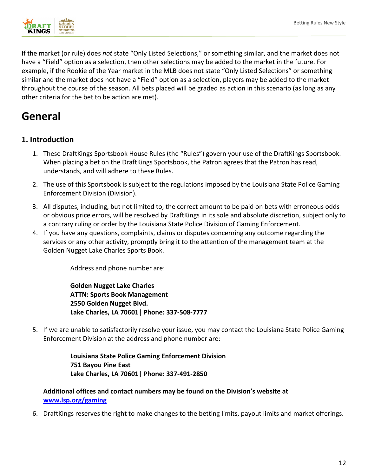

If the market (or rule) does *not* state "Only Listed Selections," or something similar, and the market does not have a "Field" option as a selection, then other selections may be added to the market in the future. For example, if the Rookie of the Year market in the MLB does not state "Only Listed Selections" or something similar and the market does not have a "Field" option as a selection, players may be added to the market throughout the course of the season. All bets placed will be graded as action in this scenario (as long as any other criteria for the bet to be action are met).

# <span id="page-11-0"></span>**General**

## <span id="page-11-1"></span>**1. Introduction**

- 1. These DraftKings Sportsbook House Rules (the "Rules") govern your use of the DraftKings Sportsbook. When placing a bet on the DraftKings Sportsbook, the Patron agrees that the Patron has read, understands, and will adhere to these Rules.
- 2. The use of this Sportsbook is subject to the regulations imposed by the Louisiana State Police Gaming Enforcement Division (Division).
- 3. All disputes, including, but not limited to, the correct amount to be paid on bets with erroneous odds or obvious price errors, will be resolved by DraftKings in its sole and absolute discretion, subject only to a contrary ruling or order by the Louisiana State Police Division of Gaming Enforcement.
- 4. If you have any questions, complaints, claims or disputes concerning any outcome regarding the services or any other activity, promptly bring it to the attention of the management team at the Golden Nugget Lake Charles Sports Book.

Address and phone number are:

**Golden Nugget Lake Charles ATTN: Sports Book Management 2550 Golden Nugget Blvd. Lake Charles, LA 70601| Phone: 337-508-7777** 

5. If we are unable to satisfactorily resolve your issue, you may contact the Louisiana State Police Gaming Enforcement Division at the address and phone number are:

> **Louisiana State Police Gaming Enforcement Division 751 Bayou Pine East Lake Charles, LA 70601| Phone: 337-491-2850**

#### **Additional offices and contact numbers may be found on the Division's website at [www.lsp.org/gaming](http://www.lsp.org/gaming)**

6. DraftKings reserves the right to make changes to the betting limits, payout limits and market offerings.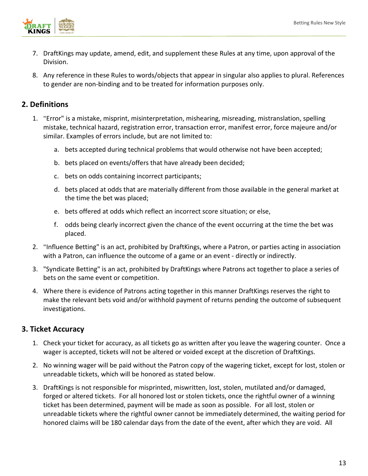

- 7. DraftKings may update, amend, edit, and supplement these Rules at any time, upon approval of the Division.
- 8. Any reference in these Rules to words/objects that appear in singular also applies to plural. References to gender are non-binding and to be treated for information purposes only.

### <span id="page-12-0"></span>**2. Definitions**

- 1. **"**Error" is a mistake, misprint, misinterpretation, mishearing, misreading, mistranslation, spelling mistake, technical hazard, registration error, transaction error, manifest error, force majeure and/or similar. Examples of errors include, but are not limited to:
	- a. bets accepted during technical problems that would otherwise not have been accepted;
	- b. bets placed on events/offers that have already been decided;
	- c. bets on odds containing incorrect participants;
	- d. bets placed at odds that are materially different from those available in the general market at the time the bet was placed;
	- e. bets offered at odds which reflect an incorrect score situation; or else,
	- f. odds being clearly incorrect given the chance of the event occurring at the time the bet was placed.
- 2. **"**Influence Betting" is an act, prohibited by DraftKings, where a Patron, or parties acting in association with a Patron, can influence the outcome of a game or an event - directly or indirectly.
- 3. "Syndicate Betting" is an act, prohibited by DraftKings where Patrons act together to place a series of bets on the same event or competition.
- 4. Where there is evidence of Patrons acting together in this manner DraftKings reserves the right to make the relevant bets void and/or withhold payment of returns pending the outcome of subsequent investigations.

### <span id="page-12-1"></span>**3. Ticket Accuracy**

- 1. Check your ticket for accuracy, as all tickets go as written after you leave the wagering counter. Once a wager is accepted, tickets will not be altered or voided except at the discretion of DraftKings.
- 2. No winning wager will be paid without the Patron copy of the wagering ticket, except for lost, stolen or unreadable tickets, which will be honored as stated below.
- 3. DraftKings is not responsible for misprinted, miswritten, lost, stolen, mutilated and/or damaged, forged or altered tickets. For all honored lost or stolen tickets, once the rightful owner of a winning ticket has been determined, payment will be made as soon as possible. For all lost, stolen or unreadable tickets where the rightful owner cannot be immediately determined, the waiting period for honored claims will be 180 calendar days from the date of the event, after which they are void. All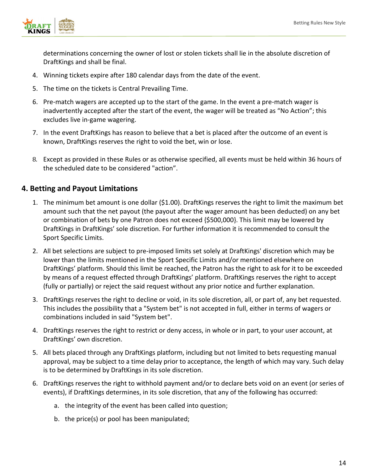

determinations concerning the owner of lost or stolen tickets shall lie in the absolute discretion of DraftKings and shall be final.

- 4. Winning tickets expire after 180 calendar days from the date of the event.
- 5. The time on the tickets is Central Prevailing Time.
- 6. Pre-match wagers are accepted up to the start of the game. In the event a pre-match wager is inadvertently accepted after the start of the event, the wager will be treated as "No Action"; this excludes live in-game wagering.
- 7. In the event DraftKings has reason to believe that a bet is placed after the outcome of an event is known, DraftKings reserves the right to void the bet, win or lose.
- 8. Except as provided in these Rules or as otherwise specified, all events must be held within 36 hours of the scheduled date to be considered "action".

#### <span id="page-13-0"></span>**4. Betting and Payout Limitations**

- 1. The minimum bet amount is one dollar (\$1.00). DraftKings reserves the right to limit the maximum bet amount such that the net payout (the payout after the wager amount has been deducted) on any bet or combination of bets by one Patron does not exceed {\$500,000}. This limit may be lowered by DraftKings in DraftKings' sole discretion. For further information it is recommended to consult the Sport Specific Limits.
- 2. All bet selections are subject to pre-imposed limits set solely at DraftKings' discretion which may be lower than the limits mentioned in the Sport Specific Limits and/or mentioned elsewhere on DraftKings' platform. Should this limit be reached, the Patron has the right to ask for it to be exceeded by means of a request effected through DraftKings' platform. DraftKings reserves the right to accept (fully or partially) or reject the said request without any prior notice and further explanation.
- 3. DraftKings reserves the right to decline or void, in its sole discretion, all, or part of, any bet requested. This includes the possibility that a "System bet" is not accepted in full, either in terms of wagers or combinations included in said "System bet".
- 4. DraftKings reserves the right to restrict or deny access, in whole or in part, to your user account, at DraftKings' own discretion.
- 5. All bets placed through any DraftKings platform, including but not limited to bets requesting manual approval, may be subject to a time delay prior to acceptance, the length of which may vary. Such delay is to be determined by DraftKings in its sole discretion.
- 6. DraftKings reserves the right to withhold payment and/or to declare bets void on an event (or series of events), if DraftKings determines, in its sole discretion, that any of the following has occurred:
	- a. the integrity of the event has been called into question;
	- b. the price(s) or pool has been manipulated;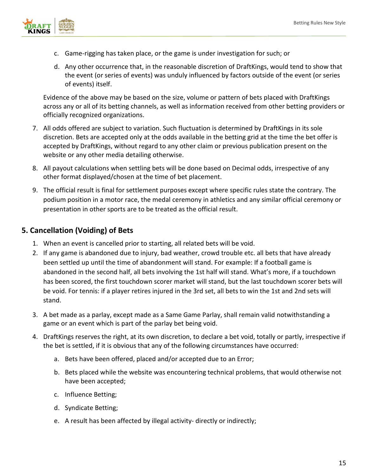

- c. Game-rigging has taken place, or the game is under investigation for such; or
- d. Any other occurrence that, in the reasonable discretion of DraftKings, would tend to show that the event (or series of events) was unduly influenced by factors outside of the event (or series of events) itself.

Evidence of the above may be based on the size, volume or pattern of bets placed with DraftKings across any or all of its betting channels, as well as information received from other betting providers or officially recognized organizations.

- 7. All odds offered are subject to variation. Such fluctuation is determined by DraftKings in its sole discretion. Bets are accepted only at the odds available in the betting grid at the time the bet offer is accepted by DraftKings, without regard to any other claim or previous publication present on the website or any other media detailing otherwise.
- 8. All payout calculations when settling bets will be done based on Decimal odds, irrespective of any other format displayed/chosen at the time of bet placement.
- 9. The official result is final for settlement purposes except where specific rules state the contrary. The podium position in a motor race, the medal ceremony in athletics and any similar official ceremony or presentation in other sports are to be treated as the official result.

## <span id="page-14-0"></span>**5. Cancellation (Voiding) of Bets**

- 1. When an event is cancelled prior to starting, all related bets will be void.
- 2. If any game is abandoned due to injury, bad weather, crowd trouble etc. all bets that have already been settled up until the time of abandonment will stand. For example: If a football game is abandoned in the second half, all bets involving the 1st half will stand. What's more, if a touchdown has been scored, the first touchdown scorer market will stand, but the last touchdown scorer bets will be void. For tennis: if a player retires injured in the 3rd set, all bets to win the 1st and 2nd sets will stand.
- 3. A bet made as a parlay, except made as a Same Game Parlay, shall remain valid notwithstanding a game or an event which is part of the parlay bet being void.
- 4. DraftKings reserves the right, at its own discretion, to declare a bet void, totally or partly, irrespective if the bet is settled, if it is obvious that any of the following circumstances have occurred:
	- a. Bets have been offered, placed and/or accepted due to an Error;
	- b. Bets placed while the website was encountering technical problems, that would otherwise not have been accepted;
	- c. Influence Betting;
	- d. Syndicate Betting;
	- e. A result has been affected by illegal activity- directly or indirectly;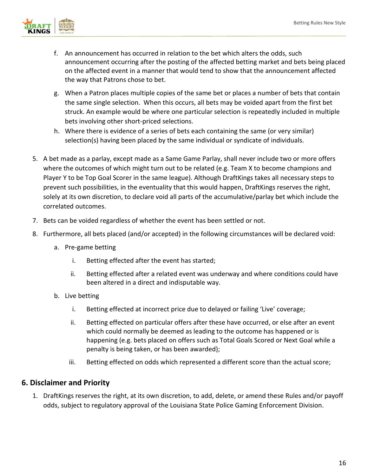

- f. An announcement has occurred in relation to the bet which alters the odds, such announcement occurring after the posting of the affected betting market and bets being placed on the affected event in a manner that would tend to show that the announcement affected the way that Patrons chose to bet.
- g. When a Patron places multiple copies of the same bet or places a number of bets that contain the same single selection. When this occurs, all bets may be voided apart from the first bet struck. An example would be where one particular selection is repeatedly included in multiple bets involving other short-priced selections.
- h. Where there is evidence of a series of bets each containing the same (or very similar) selection(s) having been placed by the same individual or syndicate of individuals.
- 5. A bet made as a parlay, except made as a Same Game Parlay, shall never include two or more offers where the outcomes of which might turn out to be related (e.g. Team X to become champions and Player Y to be Top Goal Scorer in the same league). Although DraftKings takes all necessary steps to prevent such possibilities, in the eventuality that this would happen, DraftKings reserves the right, solely at its own discretion, to declare void all parts of the accumulative/parlay bet which include the correlated outcomes.
- 7. Bets can be voided regardless of whether the event has been settled or not.
- 8. Furthermore, all bets placed (and/or accepted) in the following circumstances will be declared void:
	- a. Pre-game betting
		- i. Betting effected after the event has started;
		- ii. Betting effected after a related event was underway and where conditions could have been altered in a direct and indisputable way.
	- b. Live betting
		- i. Betting effected at incorrect price due to delayed or failing 'Live' coverage;
		- ii. Betting effected on particular offers after these have occurred, or else after an event which could normally be deemed as leading to the outcome has happened or is happening (e.g. bets placed on offers such as Total Goals Scored or Next Goal while a penalty is being taken, or has been awarded);
		- iii. Betting effected on odds which represented a different score than the actual score;

### <span id="page-15-0"></span>**6. Disclaimer and Priority**

1. DraftKings reserves the right, at its own discretion, to add, delete, or amend these Rules and/or payoff odds, subject to regulatory approval of the Louisiana State Police Gaming Enforcement Division.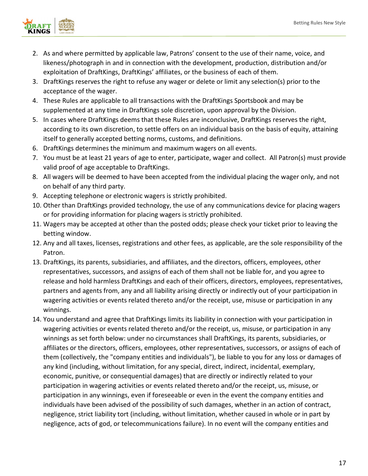

- 2. As and where permitted by applicable law, Patrons' consent to the use of their name, voice, and likeness/photograph in and in connection with the development, production, distribution and/or exploitation of DraftKings, DraftKings' affiliates, or the business of each of them.
- 3. DraftKings reserves the right to refuse any wager or delete or limit any selection(s) prior to the acceptance of the wager.
- 4. These Rules are applicable to all transactions with the DraftKings Sportsbook and may be supplemented at any time in DraftKings sole discretion, upon approval by the Division.
- 5. In cases where DraftKings deems that these Rules are inconclusive, DraftKings reserves the right, according to its own discretion, to settle offers on an individual basis on the basis of equity, attaining itself to generally accepted betting norms, customs, and definitions.
- 6. DraftKings determines the minimum and maximum wagers on all events.
- 7. You must be at least 21 years of age to enter, participate, wager and collect. All Patron(s) must provide valid proof of age acceptable to DraftKings.
- 8. All wagers will be deemed to have been accepted from the individual placing the wager only, and not on behalf of any third party.
- 9. Accepting telephone or electronic wagers is strictly prohibited.
- 10. Other than DraftKings provided technology, the use of any communications device for placing wagers or for providing information for placing wagers is strictly prohibited.
- 11. Wagers may be accepted at other than the posted odds; please check your ticket prior to leaving the betting window.
- 12. Any and all taxes, licenses, registrations and other fees, as applicable, are the sole responsibility of the Patron.
- 13. DraftKings, its parents, subsidiaries, and affiliates, and the directors, officers, employees, other representatives, successors, and assigns of each of them shall not be liable for, and you agree to release and hold harmless DraftKings and each of their officers, directors, employees, representatives, partners and agents from, any and all liability arising directly or indirectly out of your participation in wagering activities or events related thereto and/or the receipt, use, misuse or participation in any winnings.
- 14. You understand and agree that DraftKings limits its liability in connection with your participation in wagering activities or events related thereto and/or the receipt, us, misuse, or participation in any winnings as set forth below: under no circumstances shall DraftKings, its parents, subsidiaries, or affiliates or the directors, officers, employees, other representatives, successors, or assigns of each of them (collectively, the "company entities and individuals"), be liable to you for any loss or damages of any kind (including, without limitation, for any special, direct, indirect, incidental, exemplary, economic, punitive, or consequential damages) that are directly or indirectly related to your participation in wagering activities or events related thereto and/or the receipt, us, misuse, or participation in any winnings, even if foreseeable or even in the event the company entities and individuals have been advised of the possibility of such damages, whether in an action of contract, negligence, strict liability tort (including, without limitation, whether caused in whole or in part by negligence, acts of god, or telecommunications failure). In no event will the company entities and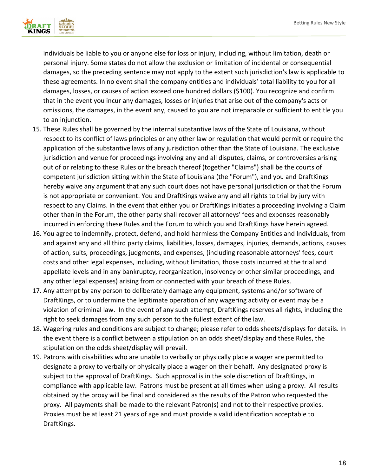

individuals be liable to you or anyone else for loss or injury, including, without limitation, death or personal injury. Some states do not allow the exclusion or limitation of incidental or consequential damages, so the preceding sentence may not apply to the extent such jurisdiction's law is applicable to these agreements. In no event shall the company entities and individuals' total liability to you for all damages, losses, or causes of action exceed one hundred dollars (\$100). You recognize and confirm that in the event you incur any damages, losses or injuries that arise out of the company's acts or omissions, the damages, in the event any, caused to you are not irreparable or sufficient to entitle you to an injunction.

- 15. These Rules shall be governed by the internal substantive laws of the State of Louisiana, without respect to its conflict of laws principles or any other law or regulation that would permit or require the application of the substantive laws of any jurisdiction other than the State of Louisiana. The exclusive jurisdiction and venue for proceedings involving any and all disputes, claims, or controversies arising out of or relating to these Rules or the breach thereof (together "Claims") shall be the courts of competent jurisdiction sitting within the State of Louisiana (the "Forum"), and you and DraftKings hereby waive any argument that any such court does not have personal jurisdiction or that the Forum is not appropriate or convenient. You and DraftKings waive any and all rights to trial by jury with respect to any Claims. In the event that either you or DraftKings initiates a proceeding involving a Claim other than in the Forum, the other party shall recover all attorneys' fees and expenses reasonably incurred in enforcing these Rules and the Forum to which you and DraftKings have herein agreed.
- 16. You agree to indemnify, protect, defend, and hold harmless the Company Entities and Individuals, from and against any and all third party claims, liabilities, losses, damages, injuries, demands, actions, causes of action, suits, proceedings, judgments, and expenses, (including reasonable attorneys' fees, court costs and other legal expenses, including, without limitation, those costs incurred at the trial and appellate levels and in any bankruptcy, reorganization, insolvency or other similar proceedings, and any other legal expenses) arising from or connected with your breach of these Rules.
- 17. Any attempt by any person to deliberately damage any equipment, systems and/or software of DraftKings, or to undermine the legitimate operation of any wagering activity or event may be a violation of criminal law. In the event of any such attempt, DraftKings reserves all rights, including the right to seek damages from any such person to the fullest extent of the law.
- 18. Wagering rules and conditions are subject to change; please refer to odds sheets/displays for details. In the event there is a conflict between a stipulation on an odds sheet/display and these Rules, the stipulation on the odds sheet/display will prevail.
- 19. Patrons with disabilities who are unable to verbally or physically place a wager are permitted to designate a proxy to verbally or physically place a wager on their behalf. Any designated proxy is subject to the approval of DraftKings. Such approval is in the sole discretion of DraftKings, in compliance with applicable law. Patrons must be present at all times when using a proxy. All results obtained by the proxy will be final and considered as the results of the Patron who requested the proxy. All payments shall be made to the relevant Patron(s) and not to their respective proxies. Proxies must be at least 21 years of age and must provide a valid identification acceptable to DraftKings.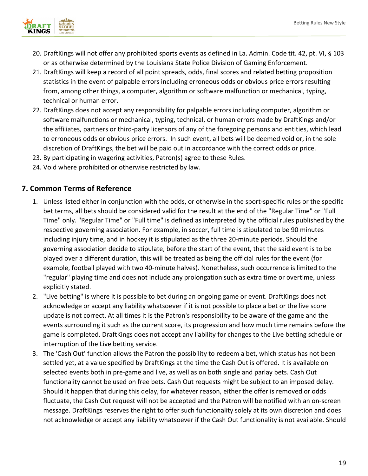

- 20. DraftKings will not offer any prohibited sports events as defined in La. Admin. Code tit. 42, pt. VI, § 103 or as otherwise determined by the Louisiana State Police Division of Gaming Enforcement.
- 21. DraftKings will keep a record of all point spreads, odds, final scores and related betting proposition statistics in the event of palpable errors including erroneous odds or obvious price errors resulting from, among other things, a computer, algorithm or software malfunction or mechanical, typing, technical or human error.
- 22. DraftKings does not accept any responsibility for palpable errors including computer, algorithm or software malfunctions or mechanical, typing, technical, or human errors made by DraftKings and/or the affiliates, partners or third-party licensors of any of the foregoing persons and entities, which lead to erroneous odds or obvious price errors. In such event, all bets will be deemed void or, in the sole discretion of DraftKings, the bet will be paid out in accordance with the correct odds or price.
- 23. By participating in wagering activities, Patron(s) agree to these Rules.
- 24. Void where prohibited or otherwise restricted by law.

## <span id="page-18-0"></span>**7. Common Terms of Reference**

- 1. Unless listed either in conjunction with the odds, or otherwise in the sport-specific rules or the specific bet terms, all bets should be considered valid for the result at the end of the "Regular Time" or "Full Time" only. "Regular Time" or "Full time" is defined as interpreted by the official rules published by the respective governing association. For example, in soccer, full time is stipulated to be 90 minutes including injury time, and in hockey it is stipulated as the three 20-minute periods. Should the governing association decide to stipulate, before the start of the event, that the said event is to be played over a different duration, this will be treated as being the official rules for the event (for example, football played with two 40-minute halves). Nonetheless, such occurrence is limited to the "regular" playing time and does not include any prolongation such as extra time or overtime, unless explicitly stated.
- 2. "Live betting" is where it is possible to bet during an ongoing game or event. DraftKings does not acknowledge or accept any liability whatsoever if it is not possible to place a bet or the live score update is not correct. At all times it is the Patron's responsibility to be aware of the game and the events surrounding it such as the current score, its progression and how much time remains before the game is completed. DraftKings does not accept any liability for changes to the Live betting schedule or interruption of the Live betting service.
- 3. The 'Cash Out' function allows the Patron the possibility to redeem a bet, which status has not been settled yet, at a value specified by DraftKings at the time the Cash Out is offered. It is available on selected events both in pre-game and live, as well as on both single and parlay bets. Cash Out functionality cannot be used on free bets. Cash Out requests might be subject to an imposed delay. Should it happen that during this delay, for whatever reason, either the offer is removed or odds fluctuate, the Cash Out request will not be accepted and the Patron will be notified with an on-screen message. DraftKings reserves the right to offer such functionality solely at its own discretion and does not acknowledge or accept any liability whatsoever if the Cash Out functionality is not available. Should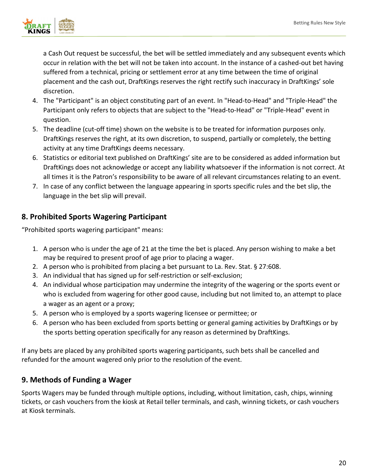

a Cash Out request be successful, the bet will be settled immediately and any subsequent events which occur in relation with the bet will not be taken into account. In the instance of a cashed-out bet having suffered from a technical, pricing or settlement error at any time between the time of original placement and the cash out, DraftKings reserves the right rectify such inaccuracy in DraftKings' sole discretion.

- 4. The "Participant" is an object constituting part of an event. In "Head-to-Head" and "Triple-Head" the Participant only refers to objects that are subject to the "Head-to-Head" or "Triple-Head" event in question.
- 5. The deadline (cut-off time) shown on the website is to be treated for information purposes only. DraftKings reserves the right, at its own discretion, to suspend, partially or completely, the betting activity at any time DraftKings deems necessary.
- 6. Statistics or editorial text published on DraftKings' site are to be considered as added information but DraftKings does not acknowledge or accept any liability whatsoever if the information is not correct. At all times it is the Patron's responsibility to be aware of all relevant circumstances relating to an event.
- 7. In case of any conflict between the language appearing in sports specific rules and the bet slip, the language in the bet slip will prevail.

# <span id="page-19-0"></span>**8. Prohibited Sports Wagering Participant**

"Prohibited sports wagering participant" means:

- 1. A person who is under the age of 21 at the time the bet is placed. Any person wishing to make a bet may be required to present proof of age prior to placing a wager.
- 2. A person who is prohibited from placing a bet pursuant to La. Rev. Stat. § 27:608.
- 3. An individual that has signed up for self-restriction or self-exclusion;
- 4. An individual whose participation may undermine the integrity of the wagering or the sports event or who is excluded from wagering for other good cause, including but not limited to, an attempt to place a wager as an agent or a proxy;
- 5. A person who is employed by a sports wagering licensee or permittee; or
- 6. A person who has been excluded from sports betting or general gaming activities by DraftKings or by the sports betting operation specifically for any reason as determined by DraftKings.

If any bets are placed by any prohibited sports wagering participants, such bets shall be cancelled and refunded for the amount wagered only prior to the resolution of the event.

## <span id="page-19-1"></span>**9. Methods of Funding a Wager**

Sports Wagers may be funded through multiple options, including, without limitation, cash, chips, winning tickets, or cash vouchers from the kiosk at Retail teller terminals, and cash, winning tickets, or cash vouchers at Kiosk terminals.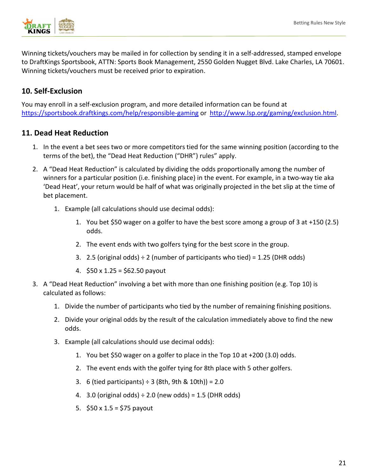

Winning tickets/vouchers may be mailed in for collection by sending it in a self-addressed, stamped envelope to DraftKings Sportsbook, ATTN: Sports Book Management, 2550 Golden Nugget Blvd. Lake Charles, LA 70601. Winning tickets/vouchers must be received prior to expiration.

### <span id="page-20-0"></span>**10. Self-Exclusion**

You may enroll in a self-exclusion program, and more detailed information can be found at <https://sportsbook.draftkings.com/help/responsible-gaming> or [http://www.lsp.org/gaming/exclusion.html.](http://www.lsp.org/gaming/exclusion.html)

### **11. Dead Heat Reduction**

- 1. In the event a bet sees two or more competitors tied for the same winning position (according to the terms of the bet), the "Dead Heat Reduction ("DHR") rules" apply.
- 2. A "Dead Heat Reduction" is calculated by dividing the odds proportionally among the number of winners for a particular position (i.e. finishing place) in the event. For example, in a two-way tie aka 'Dead Heat', your return would be half of what was originally projected in the bet slip at the time of bet placement.
	- 1. Example (all calculations should use decimal odds):
		- 1. You bet \$50 wager on a golfer to have the best score among a group of 3 at +150 (2.5) odds.
		- 2. The event ends with two golfers tying for the best score in the group.
		- 3. 2.5 (original odds)  $\div$  2 (number of participants who tied) = 1.25 (DHR odds)
		- 4. \$50 x 1.25 = \$62.50 payout
- 3. A "Dead Heat Reduction" involving a bet with more than one finishing position (e.g. Top 10) is calculated as follows:
	- 1. Divide the number of participants who tied by the number of remaining finishing positions.
	- 2. Divide your original odds by the result of the calculation immediately above to find the new odds.
	- 3. Example (all calculations should use decimal odds):
		- 1. You bet \$50 wager on a golfer to place in the Top 10 at +200 (3.0) odds.
		- 2. The event ends with the golfer tying for 8th place with 5 other golfers.
		- 3. 6 (tied participants)  $\div$  3 (8th, 9th & 10th)) = 2.0
		- 4. 3.0 (original odds)  $\div$  2.0 (new odds) = 1.5 (DHR odds)
		- 5. \$50 x 1.5 = \$75 payout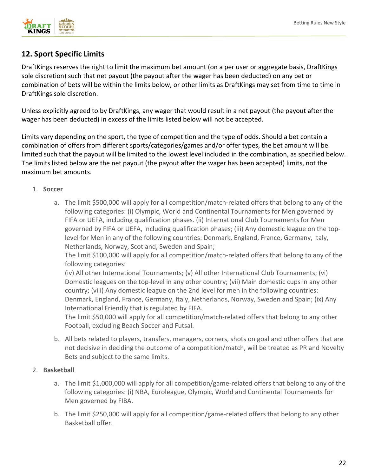

# <span id="page-21-0"></span>**12. Sport Specific Limits**

DraftKings reserves the right to limit the maximum bet amount (on a per user or aggregate basis, DraftKings sole discretion) such that net payout (the payout after the wager has been deducted) on any bet or combination of bets will be within the limits below, or other limits as DraftKings may set from time to time in DraftKings sole discretion.

Unless explicitly agreed to by DraftKings, any wager that would result in a net payout (the payout after the wager has been deducted) in excess of the limits listed below will not be accepted.

Limits vary depending on the sport, the type of competition and the type of odds. Should a bet contain a combination of offers from different sports/categories/games and/or offer types, the bet amount will be limited such that the payout will be limited to the lowest level included in the combination, as specified below. The limits listed below are the net payout (the payout after the wager has been accepted) limits, not the maximum bet amounts.

#### 1. **Soccer**

a. The limit \$500,000 will apply for all competition/match-related offers that belong to any of the following categories: (i) Olympic, World and Continental Tournaments for Men governed by FIFA or UEFA, including qualification phases. (ii) International Club Tournaments for Men governed by FIFA or UEFA, including qualification phases; (iii) Any domestic league on the toplevel for Men in any of the following countries: Denmark, England, France, Germany, Italy, Netherlands, Norway, Scotland, Sweden and Spain;

The limit \$100,000 will apply for all competition/match-related offers that belong to any of the following categories:

(iv) All other International Tournaments; (v) All other International Club Tournaments; (vi) Domestic leagues on the top-level in any other country; (vii) Main domestic cups in any other country; (viii) Any domestic league on the 2nd level for men in the following countries: Denmark, England, France, Germany, Italy, Netherlands, Norway, Sweden and Spain; (ix) Any International Friendly that is regulated by FIFA.

The limit \$50,000 will apply for all competition/match-related offers that belong to any other Football, excluding Beach Soccer and Futsal.

b. All bets related to players, transfers, managers, corners, shots on goal and other offers that are not decisive in deciding the outcome of a competition/match, will be treated as PR and Novelty Bets and subject to the same limits.

#### 2. **Basketball**

- a. The limit \$1,000,000 will apply for all competition/game-related offers that belong to any of the following categories: (i) NBA, Euroleague, Olympic, World and Continental Tournaments for Men governed by FIBA.
- b. The limit \$250,000 will apply for all competition/game-related offers that belong to any other Basketball offer.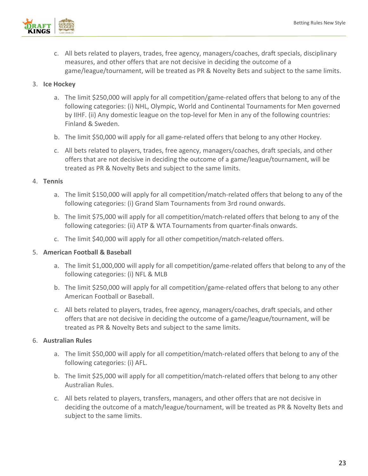

c. All bets related to players, trades, free agency, managers/coaches, draft specials, disciplinary measures, and other offers that are not decisive in deciding the outcome of a game/league/tournament, will be treated as PR & Novelty Bets and subject to the same limits.

#### 3. **Ice Hockey**

- a. The limit \$250,000 will apply for all competition/game-related offers that belong to any of the following categories: (i) NHL, Olympic, World and Continental Tournaments for Men governed by IIHF. (ii) Any domestic league on the top-level for Men in any of the following countries: Finland & Sweden.
- b. The limit \$50,000 will apply for all game-related offers that belong to any other Hockey.
- c. All bets related to players, trades, free agency, managers/coaches, draft specials, and other offers that are not decisive in deciding the outcome of a game/league/tournament, will be treated as PR & Novelty Bets and subject to the same limits.

#### 4. **Tennis**

- a. The limit \$150,000 will apply for all competition/match-related offers that belong to any of the following categories: (i) Grand Slam Tournaments from 3rd round onwards.
- b. The limit \$75,000 will apply for all competition/match-related offers that belong to any of the following categories: (ii) ATP & WTA Tournaments from quarter-finals onwards.
- c. The limit \$40,000 will apply for all other competition/match-related offers.

#### 5. **American Football & Baseball**

- a. The limit \$1,000,000 will apply for all competition/game-related offers that belong to any of the following categories: (i) NFL & MLB
- b. The limit \$250,000 will apply for all competition/game-related offers that belong to any other American Football or Baseball.
- c. All bets related to players, trades, free agency, managers/coaches, draft specials, and other offers that are not decisive in deciding the outcome of a game/league/tournament, will be treated as PR & Novelty Bets and subject to the same limits.

#### 6. **Australian Rules**

- a. The limit \$50,000 will apply for all competition/match-related offers that belong to any of the following categories: (i) AFL.
- b. The limit \$25,000 will apply for all competition/match-related offers that belong to any other Australian Rules.
- c. All bets related to players, transfers, managers, and other offers that are not decisive in deciding the outcome of a match/league/tournament, will be treated as PR & Novelty Bets and subject to the same limits.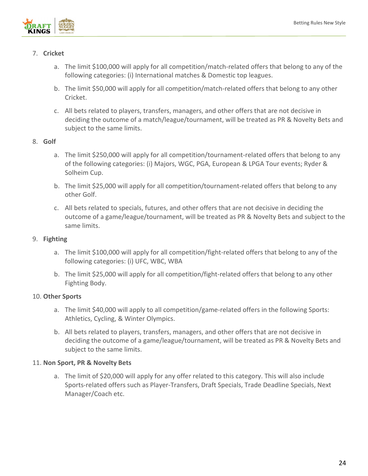

#### 7. **Cricket**

- a. The limit \$100,000 will apply for all competition/match-related offers that belong to any of the following categories: (i) International matches & Domestic top leagues.
- b. The limit \$50,000 will apply for all competition/match-related offers that belong to any other Cricket.
- c. All bets related to players, transfers, managers, and other offers that are not decisive in deciding the outcome of a match/league/tournament, will be treated as PR & Novelty Bets and subject to the same limits.

#### 8. **Golf**

- a. The limit \$250,000 will apply for all competition/tournament-related offers that belong to any of the following categories: (i) Majors, WGC, PGA, European & LPGA Tour events; Ryder & Solheim Cup.
- b. The limit \$25,000 will apply for all competition/tournament-related offers that belong to any other Golf.
- c. All bets related to specials, futures, and other offers that are not decisive in deciding the outcome of a game/league/tournament, will be treated as PR & Novelty Bets and subject to the same limits.

#### 9. **Fighting**

- a. The limit \$100,000 will apply for all competition/fight-related offers that belong to any of the following categories: (i) UFC, WBC, WBA
- b. The limit \$25,000 will apply for all competition/fight-related offers that belong to any other Fighting Body.

#### 10. **Other Sports**

- a. The limit \$40,000 will apply to all competition/game-related offers in the following Sports: Athletics, Cycling, & Winter Olympics.
- b. All bets related to players, transfers, managers, and other offers that are not decisive in deciding the outcome of a game/league/tournament, will be treated as PR & Novelty Bets and subject to the same limits.

#### 11. **Non Sport, PR & Novelty Bets**

a. The limit of \$20,000 will apply for any offer related to this category. This will also include Sports-related offers such as Player-Transfers, Draft Specials, Trade Deadline Specials, Next Manager/Coach etc.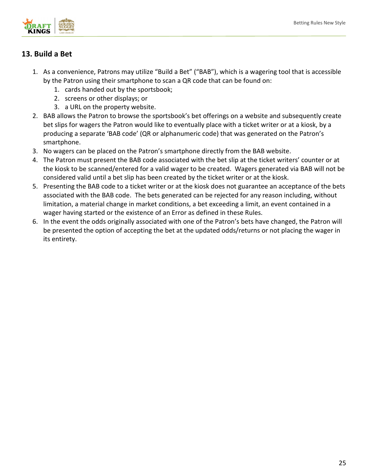

# <span id="page-24-0"></span>**13. Build a Bet**

- 1. As a convenience, Patrons may utilize "Build a Bet" ("BAB"), which is a wagering tool that is accessible by the Patron using their smartphone to scan a QR code that can be found on:
	- 1. cards handed out by the sportsbook;
	- 2. screens or other displays; or
	- 3. a URL on the property website.
- 2. BAB allows the Patron to browse the sportsbook's bet offerings on a website and subsequently create bet slips for wagers the Patron would like to eventually place with a ticket writer or at a kiosk, by a producing a separate 'BAB code' (QR or alphanumeric code) that was generated on the Patron's smartphone.
- 3. No wagers can be placed on the Patron's smartphone directly from the BAB website.
- 4. The Patron must present the BAB code associated with the bet slip at the ticket writers' counter or at the kiosk to be scanned/entered for a valid wager to be created. Wagers generated via BAB will not be considered valid until a bet slip has been created by the ticket writer or at the kiosk.
- 5. Presenting the BAB code to a ticket writer or at the kiosk does not guarantee an acceptance of the bets associated with the BAB code. The bets generated can be rejected for any reason including, without limitation, a material change in market conditions, a bet exceeding a limit, an event contained in a wager having started or the existence of an Error as defined in these Rules.
- 6. In the event the odds originally associated with one of the Patron's bets have changed, the Patron will be presented the option of accepting the bet at the updated odds/returns or not placing the wager in its entirety.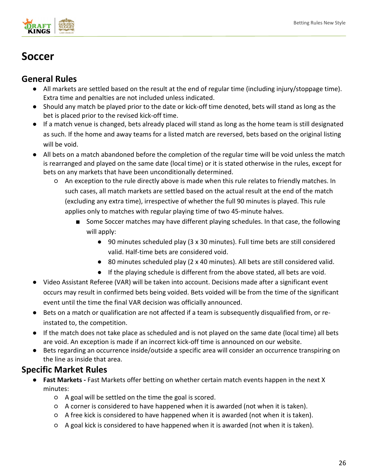

# <span id="page-25-0"></span>**Soccer**

# <span id="page-25-1"></span>**General Rules**

- All markets are settled based on the result at the end of regular time (including injury/stoppage time). Extra time and penalties are not included unless indicated.
- Should any match be played prior to the date or kick-off time denoted, bets will stand as long as the bet is placed prior to the revised kick-off time.
- If a match venue is changed, bets already placed will stand as long as the home team is still designated as such. If the home and away teams for a listed match are reversed, bets based on the original listing will be void.
- All bets on a match abandoned before the completion of the regular time will be void unless the match is rearranged and played on the same date (local time) or it is stated otherwise in the rules, except for bets on any markets that have been unconditionally determined.
	- An exception to the rule directly above is made when this rule relates to friendly matches. In such cases, all match markets are settled based on the actual result at the end of the match (excluding any extra time), irrespective of whether the full 90 minutes is played. This rule applies only to matches with regular playing time of two 45-minute halves.
		- Some Soccer matches may have different playing schedules. In that case, the following will apply:
			- 90 minutes scheduled play (3 x 30 minutes). Full time bets are still considered valid. Half-time bets are considered void.
			- 80 minutes scheduled play (2 x 40 minutes). All bets are still considered valid.
			- If the playing schedule is different from the above stated, all bets are void.
- Video Assistant Referee (VAR) will be taken into account. Decisions made after a significant event occurs may result in confirmed bets being voided. Bets voided will be from the time of the significant event until the time the final VAR decision was officially announced.
- Bets on a match or qualification are not affected if a team is subsequently disqualified from, or reinstated to, the competition.
- If the match does not take place as scheduled and is not played on the same date (local time) all bets are void. An exception is made if an incorrect kick-off time is announced on our website.
- Bets regarding an occurrence inside/outside a specific area will consider an occurrence transpiring on the line as inside that area.

# <span id="page-25-2"></span>**Specific Market Rules**

- Fast Markets Fast Markets offer betting on whether certain match events happen in the next X minutes:
	- A goal will be settled on the time the goal is scored.
	- A corner is considered to have happened when it is awarded (not when it is taken).
	- A free kick is considered to have happened when it is awarded (not when it is taken).
	- A goal kick is considered to have happened when it is awarded (not when it is taken).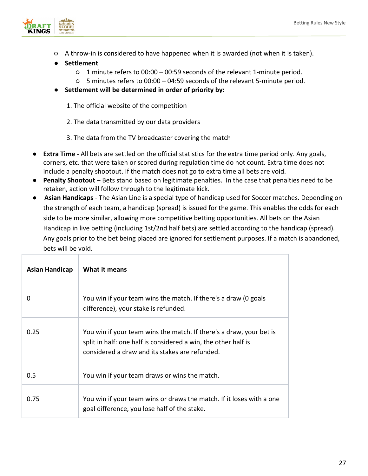

- A throw-in is considered to have happened when it is awarded (not when it is taken).
- **Settlement**
	- 1 minute refers to 00:00 00:59 seconds of the relevant 1-minute period.
	- 5 minutes refers to 00:00 04:59 seconds of the relevant 5-minute period.
- **Settlement will be determined in order of priority by:**

1. The official website of the competition

2. The data transmitted by our data providers

3. The data from the TV broadcaster covering the match

- **Extra Time -** All bets are settled on the official statistics for the extra time period only. Any goals, corners, etc. that were taken or scored during regulation time do not count. Extra time does not include a penalty shootout. If the match does not go to extra time all bets are void.
- **Penalty Shootout**  Bets stand based on legitimate penalties. In the case that penalties need to be retaken, action will follow through to the legitimate kick.
- **Asian Handicaps** The Asian Line is a special type of handicap used for Soccer matches. Depending on the strength of each team, a handicap (spread) is issued for the game. This enables the odds for each side to be more similar, allowing more competitive betting opportunities. All bets on the Asian Handicap in live betting (including 1st/2nd half bets) are settled according to the handicap (spread). Any goals prior to the bet being placed are ignored for settlement purposes. If a match is abandoned, bets will be void.

| <b>Asian Handicap</b> | What it means                                                                                                                                                                           |
|-----------------------|-----------------------------------------------------------------------------------------------------------------------------------------------------------------------------------------|
| 0                     | You win if your team wins the match. If there's a draw (0 goals<br>difference), your stake is refunded.                                                                                 |
| 0.25                  | You win if your team wins the match. If there's a draw, your bet is<br>split in half: one half is considered a win, the other half is<br>considered a draw and its stakes are refunded. |
| 0.5                   | You win if your team draws or wins the match.                                                                                                                                           |
| 0.75                  | You win if your team wins or draws the match. If it loses with a one<br>goal difference, you lose half of the stake.                                                                    |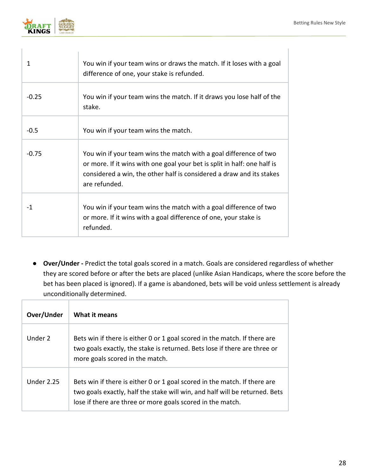

| 1       | You win if your team wins or draws the match. If it loses with a goal<br>difference of one, your stake is refunded.                                                                                                                    |
|---------|----------------------------------------------------------------------------------------------------------------------------------------------------------------------------------------------------------------------------------------|
| $-0.25$ | You win if your team wins the match. If it draws you lose half of the<br>stake.                                                                                                                                                        |
| $-0.5$  | You win if your team wins the match.                                                                                                                                                                                                   |
| $-0.75$ | You win if your team wins the match with a goal difference of two<br>or more. If it wins with one goal your bet is split in half: one half is<br>considered a win, the other half is considered a draw and its stakes<br>are refunded. |
| -1      | You win if your team wins the match with a goal difference of two<br>or more. If it wins with a goal difference of one, your stake is<br>refunded.                                                                                     |

● **Over/Under -** Predict the total goals scored in a match. Goals are considered regardless of whether they are scored before or after the bets are placed (unlike Asian Handicaps, where the score before the bet has been placed is ignored). If a game is abandoned, bets will be void unless settlement is already unconditionally determined.

| Over/Under | What it means                                                                                                                                                                                                          |
|------------|------------------------------------------------------------------------------------------------------------------------------------------------------------------------------------------------------------------------|
| Under 2    | Bets win if there is either 0 or 1 goal scored in the match. If there are<br>two goals exactly, the stake is returned. Bets lose if there are three or<br>more goals scored in the match.                              |
| Under 2.25 | Bets win if there is either 0 or 1 goal scored in the match. If there are<br>two goals exactly, half the stake will win, and half will be returned. Bets<br>lose if there are three or more goals scored in the match. |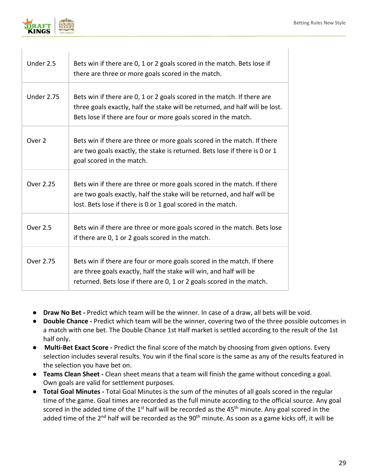

| Under 2.5         | Bets win if there are 0, 1 or 2 goals scored in the match. Bets lose if<br>there are three or more goals scored in the match.                                                                                             |
|-------------------|---------------------------------------------------------------------------------------------------------------------------------------------------------------------------------------------------------------------------|
| <b>Under 2.75</b> | Bets win if there are 0, 1 or 2 goals scored in the match. If there are<br>three goals exactly, half the stake will be returned, and half will be lost.<br>Bets lose if there are four or more goals scored in the match. |
| Over <sub>2</sub> | Bets win if there are three or more goals scored in the match. If there<br>are two goals exactly, the stake is returned. Bets lose if there is 0 or 1<br>goal scored in the match.                                        |
| Over 2.25         | Bets win if there are three or more goals scored in the match. If there<br>are two goals exactly, half the stake will be returned, and half will be<br>lost. Bets lose if there is 0 or 1 goal scored in the match.       |
| <b>Over 2.5</b>   | Bets win if there are three or more goals scored in the match. Bets lose<br>if there are 0, 1 or 2 goals scored in the match.                                                                                             |
| Over 2.75         | Bets win if there are four or more goals scored in the match. If there<br>are three goals exactly, half the stake will win, and half will be<br>returned. Bets lose if there are 0, 1 or 2 goals scored in the match.     |

- **Draw No Bet -** Predict which team will be the winner. In case of a draw, all bets will be void.
- **Double Chance -** Predict which team will be the winner, covering two of the three possible outcomes in a match with one bet. The Double Chance 1st Half market is settled according to the result of the 1st half only.
- **Multi-Bet Exact Score -** Predict the final score of the match by choosing from given options. Every selection includes several results. You win if the final score is the same as any of the results featured in the selection you have bet on.
- **Teams Clean Sheet -** Clean sheet means that a team will finish the game without conceding a goal. Own goals are valid for settlement purposes.
- **Total Goal Minutes -** Total Goal Minutes is the sum of the minutes of all goals scored in the regular time of the game. Goal times are recorded as the full minute according to the official source. Any goal scored in the added time of the  $1<sup>st</sup>$  half will be recorded as the 45<sup>th</sup> minute. Any goal scored in the added time of the 2<sup>nd</sup> half will be recorded as the 90<sup>th</sup> minute. As soon as a game kicks off, it will be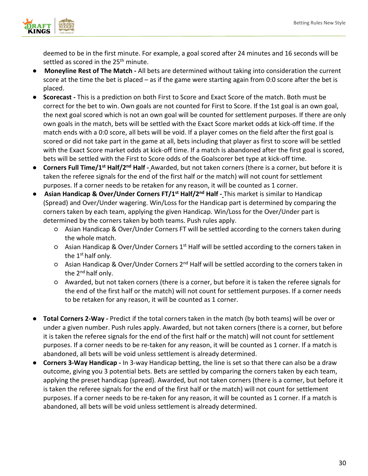

deemed to be in the first minute. For example, a goal scored after 24 minutes and 16 seconds will be settled as scored in the 25<sup>th</sup> minute.

- **Moneyline Rest of The Match -** All bets are determined without taking into consideration the current score at the time the bet is placed – as if the game were starting again from 0:0 score after the bet is placed.
- **Scorecast -** This is a prediction on both First to Score and Exact Score of the match. Both must be correct for the bet to win. Own goals are not counted for First to Score. If the 1st goal is an own goal, the next goal scored which is not an own goal will be counted for settlement purposes. If there are only own goals in the match, bets will be settled with the Exact Score market odds at kick-off time. If the match ends with a 0:0 score, all bets will be void. If a player comes on the field after the first goal is scored or did not take part in the game at all, bets including that player as first to score will be settled with the Exact Score market odds at kick-off time. If a match is abandoned after the first goal is scored, bets will be settled with the First to Score odds of the Goalscorer bet type at kick-off time.
- **Corners Full Time/1st Half/2nd Half -** Awarded, but not taken corners (there is a corner, but before it is taken the referee signals for the end of the first half or the match) will not count for settlement purposes. If a corner needs to be retaken for any reason, it will be counted as 1 corner.
- **Asian Handicap & Over/Under Corners FT/1st Half/2nd Half -** This market is similar to Handicap (Spread) and Over/Under wagering. Win/Loss for the Handicap part is determined by comparing the corners taken by each team, applying the given Handicap. Win/Loss for the Over/Under part is determined by the corners taken by both teams. Push rules apply.
	- Asian Handicap & Over/Under Corners FT will be settled according to the corners taken during the whole match.
	- Asian Handicap & Over/Under Corners 1st Half will be settled according to the corners taken in the 1<sup>st</sup> half only.
	- Asian Handicap & Over/Under Corners 2nd Half will be settled according to the corners taken in the 2<sup>nd</sup> half only.
	- Awarded, but not taken corners (there is a corner, but before it is taken the referee signals for the end of the first half or the match) will not count for settlement purposes. If a corner needs to be retaken for any reason, it will be counted as 1 corner.
- **Total Corners 2-Way -** Predict if the total corners taken in the match (by both teams) will be over or under a given number. Push rules apply. Awarded, but not taken corners (there is a corner, but before it is taken the referee signals for the end of the first half or the match) will not count for settlement purposes. If a corner needs to be re-taken for any reason, it will be counted as 1 corner. If a match is abandoned, all bets will be void unless settlement is already determined.
- **Corners 3-Way Handicap -** In 3-way Handicap betting, the line is set so that there can also be a draw outcome, giving you 3 potential bets. Bets are settled by comparing the corners taken by each team, applying the preset handicap (spread). Awarded, but not taken corners (there is a corner, but before it is taken the referee signals for the end of the first half or the match) will not count for settlement purposes. If a corner needs to be re-taken for any reason, it will be counted as 1 corner. If a match is abandoned, all bets will be void unless settlement is already determined.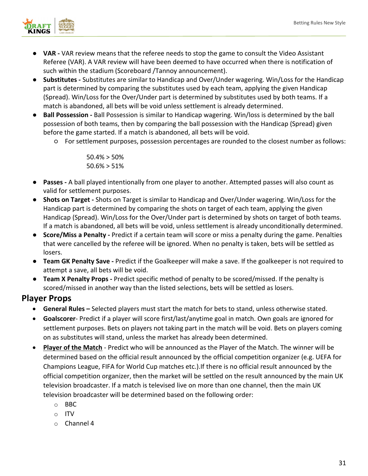

- **VAR -** VAR review means that the referee needs to stop the game to consult the Video Assistant Referee (VAR). A VAR review will have been deemed to have occurred when there is notification of such within the stadium (Scoreboard /Tannoy announcement).
- **Substitutes -** Substitutes are similar to Handicap and Over/Under wagering. Win/Loss for the Handicap part is determined by comparing the substitutes used by each team, applying the given Handicap (Spread). Win/Loss for the Over/Under part is determined by substitutes used by both teams. If a match is abandoned, all bets will be void unless settlement is already determined.
- **Ball Possession -** Ball Possession is similar to Handicap wagering. Win/loss is determined by the ball possession of both teams, then by comparing the ball possession with the Handicap (Spread) given before the game started. If a match is abandoned, all bets will be void.
	- For settlement purposes, possession percentages are rounded to the closest number as follows:

50.4% > 50% 50.6% > 51%

- **Passes -** A ball played intentionally from one player to another. Attempted passes will also count as valid for settlement purposes.
- **Shots on Target -** Shots on Target is similar to Handicap and Over/Under wagering. Win/Loss for the Handicap part is determined by comparing the shots on target of each team, applying the given Handicap (Spread). Win/Loss for the Over/Under part is determined by shots on target of both teams. If a match is abandoned, all bets will be void, unless settlement is already unconditionally determined.
- **Score/Miss a Penalty -** Predict if a certain team will score or miss a penalty during the game. Penalties that were cancelled by the referee will be ignored. When no penalty is taken, bets will be settled as losers.
- **Team GK Penalty Save -** Predict if the Goalkeeper will make a save. If the goalkeeper is not required to attempt a save, all bets will be void.
- **Team X Penalty Props -** Predict specific method of penalty to be scored/missed. If the penalty is scored/missed in another way than the listed selections, bets will be settled as losers.

# **Player Props**

- **General Rules –** Selected players must start the match for bets to stand, unless otherwise stated.
- **Goalscorer** Predict if a player will score first/last/anytime goal in match. Own goals are ignored for settlement purposes. Bets on players not taking part in the match will be void. Bets on players coming on as substitutes will stand, unless the market has already been determined.
- **Player of the Match** Predict who will be announced as the Player of the Match. The winner will be determined based on the official result announced by the official competition organizer (e.g. UEFA for Champions League, FIFA for World Cup matches etc.).If there is no official result announced by the official competition organizer, then the market will be settled on the result announced by the main UK television broadcaster. If a match is televised live on more than one channel, then the main UK television broadcaster will be determined based on the following order:
	- o BBC
	- o ITV
	- o Channel 4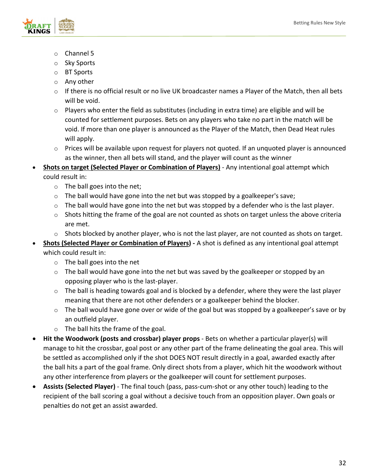

- o Channel 5
- o Sky Sports
- o BT Sports
- o Any other
- $\circ$  If there is no official result or no live UK broadcaster names a Player of the Match, then all bets will be void.
- $\circ$  Players who enter the field as substitutes (including in extra time) are eligible and will be counted for settlement purposes. Bets on any players who take no part in the match will be void. If more than one player is announced as the Player of the Match, then Dead Heat rules will apply.
- o Prices will be available upon request for players not quoted. If an unquoted player is announced as the winner, then all bets will stand, and the player will count as the winner
- **Shots on target (Selected Player or Combination of Players)** Any intentional goal attempt which could result in:
	- o The ball goes into the net;
	- $\circ$  The ball would have gone into the net but was stopped by a goalkeeper's save;
	- $\circ$  The ball would have gone into the net but was stopped by a defender who is the last player.
	- o Shots hitting the frame of the goal are not counted as shots on target unless the above criteria are met.
	- $\circ$  Shots blocked by another player, who is not the last player, are not counted as shots on target.
- **Shots (Selected Player or Combination of Players) -** A shot is defined as any intentional goal attempt which could result in:
	- o The ball goes into the net
	- o The ball would have gone into the net but was saved by the goalkeeper or stopped by an opposing player who is the last-player.
	- $\circ$  The ball is heading towards goal and is blocked by a defender, where they were the last player meaning that there are not other defenders or a goalkeeper behind the blocker.
	- $\circ$  The ball would have gone over or wide of the goal but was stopped by a goalkeeper's save or by an outfield player.
	- o The ball hits the frame of the goal.
- **Hit the Woodwork (posts and crossbar) player props** Bets on whether a particular player(s) will manage to hit the crossbar, goal post or any other part of the frame delineating the goal area. This will be settled as accomplished only if the shot DOES NOT result directly in a goal, awarded exactly after the ball hits a part of the goal frame. Only direct shots from a player, which hit the woodwork without any other interference from players or the goalkeeper will count for settlement purposes.
- **Assists (Selected Player)** The final touch (pass, pass-cum-shot or any other touch) leading to the recipient of the ball scoring a goal without a decisive touch from an opposition player. Own goals or penalties do not get an assist awarded.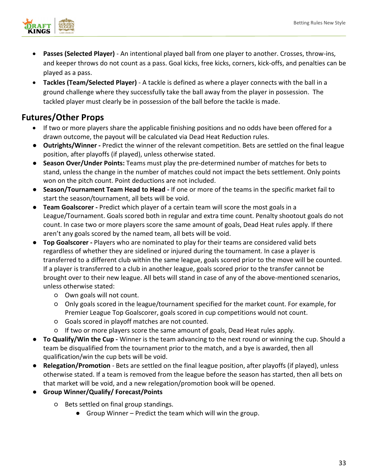

- **Passes (Selected Player)** An intentional played ball from one player to another. Crosses, throw-ins, and keeper throws do not count as a pass. Goal kicks, free kicks, corners, kick-offs, and penalties can be played as a pass.
- **Tackles (Team/Selected Player)** A tackle is defined as where a player connects with the ball in a ground challenge where they successfully take the ball away from the player in possession. The tackled player must clearly be in possession of the ball before the tackle is made.

# <span id="page-32-0"></span>**Futures/Other Props**

- If two or more players share the applicable finishing positions and no odds have been offered for a drawn outcome, the payout will be calculated via Dead Heat Reduction rules.
- **Outrights/Winner -** Predict the winner of the relevant competition. Bets are settled on the final league position, after playoffs (if played), unless otherwise stated.
- **Season Over/Under Points:** Teams must play the pre-determined number of matches for bets to stand, unless the change in the number of matches could not impact the bets settlement. Only points won on the pitch count. Point deductions are not included.
- **Season/Tournament Team Head to Head -** If one or more of the teams in the specific market fail to start the season/tournament, all bets will be void.
- **Team Goalscorer -** Predict which player of a certain team will score the most goals in a League/Tournament. Goals scored both in regular and extra time count. Penalty shootout goals do not count. In case two or more players score the same amount of goals, Dead Heat rules apply. If there aren't any goals scored by the named team, all bets will be void.
- **Top Goalscorer -** Players who are nominated to play for their teams are considered valid bets regardless of whether they are sidelined or injured during the tournament. In case a player is transferred to a different club within the same league, goals scored prior to the move will be counted. If a player is transferred to a club in another league, goals scored prior to the transfer cannot be brought over to their new league. All bets will stand in case of any of the above-mentioned scenarios, unless otherwise stated:
	- Own goals will not count.
	- Only goals scored in the league/tournament specified for the market count. For example, for Premier League Top Goalscorer, goals scored in cup competitions would not count.
	- Goals scored in playoff matches are not counted.
	- If two or more players score the same amount of goals, Dead Heat rules apply.
- **To Qualify/Win the Cup -** Winner is the team advancing to the next round or winning the cup. Should a team be disqualified from the tournament prior to the match, and a bye is awarded, then all qualification/win the cup bets will be void.
- **Relegation/Promotion** Bets are settled on the final league position, after playoffs (if played), unless otherwise stated. If a team is removed from the league before the season has started, then all bets on that market will be void, and a new relegation/promotion book will be opened.
- **Group Winner/Qualify/ Forecast/Points**
	- Bets settled on final group standings.
		- Group Winner Predict the team which will win the group.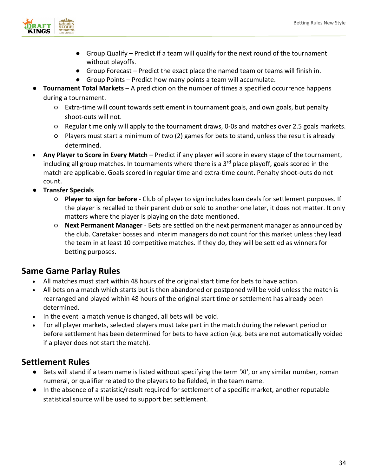

- Group Qualify Predict if a team will qualify for the next round of the tournament without playoffs.
- Group Forecast Predict the exact place the named team or teams will finish in.
- Group Points Predict how many points a team will accumulate.
- **Tournament Total Markets** A prediction on the number of times a specified occurrence happens during a tournament.
	- Extra-time will count towards settlement in tournament goals, and own goals, but penalty shoot-outs will not.
	- Regular time only will apply to the tournament draws, 0-0s and matches over 2.5 goals markets.
	- Players must start a minimum of two (2) games for bets to stand, unless the result is already determined.
- **Any Player to Score in Every Match** Predict if any player will score in every stage of the tournament, including all group matches. In tournaments where there is a  $3<sup>rd</sup>$  place playoff, goals scored in the match are applicable. Goals scored in regular time and extra-time count. Penalty shoot-outs do not count.
- **Transfer Specials**
	- **Player to sign for before**  Club of player to sign includes loan deals for settlement purposes. If the player is recalled to their parent club or sold to another one later, it does not matter. It only matters where the player is playing on the date mentioned.
	- **Next Permanent Manager**  Bets are settled on the next permanent manager as announced by the club. Caretaker bosses and interim managers do not count for this market unless they lead the team in at least 10 competitive matches. If they do, they will be settled as winners for betting purposes.

# <span id="page-33-0"></span>**Same Game Parlay Rules**

- All matches must start within 48 hours of the original start time for bets to have action.
- All bets on a match which starts but is then abandoned or postponed will be void unless the match is rearranged and played within 48 hours of the original start time or settlement has already been determined.
- In the event a match venue is changed, all bets will be void.
- For all player markets, selected players must take part in the match during the relevant period or before settlement has been determined for bets to have action (e.g. bets are not automatically voided if a player does not start the match).

# <span id="page-33-1"></span>**Settlement Rules**

- Bets will stand if a team name is listed without specifying the term 'XI', or any similar number, roman numeral, or qualifier related to the players to be fielded, in the team name.
- In the absence of a statistic/result required for settlement of a specific market, another reputable statistical source will be used to support bet settlement.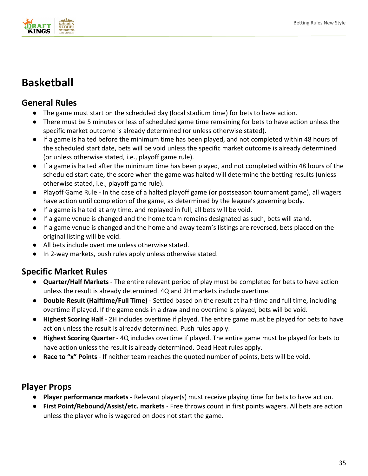

# <span id="page-34-0"></span>**Basketball**

# <span id="page-34-1"></span>**General Rules**

- The game must start on the scheduled day (local stadium time) for bets to have action.
- There must be 5 minutes or less of scheduled game time remaining for bets to have action unless the specific market outcome is already determined (or unless otherwise stated).
- If a game is halted before the minimum time has been played, and not completed within 48 hours of the scheduled start date, bets will be void unless the specific market outcome is already determined (or unless otherwise stated, i.e., playoff game rule).
- If a game is halted after the minimum time has been played, and not completed within 48 hours of the scheduled start date, the score when the game was halted will determine the betting results (unless otherwise stated, i.e., playoff game rule).
- Playoff Game Rule In the case of a halted playoff game (or postseason tournament game), all wagers have action until completion of the game, as determined by the league's governing body.
- If a game is halted at any time, and replayed in full, all bets will be void.
- If a game venue is changed and the home team remains designated as such, bets will stand.
- If a game venue is changed and the home and away team's listings are reversed, bets placed on the original listing will be void.
- All bets include overtime unless otherwise stated.
- In 2-way markets, push rules apply unless otherwise stated.

# <span id="page-34-2"></span>**Specific Market Rules**

- **Quarter/Half Markets** The entire relevant period of play must be completed for bets to have action unless the result is already determined. 4Q and 2H markets include overtime.
- **Double Result (Halftime/Full Time)** Settled based on the result at half-time and full time, including overtime if played. If the game ends in a draw and no overtime is played, bets will be void.
- **Highest Scoring Half** 2H includes overtime if played. The entire game must be played for bets to have action unless the result is already determined. Push rules apply.
- **Highest Scoring Quarter** 4Q includes overtime if played. The entire game must be played for bets to have action unless the result is already determined. Dead Heat rules apply.
- **Race to "x" Points** If neither team reaches the quoted number of points, bets will be void.

# <span id="page-34-3"></span>**Player Props**

- **Player performance markets** Relevant player(s) must receive playing time for bets to have action.
- **First Point/Rebound/Assist/etc. markets** Free throws count in first points wagers. All bets are action unless the player who is wagered on does not start the game.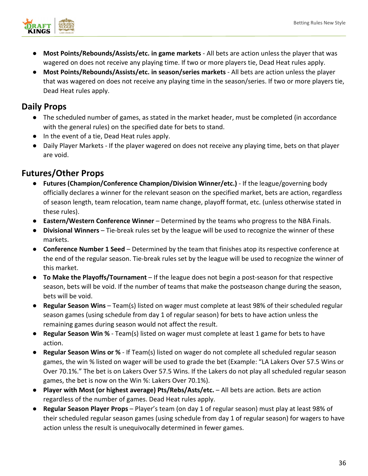

- **Most Points/Rebounds/Assists/etc. in game markets** All bets are action unless the player that was wagered on does not receive any playing time. If two or more players tie, Dead Heat rules apply.
- **Most Points/Rebounds/Assists/etc. in season/series markets** All bets are action unless the player that was wagered on does not receive any playing time in the season/series. If two or more players tie, Dead Heat rules apply.

# <span id="page-35-0"></span>**Daily Props**

- The scheduled number of games, as stated in the market header, must be completed (in accordance with the general rules) on the specified date for bets to stand.
- In the event of a tie, Dead Heat rules apply.
- Daily Player Markets If the player wagered on does not receive any playing time, bets on that player are void.

# <span id="page-35-1"></span>**Futures/Other Props**

- **Futures (Champion/Conference Champion/Division Winner/etc.)**  If the league/governing body officially declares a winner for the relevant season on the specified market, bets are action, regardless of season length, team relocation, team name change, playoff format, etc. (unless otherwise stated in these rules).
- **Eastern/Western Conference Winner** Determined by the teams who progress to the NBA Finals.
- **Divisional Winners** Tie-break rules set by the league will be used to recognize the winner of these markets.
- **Conference Number 1 Seed**  Determined by the team that finishes atop its respective conference at the end of the regular season. Tie-break rules set by the league will be used to recognize the winner of this market.
- **To Make the Playoffs/Tournament** If the league does not begin a post-season for that respective season, bets will be void. If the number of teams that make the postseason change during the season, bets will be void.
- **Regular Season Wins** Team(s) listed on wager must complete at least 98% of their scheduled regular season games (using schedule from day 1 of regular season) for bets to have action unless the remaining games during season would not affect the result.
- **Regular Season Win %** Team(s) listed on wager must complete at least 1 game for bets to have action.
- **Regular Season Wins or %** If Team(s) listed on wager do not complete all scheduled regular season games, the win % listed on wager will be used to grade the bet (Example: "LA Lakers Over 57.5 Wins or Over 70.1%." The bet is on Lakers Over 57.5 Wins. If the Lakers do not play all scheduled regular season games, the bet is now on the Win %: Lakers Over 70.1%).
- **Player with Most (or highest average) Pts/Rebs/Asts/etc.** All bets are action. Bets are action regardless of the number of games. Dead Heat rules apply.
- **Regular Season Player Props** Player's team (on day 1 of regular season) must play at least 98% of their scheduled regular season games (using schedule from day 1 of regular season) for wagers to have action unless the result is unequivocally determined in fewer games.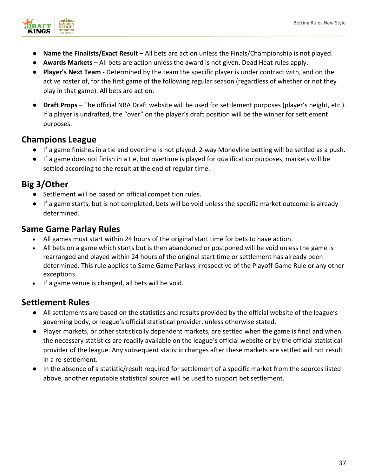

- **Name the Finalists/Exact Result**  All bets are action unless the Finals/Championship is not played.
- **Awards Markets** All bets are action unless the award is not given. Dead Heat rules apply.
- **Player's Next Team** Determined by the team the specific player is under contract with, and on the active roster of, for the first game of the following regular season (regardless of whether or not they play in that game). All bets are action.
- **Draft Props** The official NBA Draft website will be used for settlement purposes (player's height, etc.). If a player is undrafted, the "over" on the player's draft position will be the winner for settlement purposes.

### **Champions League**

- If a game finishes in a tie and overtime is not played, 2-way Moneyline betting will be settled as a push.
- If a game does not finish in a tie, but overtime is played for qualification purposes, markets will be settled according to the result at the end of regular time.

## **Big 3/Other**

- Settlement will be based on official competition rules.
- If a game starts, but is not completed, bets will be void unless the specific market outcome is already determined.

## **Same Game Parlay Rules**

- All games must start within 24 hours of the original start time for bets to have action.
- All bets on a game which starts but is then abandoned or postponed will be void unless the game is rearranged and played within 24 hours of the original start time or settlement has already been determined. This rule applies to Same Game Parlays irrespective of the Playoff Game Rule or any other exceptions.
- If a game venue is changed, all bets will be void.

- All settlements are based on the statistics and results provided by the official website of the league's governing body, or league's official statistical provider, unless otherwise stated.
- Player markets, or other statistically dependent markets, are settled when the game is final and when the necessary statistics are readily available on the league's official website or by the official statistical provider of the league. Any subsequent statistic changes after these markets are settled will not result in a re-settlement.
- In the absence of a statistic/result required for settlement of a specific market from the sources listed above, another reputable statistical source will be used to support bet settlement.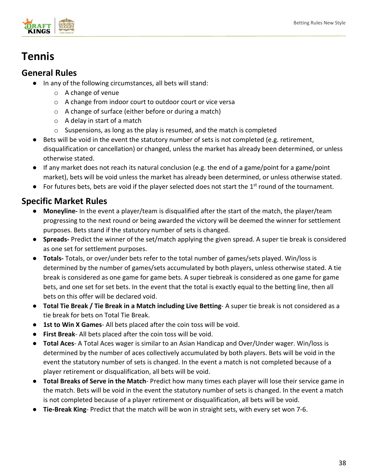

## **Tennis**

## **General Rules**

- In any of the following circumstances, all bets will stand:
	- o A change of venue
	- o A change from indoor court to outdoor court or vice versa
	- o A change of surface (either before or during a match)
	- $\circ$  A delay in start of a match
	- o Suspensions, as long as the play is resumed, and the match is completed
- Bets will be void in the event the statutory number of sets is not completed (e.g. retirement, disqualification or cancellation) or changed, unless the market has already been determined, or unless otherwise stated.
- If any market does not reach its natural conclusion (e.g. the end of a game/point for a game/point market), bets will be void unless the market has already been determined, or unless otherwise stated.
- $\bullet$  For futures bets, bets are void if the player selected does not start the 1<sup>st</sup> round of the tournament.

- **Moneyline-** In the event a player/team is disqualified after the start of the match, the player/team progressing to the next round or being awarded the victory will be deemed the winner for settlement purposes. Bets stand if the statutory number of sets is changed.
- **Spreads-** Predict the winner of the set/match applying the given spread. A super tie break is considered as one set for settlement purposes.
- **Totals-** Totals, or over/under bets refer to the total number of games/sets played. Win/loss is determined by the number of games/sets accumulated by both players, unless otherwise stated. A tie break is considered as one game for game bets. A super tiebreak is considered as one game for game bets, and one set for set bets. In the event that the total is exactly equal to the betting line, then all bets on this offer will be declared void.
- **Total Tie Break / Tie Break in a Match including Live Betting** A super tie break is not considered as a tie break for bets on Total Tie Break.
- **1st to Win X Games** All bets placed after the coin toss will be void.
- **First Break** All bets placed after the coin toss will be void.
- **Total Aces** A Total Aces wager is similar to an Asian Handicap and Over/Under wager. Win/loss is determined by the number of aces collectively accumulated by both players. Bets will be void in the event the statutory number of sets is changed. In the event a match is not completed because of a player retirement or disqualification, all bets will be void.
- **Total Breaks of Serve in the Match** Predict how many times each player will lose their service game in the match. Bets will be void in the event the statutory number of sets is changed. In the event a match is not completed because of a player retirement or disqualification, all bets will be void.
- **Tie-Break King** Predict that the match will be won in straight sets, with every set won 7-6.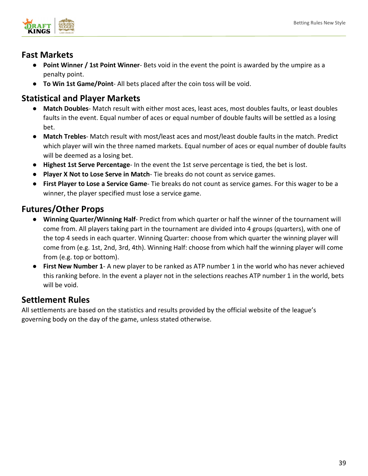

## **Fast Markets**

- **Point Winner / 1st Point Winner** Bets void in the event the point is awarded by the umpire as a penalty point.
- **To Win 1st Game/Point** All bets placed after the coin toss will be void.

## **Statistical and Player Markets**

- Match Doubles- Match result with either most aces, least aces, most doubles faults, or least doubles faults in the event. Equal number of aces or equal number of double faults will be settled as a losing bet.
- **Match Trebles** Match result with most/least aces and most/least double faults in the match. Predict which player will win the three named markets. Equal number of aces or equal number of double faults will be deemed as a losing bet.
- **Highest 1st Serve Percentage** In the event the 1st serve percentage is tied, the bet is lost.
- **Player X Not to Lose Serve in Match** Tie breaks do not count as service games.
- **First Player to Lose a Service Game** Tie breaks do not count as service games. For this wager to be a winner, the player specified must lose a service game.

## **Futures/Other Props**

- **Winning Quarter/Winning Half** Predict from which quarter or half the winner of the tournament will come from. All players taking part in the tournament are divided into 4 groups (quarters), with one of the top 4 seeds in each quarter. Winning Quarter: choose from which quarter the winning player will come from (e.g. 1st, 2nd, 3rd, 4th). Winning Half: choose from which half the winning player will come from (e.g. top or bottom).
- **First New Number 1** A new player to be ranked as ATP number 1 in the world who has never achieved this ranking before. In the event a player not in the selections reaches ATP number 1 in the world, bets will be void.

## **Settlement Rules**

All settlements are based on the statistics and results provided by the official website of the league's governing body on the day of the game, unless stated otherwise.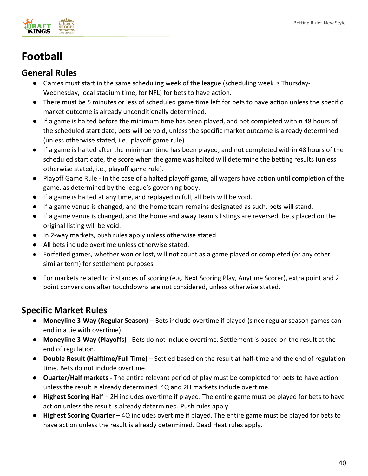

# **Football**

## **General Rules**

- Games must start in the same scheduling week of the league (scheduling week is Thursday-Wednesday, local stadium time, for NFL) for bets to have action.
- There must be 5 minutes or less of scheduled game time left for bets to have action unless the specific market outcome is already unconditionally determined.
- If a game is halted before the minimum time has been played, and not completed within 48 hours of the scheduled start date, bets will be void, unless the specific market outcome is already determined (unless otherwise stated, i.e., playoff game rule).
- If a game is halted after the minimum time has been played, and not completed within 48 hours of the scheduled start date, the score when the game was halted will determine the betting results (unless otherwise stated, i.e., playoff game rule).
- Playoff Game Rule In the case of a halted playoff game, all wagers have action until completion of the game, as determined by the league's governing body.
- If a game is halted at any time, and replayed in full, all bets will be void.
- If a game venue is changed, and the home team remains designated as such, bets will stand.
- If a game venue is changed, and the home and away team's listings are reversed, bets placed on the original listing will be void.
- In 2-way markets, push rules apply unless otherwise stated.
- All bets include overtime unless otherwise stated.
- Forfeited games, whether won or lost, will not count as a game played or completed (or any other similar term) for settlement purposes.
- For markets related to instances of scoring (e.g. Next Scoring Play, Anytime Scorer), extra point and 2 point conversions after touchdowns are not considered, unless otherwise stated.

- **Moneyline 3-Way (Regular Season)** Bets include overtime if played (since regular season games can end in a tie with overtime).
- **Moneyline 3-Way (Playoffs)** Bets do not include overtime. Settlement is based on the result at the end of regulation.
- **Double Result (Halftime/Full Time)**  Settled based on the result at half-time and the end of regulation time. Bets do not include overtime.
- **Quarter/Half markets -** The entire relevant period of play must be completed for bets to have action unless the result is already determined. 4Q and 2H markets include overtime.
- **Highest Scoring Half** 2H includes overtime if played. The entire game must be played for bets to have action unless the result is already determined. Push rules apply.
- **Highest Scoring Quarter**  4Q includes overtime if played. The entire game must be played for bets to have action unless the result is already determined. Dead Heat rules apply.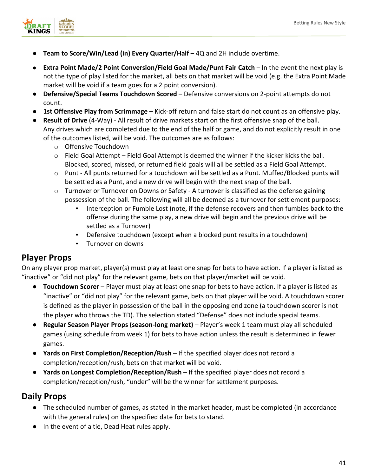

- **Team to Score/Win/Lead (in) Every Quarter/Half** 4Q and 2H include overtime.
- **Extra Point Made/2 Point Conversion/Field Goal Made/Punt Fair Catch** In the event the next play is not the type of play listed for the market, all bets on that market will be void (e.g. the Extra Point Made market will be void if a team goes for a 2 point conversion).
- **Defensive/Special Teams Touchdown Scored** Defensive conversions on 2-point attempts do not count.
- **1st Offensive Play from Scrimmage** Kick-off return and false start do not count as an offensive play.
- **Result of Drive** (4-Way) All result of drive markets start on the first offensive snap of the ball. Any drives which are completed due to the end of the half or game, and do not explicitly result in one of the outcomes listed, will be void. The outcomes are as follows:
	- o Offensive Touchdown
	- $\circ$  Field Goal Attempt Field Goal Attempt is deemed the winner if the kicker kicks the ball. Blocked, scored, missed, or returned field goals will all be settled as a Field Goal Attempt.
	- o Punt All punts returned for a touchdown will be settled as a Punt. Muffed/Blocked punts will be settled as a Punt, and a new drive will begin with the next snap of the ball.
	- $\circ$  Turnover or Turnover on Downs or Safety A turnover is classified as the defense gaining possession of the ball. The following will all be deemed as a turnover for settlement purposes:
		- Interception or Fumble Lost (note, if the defense recovers and then fumbles back to the offense during the same play, a new drive will begin and the previous drive will be settled as a Turnover)
		- Defensive touchdown (except when a blocked punt results in a touchdown)
		- Turnover on downs

## **Player Props**

On any player prop market, player(s) must play at least one snap for bets to have action. If a player is listed as "inactive" or "did not play" for the relevant game, bets on that player/market will be void.

- **Touchdown Scorer**  Player must play at least one snap for bets to have action. If a player is listed as "inactive" or "did not play" for the relevant game, bets on that player will be void. A touchdown scorer is defined as the player in possession of the ball in the opposing end zone (a touchdown scorer is not the player who throws the TD). The selection stated "Defense" does not include special teams.
- **Regular Season Player Props (season-long market)**  Player's week 1 team must play all scheduled games (using schedule from week 1) for bets to have action unless the result is determined in fewer games.
- **Yards on First Completion/Reception/Rush**  If the specified player does not record a completion/reception/rush, bets on that market will be void.
- **Yards on Longest Completion/Reception/Rush** If the specified player does not record a completion/reception/rush, "under" will be the winner for settlement purposes.

### **Daily Props**

- The scheduled number of games, as stated in the market header, must be completed (in accordance with the general rules) on the specified date for bets to stand.
- In the event of a tie, Dead Heat rules apply.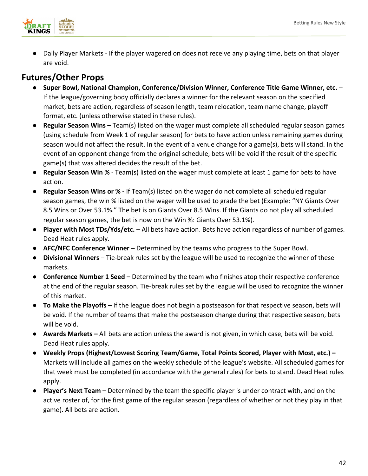

● Daily Player Markets - If the player wagered on does not receive any playing time, bets on that player are void.

## **Futures/Other Props**

- **Super Bowl, National Champion, Conference/Division Winner, Conference Title Game Winner, etc.**  If the league/governing body officially declares a winner for the relevant season on the specified market, bets are action, regardless of season length, team relocation, team name change, playoff format, etc. (unless otherwise stated in these rules).
- **Regular Season Wins** Team(s) listed on the wager must complete all scheduled regular season games (using schedule from Week 1 of regular season) for bets to have action unless remaining games during season would not affect the result. In the event of a venue change for a game(s), bets will stand. In the event of an opponent change from the original schedule, bets will be void if the result of the specific game(s) that was altered decides the result of the bet.
- **Regular Season Win %**  Team(s) listed on the wager must complete at least 1 game for bets to have action.
- **Regular Season Wins or %** If Team(s) listed on the wager do not complete all scheduled regular season games, the win % listed on the wager will be used to grade the bet (Example: "NY Giants Over 8.5 Wins or Over 53.1%." The bet is on Giants Over 8.5 Wins. If the Giants do not play all scheduled regular season games, the bet is now on the Win %: Giants Over 53.1%).
- **Player with Most TDs/Yds/etc.**  All bets have action. Bets have action regardless of number of games. Dead Heat rules apply.
- **AFC/NFC Conference Winner –** Determined by the teams who progress to the Super Bowl.
- **Divisional Winners** Tie-break rules set by the league will be used to recognize the winner of these markets.
- **Conference Number 1 Seed –** Determined by the team who finishes atop their respective conference at the end of the regular season. Tie-break rules set by the league will be used to recognize the winner of this market.
- **To Make the Playoffs –** If the league does not begin a postseason for that respective season, bets will be void. If the number of teams that make the postseason change during that respective season, bets will be void.
- **Awards Markets –** All bets are action unless the award is not given, in which case, bets will be void. Dead Heat rules apply.
- **Weekly Props (Highest/Lowest Scoring Team/Game, Total Points Scored, Player with Most, etc.) –** Markets will include all games on the weekly schedule of the league's website. All scheduled games for that week must be completed (in accordance with the general rules) for bets to stand. Dead Heat rules apply.
- **Player's Next Team –** Determined by the team the specific player is under contract with, and on the active roster of, for the first game of the regular season (regardless of whether or not they play in that game). All bets are action.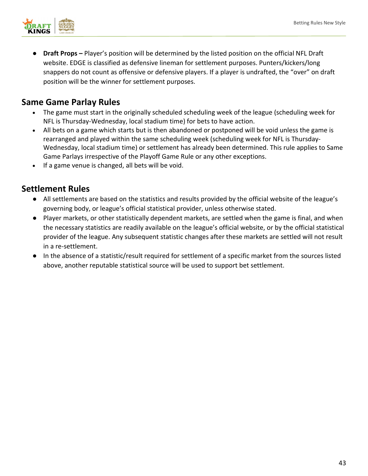

**Draft Props –** Player's position will be determined by the listed position on the official NFL Draft website. EDGE is classified as defensive lineman for settlement purposes. Punters/kickers/long snappers do not count as offensive or defensive players. If a player is undrafted, the "over" on draft position will be the winner for settlement purposes.

## **Same Game Parlay Rules**

- The game must start in the originally scheduled scheduling week of the league (scheduling week for NFL is Thursday-Wednesday, local stadium time) for bets to have action.
- All bets on a game which starts but is then abandoned or postponed will be void unless the game is rearranged and played within the same scheduling week (scheduling week for NFL is Thursday-Wednesday, local stadium time) or settlement has already been determined. This rule applies to Same Game Parlays irrespective of the Playoff Game Rule or any other exceptions.
- If a game venue is changed, all bets will be void.

- All settlements are based on the statistics and results provided by the official website of the league's governing body, or league's official statistical provider, unless otherwise stated.
- Player markets, or other statistically dependent markets, are settled when the game is final, and when the necessary statistics are readily available on the league's official website, or by the official statistical provider of the league. Any subsequent statistic changes after these markets are settled will not result in a re-settlement.
- In the absence of a statistic/result required for settlement of a specific market from the sources listed above, another reputable statistical source will be used to support bet settlement.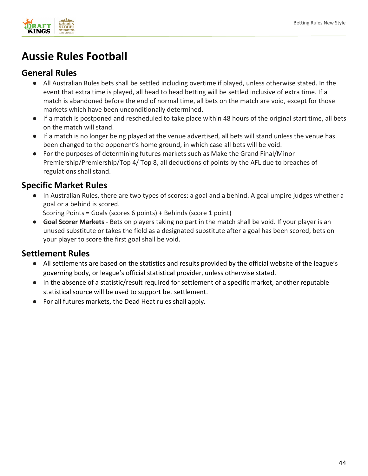

# **Aussie Rules Football**

## **General Rules**

- All Australian Rules bets shall be settled including overtime if played, unless otherwise stated. In the event that extra time is played, all head to head betting will be settled inclusive of extra time. If a match is abandoned before the end of normal time, all bets on the match are void, except for those markets which have been unconditionally determined.
- If a match is postponed and rescheduled to take place within 48 hours of the original start time, all bets on the match will stand.
- If a match is no longer being played at the venue advertised, all bets will stand unless the venue has been changed to the opponent's home ground, in which case all bets will be void.
- For the purposes of determining futures markets such as Make the Grand Final/Minor Premiership/Premiership/Top 4/ Top 8, all deductions of points by the AFL due to breaches of regulations shall stand.

## **Specific Market Rules**

In Australian Rules, there are two types of scores: a goal and a behind. A goal umpire judges whether a goal or a behind is scored.

Scoring Points = Goals (scores 6 points) + Behinds (score 1 point)

● **Goal Scorer Markets** - Bets on players taking no part in the match shall be void. If your player is an unused substitute or takes the field as a designated substitute after a goal has been scored, bets on your player to score the first goal shall be void.

- All settlements are based on the statistics and results provided by the official website of the league's governing body, or league's official statistical provider, unless otherwise stated.
- In the absence of a statistic/result required for settlement of a specific market, another reputable statistical source will be used to support bet settlement.
- For all futures markets, the Dead Heat rules shall apply.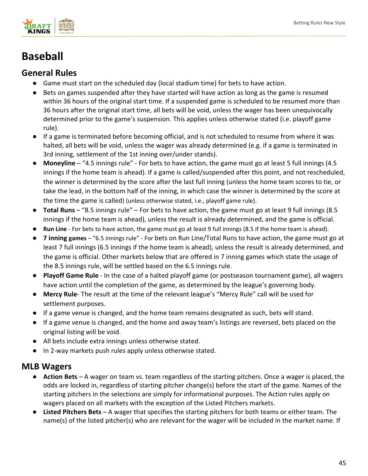

# **Baseball**

## **General Rules**

- Game must start on the scheduled day (local stadium time) for bets to have action.
- Bets on games suspended after they have started will have action as long as the game is resumed within 36 hours of the original start time. If a suspended game is scheduled to be resumed more than 36 hours after the original start time, all bets will be void, unless the wager has been unequivocally determined prior to the game's suspension. This applies unless otherwise stated (i.e. playoff game rule).
- If a game is terminated before becoming official, and is not scheduled to resume from where it was halted, all bets will be void, unless the wager was already determined (e.g. if a game is terminated in 3rd inning, settlement of the 1st inning over/under stands).
- **Moneyline**  "4.5 innings rule" For bets to have action, the game must go at least 5 full innings (4.5 innings if the home team is ahead). If a game is called/suspended after this point, and not rescheduled, the winner is determined by the score after the last full inning (unless the home team scores to tie, or take the lead, in the bottom half of the inning, in which case the winner is determined by the score at the time the game is called) (unless otherwise stated, i.e., playoff game rule).
- **Total Runs** "8.5 innings rule" For bets to have action, the game must go at least 9 full innings (8.5 innings if the home team is ahead), unless the result is already determined, and the game is official.
- **Run Line** For bets to have action, the game must go at least 9 full innings (8.5 if the home team is ahead).
- **7 inning games**  "6.5 innings rule" For bets on Run Line/Total Runs to have action, the game must go at least 7 full innings (6.5 innings if the home team is ahead), unless the result is already determined, and the game is official. Other markets below that are offered in 7 inning games which state the usage of the 8.5 innings rule, will be settled based on the 6.5 innings rule.
- **Playoff Game Rule** In the case of a halted playoff game (or postseason tournament game), all wagers have action until the completion of the game, as determined by the league's governing body.
- **Mercy Rule** The result at the time of the relevant league's "Mercy Rule" call will be used for settlement purposes.
- If a game venue is changed, and the home team remains designated as such, bets will stand.
- If a game venue is changed, and the home and away team's listings are reversed, bets placed on the original listing will be void.
- All bets include extra innings unless otherwise stated.
- In 2-way markets push rules apply unless otherwise stated.

### **MLB Wagers**

- **Action Bets** A wager on team vs. team regardless of the starting pitchers. Once a wager is placed, the odds are locked in, regardless of starting pitcher change(s) before the start of the game. Names of the starting pitchers in the selections are simply for informational purposes. The Action rules apply on wagers placed on all markets with the exception of the Listed Pitchers markets.
- **Listed Pitchers Bets** A wager that specifies the starting pitchers for both teams or either team. The name(s) of the listed pitcher(s) who are relevant for the wager will be included in the market name. If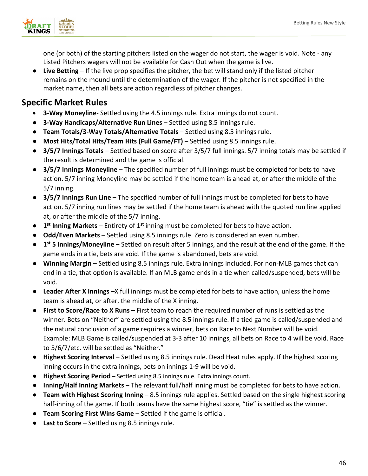

one (or both) of the starting pitchers listed on the wager do not start, the wager is void. Note - any Listed Pitchers wagers will not be available for Cash Out when the game is live.

● **Live Betting** – If the live prop specifies the pitcher, the bet will stand only if the listed pitcher remains on the mound until the determination of the wager. If the pitcher is not specified in the market name, then all bets are action regardless of pitcher changes.

- **3-Way Moneyline** Settled using the 4.5 innings rule. Extra innings do not count.
- **3-Way Handicaps/Alternative Run Lines** Settled using 8.5 innings rule.
- **Team Totals/3-Way Totals/Alternative Totals**  Settled using 8.5 innings rule.
- **Most Hits/Total Hits/Team Hits (Full Game/FT)**  Settled using 8.5 innings rule.
- **3/5/7 Innings Totals** Settled based on score after 3/5/7 full innings. 5/7 inning totals may be settled if the result is determined and the game is official.
- **3/5/7 Innings Moneyline**  The specified number of full innings must be completed for bets to have action. 5/7 inning Moneyline may be settled if the home team is ahead at, or after the middle of the 5/7 inning.
- **3/5/7 Innings Run Line** The specified number of full innings must be completed for bets to have action. 5/7 inning run lines may be settled if the home team is ahead with the quoted run line applied at, or after the middle of the 5/7 inning.
- **1<sup>st</sup> Inning Markets** Entirety of 1<sup>st</sup> inning must be completed for bets to have action.
- **Odd/Even Markets** Settled using 8.5 innings rule. Zero is considered an even number.
- **1st 5 Innings/Moneyline** Settled on result after 5 innings, and the result at the end of the game. If the game ends in a tie, bets are void. If the game is abandoned, bets are void.
- **Winning Margin** Settled using 8.5 innings rule. Extra innings included. For non-MLB games that can end in a tie, that option is available. If an MLB game ends in a tie when called/suspended, bets will be void.
- **Leader After X Innings** –X full innings must be completed for bets to have action, unless the home team is ahead at, or after, the middle of the X inning.
- **First to Score/Race to X Runs** First team to reach the required number of runs is settled as the winner. Bets on "Neither" are settled using the 8.5 innings rule. If a tied game is called/suspended and the natural conclusion of a game requires a winner, bets on Race to Next Number will be void. Example: MLB Game is called/suspended at 3-3 after 10 innings, all bets on Race to 4 will be void. Race to 5/6/7/etc. will be settled as "Neither."
- **Highest Scoring Interval** Settled using 8.5 innings rule. Dead Heat rules apply. If the highest scoring inning occurs in the extra innings, bets on innings 1-9 will be void.
- **Highest Scoring Period** Settled using 8.5 innings rule. Extra innings count.
- **Inning/Half Inning Markets** The relevant full/half inning must be completed for bets to have action.
- **Team with Highest Scoring Inning** 8.5 innings rule applies. Settled based on the single highest scoring half-inning of the game. If both teams have the same highest score, "tie" is settled as the winner.
- **Team Scoring First Wins Game** Settled if the game is official.
- **Last to Score** Settled using 8.5 innings rule.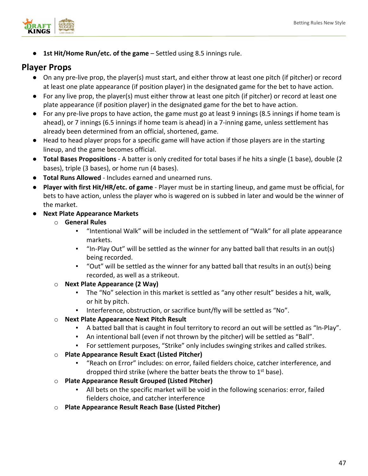

● **1st Hit/Home Run/etc. of the game** – Settled using 8.5 innings rule. 

#### **Player Props**

- On any pre-live prop, the player(s) must start, and either throw at least one pitch (if pitcher) or record at least one plate appearance (if position player) in the designated game for the bet to have action.
- For any live prop, the player(s) must either throw at least one pitch (if pitcher) or record at least one plate appearance (if position player) in the designated game for the bet to have action.
- For any pre-live props to have action, the game must go at least 9 innings (8.5 innings if home team is ahead), or 7 innings (6.5 innings if home team is ahead) in a 7-inning game, unless settlement has already been determined from an official, shortened, game.
- Head to head player props for a specific game will have action if those players are in the starting lineup, and the game becomes official.
- **Total Bases Propositions** A batter is only credited for total bases if he hits a single (1 base), double (2 bases), triple (3 bases), or home run (4 bases).
- **Total Runs Allowed** Includes earned and unearned runs.
- **Player with first Hit/HR/etc. of game** Player must be in starting lineup, and game must be official, for bets to have action, unless the player who is wagered on is subbed in later and would be the winner of the market.
- **Next Plate Appearance Markets**
	- o **General Rules**
		- "Intentional Walk" will be included in the settlement of "Walk" for all plate appearance markets.
		- "In-Play Out" will be settled as the winner for any batted ball that results in an out(s) being recorded.
		- "Out" will be settled as the winner for any batted ball that results in an out(s) being recorded, as well as a strikeout.
	- o **Next Plate Appearance (2 Way)**
		- The "No" selection in this market is settled as "any other result" besides a hit, walk, or hit by pitch.
		- Interference, obstruction, or sacrifice bunt/fly will be settled as "No".
	- o **Next Plate Appearance Next Pitch Result**
		- A batted ball that is caught in foul territory to record an out will be settled as "In-Play".
		- An intentional ball (even if not thrown by the pitcher) will be settled as "Ball".
		- For settlement purposes, "Strike" only includes swinging strikes and called strikes.
	- o **Plate Appearance Result Exact (Listed Pitcher)**
		- "Reach on Error" includes: on error, failed fielders choice, catcher interference, and dropped third strike (where the batter beats the throw to  $1<sup>st</sup>$  base).
	- o **Plate Appearance Result Grouped (Listed Pitcher)**
		- All bets on the specific market will be void in the following scenarios: error, failed fielders choice, and catcher interference
	- o **Plate Appearance Result Reach Base (Listed Pitcher)**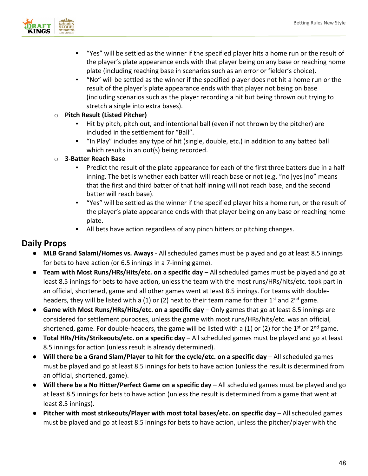

- "Yes" will be settled as the winner if the specified player hits a home run or the result of the player's plate appearance ends with that player being on any base or reaching home plate (including reaching base in scenarios such as an error or fielder's choice).
- "No" will be settled as the winner if the specified player does not hit a home run or the result of the player's plate appearance ends with that player not being on base (including scenarios such as the player recording a hit but being thrown out trying to stretch a single into extra bases).

#### o **Pitch Result (Listed Pitcher)**

- Hit by pitch, pitch out, and intentional ball (even if not thrown by the pitcher) are included in the settlement for "Ball".
- "In Play" includes any type of hit (single, double, etc.) in addition to any batted ball which results in an out(s) being recorded.

#### o **3-Batter Reach Base**

- Predict the result of the plate appearance for each of the first three batters due in a half inning. The bet is whether each batter will reach base or not (e.g. "no|yes|no" means that the first and third batter of that half inning will not reach base, and the second batter will reach base).
- "Yes" will be settled as the winner if the specified player hits a home run, or the result of the player's plate appearance ends with that player being on any base or reaching home plate.
- All bets have action regardless of any pinch hitters or pitching changes.

### **Daily Props**

- **MLB Grand Salami/Homes vs. Aways**  All scheduled games must be played and go at least 8.5 innings for bets to have action (or 6.5 innings in a 7-inning game).
- **Team with Most Runs/HRs/Hits/etc. on a specific day** All scheduled games must be played and go at least 8.5 innings for bets to have action, unless the team with the most runs/HRs/hits/etc. took part in an official, shortened, game and all other games went at least 8.5 innings. For teams with doubleheaders, they will be listed with a (1) or (2) next to their team name for their  $1^{st}$  and  $2^{nd}$  game.
- **Game with Most Runs/HRs/Hits/etc. on a specific day** Only games that go at least 8.5 innings are considered for settlement purposes, unless the game with most runs/HRs/hits/etc. was an official, shortened, game. For double-headers, the game will be listed with a (1) or (2) for the 1<sup>st</sup> or 2<sup>nd</sup> game.
- **Total HRs/Hits/Strikeouts/etc. on a specific day**  All scheduled games must be played and go at least 8.5 innings for action (unless result is already determined).
- **Will there be a Grand Slam/Player to hit for the cycle/etc. on a specific day** All scheduled games must be played and go at least 8.5 innings for bets to have action (unless the result is determined from an official, shortened, game).
- **Will there be a No Hitter/Perfect Game on a specific day** All scheduled games must be played and go at least 8.5 innings for bets to have action (unless the result is determined from a game that went at least 8.5 innings).
- **Pitcher with most strikeouts/Player with most total bases/etc. on specific day All scheduled games** must be played and go at least 8.5 innings for bets to have action, unless the pitcher/player with the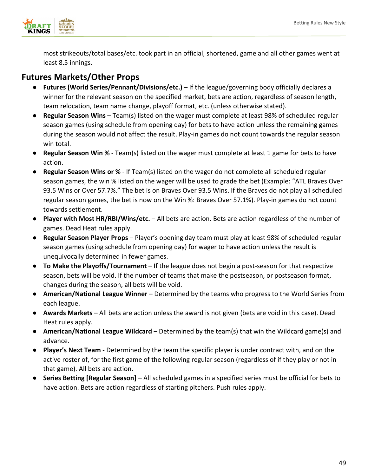

most strikeouts/total bases/etc. took part in an official, shortened, game and all other games went at least 8.5 innings.

## **Futures Markets/Other Props**

- **Futures (World Series/Pennant/Divisions/etc.)** If the league/governing body officially declares a winner for the relevant season on the specified market, bets are action, regardless of season length, team relocation, team name change, playoff format, etc. (unless otherwise stated).
- **Regular Season Wins** Team(s) listed on the wager must complete at least 98% of scheduled regular season games (using schedule from opening day) for bets to have action unless the remaining games during the season would not affect the result. Play-in games do not count towards the regular season win total.
- **Regular Season Win %**  Team(s) listed on the wager must complete at least 1 game for bets to have action.
- **Regular Season Wins or %**  If Team(s) listed on the wager do not complete all scheduled regular season games, the win % listed on the wager will be used to grade the bet (Example: "ATL Braves Over 93.5 Wins or Over 57.7%." The bet is on Braves Over 93.5 Wins. If the Braves do not play all scheduled regular season games, the bet is now on the Win %: Braves Over 57.1%). Play-in games do not count towards settlement.
- **Player with Most HR/RBI/Wins/etc.** All bets are action. Bets are action regardless of the number of games. Dead Heat rules apply.
- **Regular Season Player Props** Player's opening day team must play at least 98% of scheduled regular season games (using schedule from opening day) for wager to have action unless the result is unequivocally determined in fewer games.
- **To Make the Playoffs/Tournament**  If the league does not begin a post-season for that respective season, bets will be void. If the number of teams that make the postseason, or postseason format, changes during the season, all bets will be void.
- **American/National League Winner**  Determined by the teams who progress to the World Series from each league.
- **Awards Markets** All bets are action unless the award is not given (bets are void in this case). Dead Heat rules apply.
- **American/National League Wildcard** Determined by the team(s) that win the Wildcard game(s) and advance.
- **Player's Next Team** Determined by the team the specific player is under contract with, and on the active roster of, for the first game of the following regular season (regardless of if they play or not in that game). All bets are action.
- **Series Betting [Regular Season]** All scheduled games in a specified series must be official for bets to have action. Bets are action regardless of starting pitchers. Push rules apply.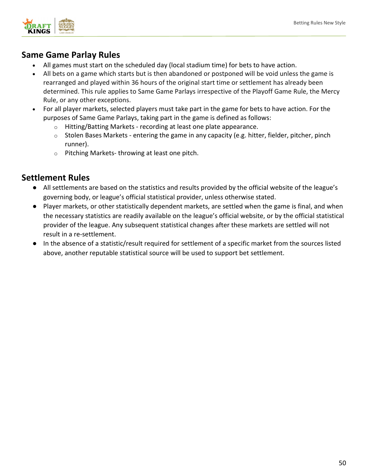

## **Same Game Parlay Rules**

- All games must start on the scheduled day (local stadium time) for bets to have action.
- All bets on a game which starts but is then abandoned or postponed will be void unless the game is rearranged and played within 36 hours of the original start time or settlement has already been determined. This rule applies to Same Game Parlays irrespective of the Playoff Game Rule, the Mercy Rule, or any other exceptions.
- For all player markets, selected players must take part in the game for bets to have action. For the purposes of Same Game Parlays, taking part in the game is defined as follows:
	- o Hitting/Batting Markets recording at least one plate appearance.
	- o Stolen Bases Markets entering the game in any capacity (e.g. hitter, fielder, pitcher, pinch runner).
	- o Pitching Markets- throwing at least one pitch.

- All settlements are based on the statistics and results provided by the official website of the league's governing body, or league's official statistical provider, unless otherwise stated.
- Player markets, or other statistically dependent markets, are settled when the game is final, and when the necessary statistics are readily available on the league's official website, or by the official statistical provider of the league. Any subsequent statistical changes after these markets are settled will not result in a re-settlement.
- In the absence of a statistic/result required for settlement of a specific market from the sources listed above, another reputable statistical source will be used to support bet settlement.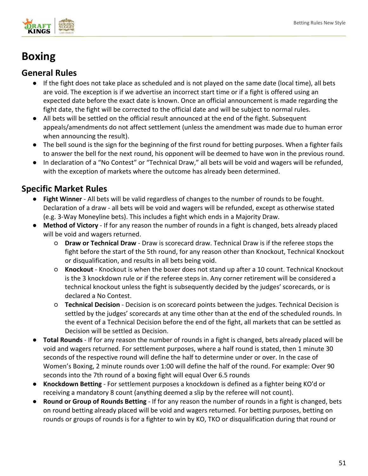

# **Boxing**

## **General Rules**

- If the fight does not take place as scheduled and is not played on the same date (local time), all bets are void. The exception is if we advertise an incorrect start time or if a fight is offered using an expected date before the exact date is known. Once an official announcement is made regarding the fight date, the fight will be corrected to the official date and will be subject to normal rules.
- All bets will be settled on the official result announced at the end of the fight. Subsequent appeals/amendments do not affect settlement (unless the amendment was made due to human error when announcing the result).
- The bell sound is the sign for the beginning of the first round for betting purposes. When a fighter fails to answer the bell for the next round, his opponent will be deemed to have won in the previous round.
- In declaration of a "No Contest" or "Technical Draw," all bets will be void and wagers will be refunded, with the exception of markets where the outcome has already been determined.

- **Fight Winner** All bets will be valid regardless of changes to the number of rounds to be fought. Declaration of a draw - all bets will be void and wagers will be refunded, except as otherwise stated (e.g. 3-Way Moneyline bets). This includes a fight which ends in a Majority Draw.
- **Method of Victory** If for any reason the number of rounds in a fight is changed, bets already placed will be void and wagers returned.
	- **Draw or Technical Draw**  Draw is scorecard draw. Technical Draw is if the referee stops the fight before the start of the 5th round, for any reason other than Knockout, Technical Knockout or disqualification, and results in all bets being void.
	- **Knockout**  Knockout is when the boxer does not stand up after a 10 count. Technical Knockout is the 3 knockdown rule or if the referee steps in. Any corner retirement will be considered a technical knockout unless the fight is subsequently decided by the judges' scorecards, or is declared a No Contest.
	- **Technical Decision** Decision is on scorecard points between the judges. Technical Decision is settled by the judges' scorecards at any time other than at the end of the scheduled rounds. In the event of a Technical Decision before the end of the fight, all markets that can be settled as Decision will be settled as Decision.
- **Total Rounds**  If for any reason the number of rounds in a fight is changed, bets already placed will be void and wagers returned. For settlement purposes, where a half round is stated, then 1 minute 30 seconds of the respective round will define the half to determine under or over. In the case of Women's Boxing, 2 minute rounds over 1:00 will define the half of the round. For example: Over 90 seconds into the 7th round of a boxing fight will equal Over 6.5 rounds
- **Knockdown Betting**  For settlement purposes a knockdown is defined as a fighter being KO'd or receiving a mandatory 8 count (anything deemed a slip by the referee will not count).
- **Round or Group of Rounds Betting** If for any reason the number of rounds in a fight is changed, bets on round betting already placed will be void and wagers returned. For betting purposes, betting on rounds or groups of rounds is for a fighter to win by KO, TKO or disqualification during that round or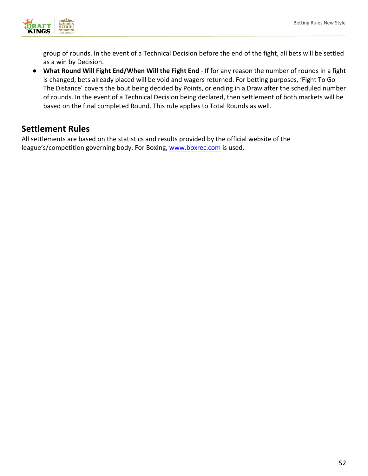

group of rounds. In the event of a Technical Decision before the end of the fight, all bets will be settled as a win by Decision.

● **What Round Will Fight End/When Will the Fight End** - If for any reason the number of rounds in a fight is changed, bets already placed will be void and wagers returned. For betting purposes, 'Fight To Go The Distance' covers the bout being decided by Points, or ending in a Draw after the scheduled number of rounds. In the event of a Technical Decision being declared, then settlement of both markets will be based on the final completed Round. This rule applies to Total Rounds as well.

## **Settlement Rules**

All settlements are based on the statistics and results provided by the official website of the league's/competition governing body. For Boxing, [www.boxrec.com](http://www.boxrec.com/) is used.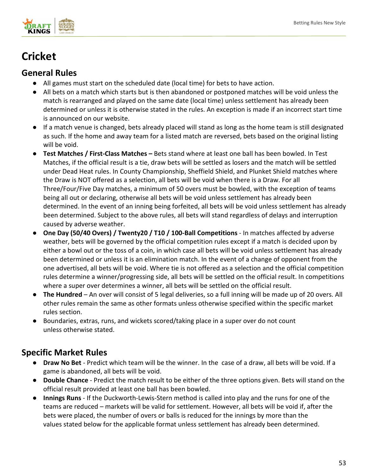

# **Cricket**

## **General Rules**

- All games must start on the scheduled date (local time) for bets to have action.
- All bets on a match which starts but is then abandoned or postponed matches will be void unless the match is rearranged and played on the same date (local time) unless settlement has already been determined or unless it is otherwise stated in the rules. An exception is made if an incorrect start time is announced on our website.
- If a match venue is changed, bets already placed will stand as long as the home team is still designated as such. If the home and away team for a listed match are reversed, bets based on the original listing will be void.
- **Test Matches / First-Class Matches –** Bets stand where at least one ball has been bowled. In Test Matches, if the official result is a tie, draw bets will be settled as losers and the match will be settled under Dead Heat rules. In County Championship, Sheffield Shield, and Plunket Shield matches where the Draw is NOT offered as a selection, all bets will be void when there is a Draw. For all Three/Four/Five Day matches, a minimum of 50 overs must be bowled, with the exception of teams being all out or declaring, otherwise all bets will be void unless settlement has already been determined. In the event of an inning being forfeited, all bets will be void unless settlement has already been determined. Subject to the above rules, all bets will stand regardless of delays and interruption caused by adverse weather.
- **One Day (50/40 Overs) / Twenty20 / T10 / 100-Ball Competitions** In matches affected by adverse weather, bets will be governed by the official competition rules except if a match is decided upon by either a bowl out or the toss of a coin, in which case all bets will be void unless settlement has already been determined or unless it is an elimination match. In the event of a change of opponent from the one advertised, all bets will be void. Where tie is not offered as a selection and the official competition rules determine a winner/progressing side, all bets will be settled on the official result. In competitions where a super over determines a winner, all bets will be settled on the official result.
- **The Hundred** An over will consist of 5 legal deliveries, so a full inning will be made up of 20 overs. All other rules remain the same as other formats unless otherwise specified within the specific market rules section.
- Boundaries, extras, runs, and wickets scored/taking place in a super over do not count unless otherwise stated.

- **Draw No Bet**  Predict which team will be the winner. In the case of a draw, all bets will be void. If a game is abandoned, all bets will be void.
- **Double Chance**  Predict the match result to be either of the three options given. Bets will stand on the official result provided at least one ball has been bowled.
- **Innings Runs** If the Duckworth-Lewis-Stern method is called into play and the runs for one of the teams are reduced – markets will be valid for settlement. However, all bets will be void if, after the bets were placed, the number of overs or balls is reduced for the innings by more than the values stated below for the applicable format unless settlement has already been determined.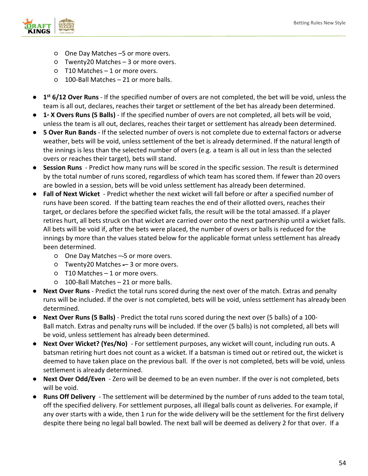

- One Day Matches –5 or more overs.
- Twenty20 Matches – 3 or more overs.
- T10 Matches – 1 or more overs.
- 100-Ball Matches – 21 or more balls.
- **1st 6/12 Over Runs** If the specified number of overs are not completed, the bet will be void, unless the team is all out, declares, reaches their target or settlement of the bet has already been determined.
- **1**<sup>x</sup> **X** Overs Runs (5 Balls) If the specified number of overs are not completed, all bets will be void, unless the team is all out, declares, reaches their target or settlement has already been determined.
- **5 Over Run Bands** If the selected number of overs is not complete due to external factors or adverse weather, bets will be void, unless settlement of the bet is already determined. If the natural length of the innings is less than the selected number of overs (e.g. a team is all out in less than the selected overs or reaches their target), bets will stand.
- **Session Runs**  Predict how many runs will be scored in the specific session. The result is determined by the total number of runs scored, regardless of which team has scored them. If fewer than 20 overs are bowled in a session, bets will be void unless settlement has already been determined.
- **Fall of Next Wicket** Predict whether the next wicket will fall before or after a specified number of runs have been scored. If the batting team reaches the end of their allotted overs, reaches their target, or declares before the specified wicket falls, the result will be the total amassed. If a player retires hurt, all bets struck on that wicket are carried over onto the next partnership until a wicket falls. All bets will be void if, after the bets were placed, the number of overs or balls is reduced for the innings by more than the values stated below for the applicable format unless settlement has already been determined.
	- One Day Matches 5 or more overs.
	- Twenty20 Matches -– 3 or more overs.
	- T10 Matches – 1 or more overs.
	- 100-Ball Matches – 21 or more balls.
- **Next Over Runs** Predict the total runs scored during the next over of the match. Extras and penalty runs will be included. If the over is not completed, bets will be void, unless settlement has already been determined.
- **Next Over Runs (5 Balls)** Predict the total runs scored during the next over (5 balls) of a 100-Ball match. Extras and penalty runs will be included. If the over (5 balls) is not completed, all bets will be void, unless settlement has already been determined.
- Next Over Wicket? (Yes/No) For settlement purposes, any wicket will count, including run outs. A batsman retiring hurt does not count as a wicket. If a batsman is timed out or retired out, the wicket is deemed to have taken place on the previous ball. If the over is not completed, bets will be void, unless settlement is already determined.
- **Next Over Odd/Even** Zero will be deemed to be an even number. If the over is not completed, bets will be void.
- **Runs Off Delivery** The settlement will be determined by the number of runs added to the team total, off the specified delivery. For settlement purposes, all illegal balls count as deliveries. For example, if any over starts with a wide, then 1 run for the wide delivery will be the settlement for the first delivery despite there being no legal ball bowled. The next ball will be deemed as delivery 2 for that over. If a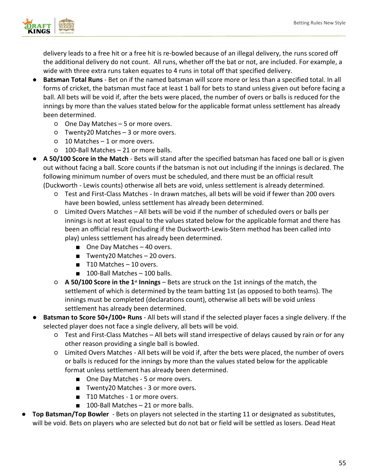

delivery leads to a free hit or a free hit is re-bowled because of an illegal delivery, the runs scored off the additional delivery do not count. All runs, whether off the bat or not, are included. For example, a wide with three extra runs taken equates to 4 runs in total off that specified delivery.

- **Batsman Total Runs** Bet on if the named batsman will score more or less than a specified total. In all forms of cricket, the batsman must face at least 1 ball for bets to stand unless given out before facing a ball. All bets will be void if, after the bets were placed, the number of overs or balls is reduced for the innings by more than the values stated below for the applicable format unless settlement has already been determined.
	- One Day Matches 5 or more overs.
	- Twenty20 Matches – 3 or more overs.
	- 10 Matches – 1 or more overs.
	- 100-Ball Matches – 21 or more balls.
- **A 50/100 Score in the Match** Bets will stand after the specified batsman has faced one ball or is given out without facing a ball. Score counts if the batsman is not out including if the innings is declared. The following minimum number of overs must be scheduled, and there must be an official result (Duckworth - Lewis counts) otherwise all bets are void, unless settlement is already determined.
	- Test and First-Class Matches - In drawn matches, all bets will be void if fewer than 200 overs have been bowled, unless settlement has already been determined.
	- Limited Overs Matches – All bets will be void if the number of scheduled overs or balls per innings is not at least equal to the values stated below for the applicable format and there has been an official result (including if the Duckworth-Lewis-Stern method has been called into play) unless settlement has already been determined.
		- One Day Matches 40 overs.
		- Twenty20 Matches 20 overs.
		- T10 Matches 10 overs.
		- 100-Ball Matches 100 balls.
	- **A 50/100 Score in the 1st Innings** Bets are struck on the 1st innings of the match, the settlement of which is determined by the team batting 1st (as opposed to both teams). The innings must be completed (declarations count), otherwise all bets will be void unless settlement has already been determined.
- **Batsman to Score 50+/100+ Runs** All bets will stand if the selected player faces a single delivery. If the selected player does not face a single delivery, all bets will be void.
	- Test and First-Class Matches All bets will stand irrespective of delays caused by rain or for any other reason providing a single ball is bowled.
	- Limited Overs Matches All bets will be void if, after the bets were placed, the number of overs or balls is reduced for the innings by more than the values stated below for the applicable format unless settlement has already been determined.
		- One Day Matches 5 or more overs.
		- Twenty20 Matches 3 or more overs.
		- T10 Matches 1 or more overs.
		- 100-Ball Matches 21 or more balls.
- **Top Batsman/Top Bowler** Bets on players not selected in the starting 11 or designated as substitutes, will be void. Bets on players who are selected but do not bat or field will be settled as losers. Dead Heat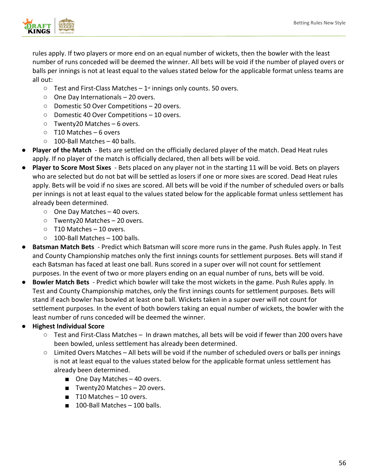

rules apply. If two players or more end on an equal number of wickets, then the bowler with the least number of runs conceded will be deemed the winner. All bets will be void if the number of played overs or balls per innings is not at least equal to the values stated below for the applicable format unless teams are all out:

- $\circ$  Test and First-Class Matches 1<sup>st</sup> innings only counts. 50 overs.
- One Day Internationals 20 overs.
- Domestic 50 Over Competitions 20 overs.
- Domestic 40 Over Competitions 10 overs.
- Twenty20 Matches 6 overs.
- T10 Matches 6 overs
- $\circ$  100-Ball Matches 40 balls.
- **Player of the Match** Bets are settled on the officially declared player of the match. Dead Heat rules apply. If no player of the match is officially declared, then all bets will be void.
- **Player to Score Most Sixes** Bets placed on any player not in the starting 11 will be void. Bets on players who are selected but do not bat will be settled as losers if one or more sixes are scored. Dead Heat rules apply. Bets will be void if no sixes are scored. All bets will be void if the number of scheduled overs or balls per innings is not at least equal to the values stated below for the applicable format unless settlement has already been determined.
	- One Day Matches 40 overs.
	- Twenty20 Matches 20 overs.
	- T10 Matches – 10 overs.
	- 100-Ball Matches – 100 balls.
- **Batsman Match Bets** Predict which Batsman will score more runs in the game. Push Rules apply. In Test and County Championship matches only the first innings counts for settlement purposes. Bets will stand if each Batsman has faced at least one ball. Runs scored in a super over will not count for settlement purposes. In the event of two or more players ending on an equal number of runs, bets will be void.
- **Bowler Match Bets**  Predict which bowler will take the most wickets in the game. Push Rules apply. In Test and County Championship matches, only the first innings counts for settlement purposes. Bets will stand if each bowler has bowled at least one ball. Wickets taken in a super over will not count for settlement purposes. In the event of both bowlers taking an equal number of wickets, the bowler with the least number of runs conceded will be deemed the winner.

#### ● **Highest Individual Score**

- Test and First-Class Matches –  In drawn matches, all bets will be void if fewer than 200 overs have been bowled, unless settlement has already been determined.
- Limited Overs Matches – All bets will be void if the number of scheduled overs or balls per innings is not at least equal to the values stated below for the applicable format unless settlement has already been determined.
	- One Day Matches 40 overs.
	- Twenty20 Matches 20 overs.
	- T10 Matches 10 overs.
	- 100-Ball Matches 100 balls.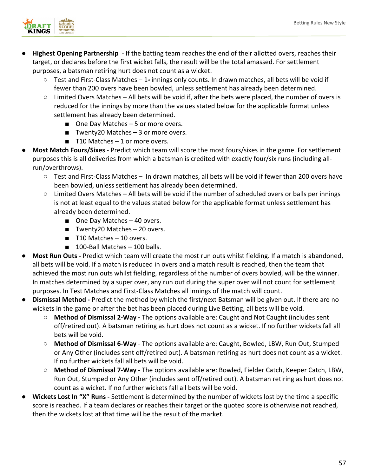

- **Highest Opening Partnership** If the batting team reaches the end of their allotted overs, reaches their target, or declares before the first wicket falls, the result will be the total amassed. For settlement purposes, a batsman retiring hurt does not count as a wicket.
	- $\circ$  Test and First-Class Matches 1<sup>\*</sup> innings only counts. In drawn matches, all bets will be void if fewer than 200 overs have been bowled, unless settlement has already been determined.
	- Limited Overs Matches – All bets will be void if, after the bets were placed, the number of overs is reduced for the innings by more than the values stated below for the applicable format unless settlement has already been determined.
		- One Day Matches 5 or more overs.
		- Twenty20 Matches 3 or more overs.
		- $\blacksquare$  T10 Matches 1 or more overs.
- **Most Match Fours/Sixes** Predict which team will score the most fours/sixes in the game. For settlement purposes this is all deliveries from which a batsman is credited with exactly four/six runs (including allrun/overthrows).
	- Test and First-Class Matches –  In drawn matches, all bets will be void if fewer than 200 overs have been bowled, unless settlement has already been determined.
	- $\circ$  Limited Overs Matches All bets will be void if the number of scheduled overs or balls per innings is not at least equal to the values stated below for the applicable format unless settlement has already been determined.
		- One Day Matches 40 overs.
		- Twenty20 Matches 20 overs.
		- T10 Matches 10 overs.
		- 100-Ball Matches 100 balls.
- **Most Run Outs -** Predict which team will create the most run outs whilst fielding. If a match is abandoned, all bets will be void. If a match is reduced in overs and a match result is reached, then the team that achieved the most run outs whilst fielding, regardless of the number of overs bowled, will be the winner. In matches determined by a super over, any run out during the super over will not count for settlement purposes. In Test Matches and First-Class Matches all innings of the match will count.
- **Dismissal Method -** Predict the method by which the first/next Batsman will be given out. If there are no wickets in the game or after the bet has been placed during Live Betting, all bets will be void.
	- **Method of Dismissal 2-Way -** The options available are: Caught and Not Caught (includes sent off/retired out). A batsman retiring as hurt does not count as a wicket. If no further wickets fall all bets will be void.
	- **Method of Dismissal 6-Way** The options available are: Caught, Bowled, LBW, Run Out, Stumped or Any Other (includes sent off/retired out). A batsman retiring as hurt does not count as a wicket. If no further wickets fall all bets will be void.
	- **Method of Dismissal 7-Way** The options available are: Bowled, Fielder Catch, Keeper Catch, LBW, Run Out, Stumped or Any Other (includes sent off/retired out). A batsman retiring as hurt does not count as a wicket. If no further wickets fall all bets will be void.
- Wickets Lost In "X" Runs Settlement is determined by the number of wickets lost by the time a specific score is reached. If a team declares or reaches their target or the quoted score is otherwise not reached, then the wickets lost at that time will be the result of the market.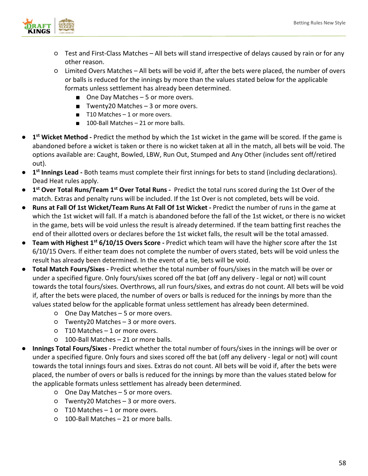

- Test and First-Class Matches All bets will stand irrespective of delays caused by rain or for any other reason.
- Limited Overs Matches – All bets will be void if, after the bets were placed, the number of overs or balls is reduced for the innings by more than the values stated below for the applicable formats unless settlement has already been determined.
	- One Day Matches 5 or more overs.
	- Twenty20 Matches 3 or more overs.
	- T10 Matches 1 or more overs.
	- 100-Ball Matches 21 or more balls.
- **1st Wicket Method -** Predict the method by which the 1st wicket in the game will be scored. If the game is abandoned before a wicket is taken or there is no wicket taken at all in the match, all bets will be void. The options available are: Caught, Bowled, LBW, Run Out, Stumped and Any Other (includes sent off/retired out).
- **1st Innings Lead -** Both teams must complete their first innings for bets to stand (including declarations). Dead Heat rules apply.
- **1st Over Total Runs/Team 1st Over Total Runs -** Predict the total runs scored during the 1st Over of the match. Extras and penalty runs will be included. If the 1st Over is not completed, bets will be void.
- **Runs at Fall Of 1st Wicket/Team Runs At Fall Of 1st Wicket -** Predict the number of runs in the game at which the 1st wicket will fall. If a match is abandoned before the fall of the 1st wicket, or there is no wicket in the game, bets will be void unless the result is already determined. If the team batting first reaches the end of their allotted overs or declares before the 1st wicket falls, the result will be the total amassed.
- **Team with Highest 1st 6/10/15 Overs Score -** Predict which team will have the higher score after the 1st 6/10/15 Overs. If either team does not complete the number of overs stated, bets will be void unless the result has already been determined. In the event of a tie, bets will be void.
- **Total Match Fours/Sixes -** Predict whether the total number of fours/sixes in the match will be over or under a specified figure. Only fours/sixes scored off the bat (off any delivery - legal or not) will count towards the total fours/sixes. Overthrows, all run fours/sixes, and extras do not count. All bets will be void if, after the bets were placed, the number of overs or balls is reduced for the innings by more than the values stated below for the applicable format unless settlement has already been determined.
	- One Day Matches 5 or more overs.
	- Twenty20 Matches 3 or more overs.
	- T10 Matches 1 or more overs.
	- 100-Ball Matches 21 or more balls.
- **Innings Total Fours/Sixes -** Predict whether the total number of fours/sixes in the innings will be over or under a specified figure. Only fours and sixes scored off the bat (off any delivery - legal or not) will count towards the total innings fours and sixes. Extras do not count. All bets will be void if, after the bets were placed, the number of overs or balls is reduced for the innings by more than the values stated below for the applicable formats unless settlement has already been determined.
	- One Day Matches 5 or more overs.
	- Twenty20 Matches 3 or more overs.
	- T10 Matches 1 or more overs.
	- 100-Ball Matches 21 or more balls.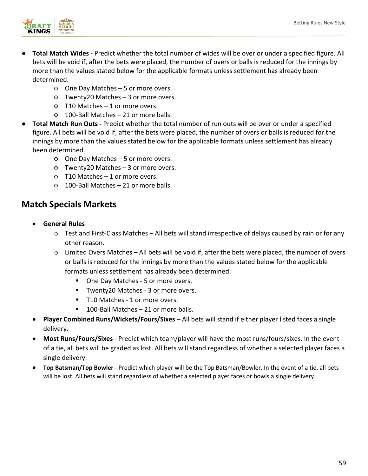

- **Total Match Wides -** Predict whether the total number of wides will be over or under a specified figure. All bets will be void if, after the bets were placed, the number of overs or balls is reduced for the innings by more than the values stated below for the applicable formats unless settlement has already been determined.
	- One Day Matches 5 or more overs.
	- Twenty20 Matches 3 or more overs.
	- T10 Matches 1 or more overs.
	- 100-Ball Matches 21 or more balls.
- **Total Match Run Outs -** Predict whether the total number of run outs will be over or under a specified figure. All bets will be void if, after the bets were placed, the number of overs or balls is reduced for the innings by more than the values stated below for the applicable formats unless settlement has already been determined.
	- One Day Matches 5 or more overs.
	- Twenty20 Matches 3 or more overs.
	- T10 Matches 1 or more overs.
	- 100-Ball Matches 21 or more balls.

## **Match Specials Markets**

- **General Rules** 
	- $\circ$  Test and First-Class Matches All bets will stand irrespective of delays caused by rain or for any other reason.
	- $\circ$  Limited Overs Matches All bets will be void if, after the bets were placed, the number of overs or balls is reduced for the innings by more than the values stated below for the applicable formats unless settlement has already been determined.
		- One Day Matches 5 or more overs.
		- Twenty20 Matches 3 or more overs.
		- T10 Matches 1 or more overs.
		- 100-Ball Matches 21 or more balls.
- **Player Combined Runs/Wickets/Fours/Sixes** All bets will stand if either player listed faces a single delivery.
- **Most Runs/Fours/Sixes** Predict which team/player will have the most runs/fours/sixes. In the event of a tie, all bets will be graded as lost. All bets will stand regardless of whether a selected player faces a single delivery.
- **Top Batsman/Top Bowler** Predict which player will be the Top Batsman/Bowler. In the event of a tie, all bets will be lost. All bets will stand regardless of whether a selected player faces or bowls a single delivery.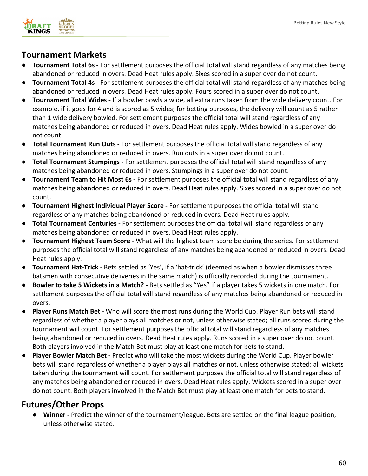

## **Tournament Markets**

- **Tournament Total 6s -** For settlement purposes the official total will stand regardless of any matches being abandoned or reduced in overs. Dead Heat rules apply. Sixes scored in a super over do not count.
- **Tournament Total 4s -** For settlement purposes the official total will stand regardless of any matches being abandoned or reduced in overs. Dead Heat rules apply. Fours scored in a super over do not count.
- **Tournament Total Wides -** If a bowler bowls a wide, all extra runs taken from the wide delivery count. For example, if it goes for 4 and is scored as 5 wides; for betting purposes, the delivery will count as 5 rather than 1 wide delivery bowled. For settlement purposes the official total will stand regardless of any matches being abandoned or reduced in overs. Dead Heat rules apply. Wides bowled in a super over do not count.
- **Total Tournament Run Outs -** For settlement purposes the official total will stand regardless of any matches being abandoned or reduced in overs. Run outs in a super over do not count.
- **Total Tournament Stumpings -** For settlement purposes the official total will stand regardless of any matches being abandoned or reduced in overs. Stumpings in a super over do not count.
- **Tournament Team to Hit Most 6s -** For settlement purposes the official total will stand regardless of any matches being abandoned or reduced in overs. Dead Heat rules apply. Sixes scored in a super over do not count.
- **Tournament Highest Individual Player Score -** For settlement purposes the official total will stand regardless of any matches being abandoned or reduced in overs. Dead Heat rules apply.
- **Total Tournament Centuries -** For settlement purposes the official total will stand regardless of any matches being abandoned or reduced in overs. Dead Heat rules apply.
- **Tournament Highest Team Score -** What will the highest team score be during the series. For settlement purposes the official total will stand regardless of any matches being abandoned or reduced in overs. Dead Heat rules apply.
- **Tournament Hat-Trick -** Bets settled as 'Yes', if a 'hat-trick' (deemed as when a bowler dismisses three batsmen with consecutive deliveries in the same match) is officially recorded during the tournament.
- **Bowler to take 5 Wickets in a Match? -** Bets settled as "Yes" if a player takes 5 wickets in one match. For settlement purposes the official total will stand regardless of any matches being abandoned or reduced in overs.
- **Player Runs Match Bet -** Who will score the most runs during the World Cup. Player Run bets will stand regardless of whether a player plays all matches or not, unless otherwise stated; all runs scored during the tournament will count. For settlement purposes the official total will stand regardless of any matches being abandoned or reduced in overs. Dead Heat rules apply. Runs scored in a super over do not count. Both players involved in the Match Bet must play at least one match for bets to stand.
- **Player Bowler Match Bet -** Predict who will take the most wickets during the World Cup. Player bowler bets will stand regardless of whether a player plays all matches or not, unless otherwise stated; all wickets taken during the tournament will count. For settlement purposes the official total will stand regardless of any matches being abandoned or reduced in overs. Dead Heat rules apply. Wickets scored in a super over do not count. Both players involved in the Match Bet must play at least one match for bets to stand.

## **Futures/Other Props**

● **Winner -** Predict the winner of the tournament/league. Bets are settled on the final league position, unless otherwise stated.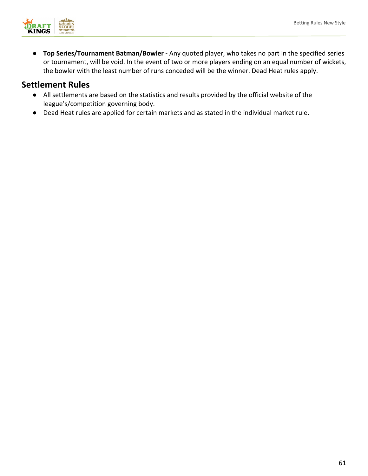

● **Top Series/Tournament Batman/Bowler -** Any quoted player, who takes no part in the specified series or tournament, will be void. In the event of two or more players ending on an equal number of wickets, the bowler with the least number of runs conceded will be the winner. Dead Heat rules apply.

- All settlements are based on the statistics and results provided by the official website of the league's/competition governing body.
- Dead Heat rules are applied for certain markets and as stated in the individual market rule.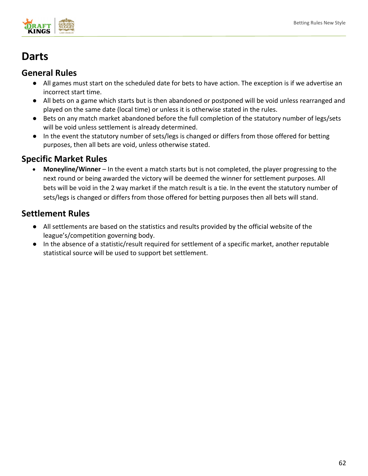

## **Darts**

## **General Rules**

- All games must start on the scheduled date for bets to have action. The exception is if we advertise an incorrect start time.
- All bets on a game which starts but is then abandoned or postponed will be void unless rearranged and played on the same date (local time) or unless it is otherwise stated in the rules.
- Bets on any match market abandoned before the full completion of the statutory number of legs/sets will be void unless settlement is already determined.
- In the event the statutory number of sets/legs is changed or differs from those offered for betting purposes, then all bets are void, unless otherwise stated.

## **Specific Market Rules**

• **Moneyline/Winner**– In the event a match starts but is not completed, the player progressing to the next round or being awarded the victory will be deemed the winner for settlement purposes. All bets will be void in the 2 way market if the match result is a tie. In the event the statutory number of sets/legs is changed or differs from those offered for betting purposes then all bets will stand. 

- All settlements are based on the statistics and results provided by the official website of the league's/competition governing body.
- In the absence of a statistic/result required for settlement of a specific market, another reputable statistical source will be used to support bet settlement.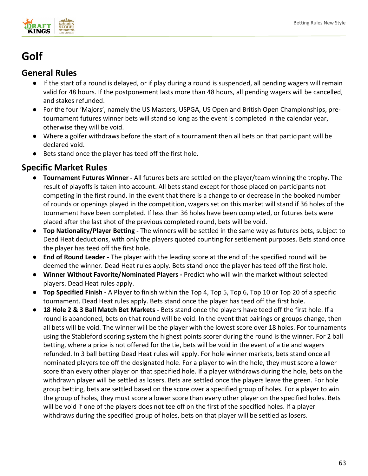

## **Golf**

## **General Rules**

- If the start of a round is delayed, or if play during a round is suspended, all pending wagers will remain valid for 48 hours. If the postponement lasts more than 48 hours, all pending wagers will be cancelled, and stakes refunded.
- For the four 'Majors', namely the US Masters, USPGA, US Open and British Open Championships, pretournament futures winner bets will stand so long as the event is completed in the calendar year, otherwise they will be void.
- Where a golfer withdraws before the start of a tournament then all bets on that participant will be declared void.
- Bets stand once the player has teed off the first hole.

- **Tournament Futures Winner -** All futures bets are settled on the player/team winning the trophy. The result of playoffs is taken into account. All bets stand except for those placed on participants not competing in the first round. In the event that there is a change to or decrease in the booked number of rounds or openings played in the competition, wagers set on this market will stand if 36 holes of the tournament have been completed. If less than 36 holes have been completed, or futures bets were placed after the last shot of the previous completed round, bets will be void.
- **Top Nationality/Player Betting -** The winners will be settled in the same way as futures bets, subject to Dead Heat deductions, with only the players quoted counting for settlement purposes. Bets stand once the player has teed off the first hole.
- **End of Round Leader -** The player with the leading score at the end of the specified round will be deemed the winner. Dead Heat rules apply. Bets stand once the player has teed off the first hole.
- **Winner Without Favorite/Nominated Players -** Predict who will win the market without selected players. Dead Heat rules apply.
- **Top Specified Finish -** A Player to finish within the Top 4, Top 5, Top 6, Top 10 or Top 20 of a specific tournament. Dead Heat rules apply. Bets stand once the player has teed off the first hole.
- **18 Hole 2 & 3 Ball Match Bet Markets -** Bets stand once the players have teed off the first hole. If a round is abandoned, bets on that round will be void. In the event that pairings or groups change, then all bets will be void. The winner will be the player with the lowest score over 18 holes. For tournaments using the Stableford scoring system the highest points scorer during the round is the winner. For 2 ball betting, where a price is not offered for the tie, bets will be void in the event of a tie and wagers refunded. In 3 ball betting Dead Heat rules will apply. For hole winner markets, bets stand once all nominated players tee off the designated hole. For a player to win the hole, they must score a lower score than every other player on that specified hole. If a player withdraws during the hole, bets on the withdrawn player will be settled as losers. Bets are settled once the players leave the green. For hole group betting, bets are settled based on the score over a specified group of holes. For a player to win the group of holes, they must score a lower score than every other player on the specified holes. Bets will be void if one of the players does not tee off on the first of the specified holes. If a player withdraws during the specified group of holes, bets on that player will be settled as losers.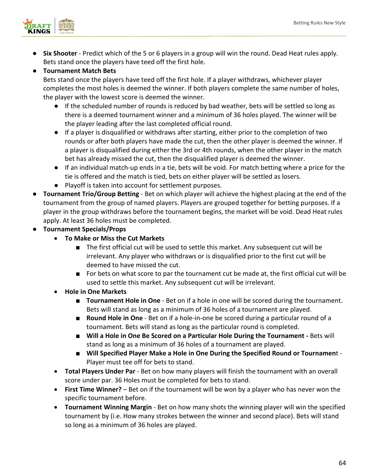

● **Six Shooter** - Predict which of the 5 or 6 players in a group will win the round. Dead Heat rules apply. Bets stand once the players have teed off the first hole.

#### ● **Tournament Match Bets**

Bets stand once the players have teed off the first hole. If a player withdraws, whichever player completes the most holes is deemed the winner. If both players complete the same number of holes, the player with the lowest score is deemed the winner.

- If the scheduled number of rounds is reduced by bad weather, bets will be settled so long as there is a deemed tournament winner and a minimum of 36 holes played. The winner will be the player leading after the last completed official round.
- If a player is disqualified or withdraws after starting, either prior to the completion of two rounds or after both players have made the cut, then the other player is deemed the winner. If a player is disqualified during either the 3rd or 4th rounds, when the other player in the match bet has already missed the cut, then the disqualified player is deemed the winner.
- If an individual match-up ends in a tie, bets will be void. For match betting where a price for the tie is offered and the match is tied, bets on either player will be settled as losers.
- Playoff is taken into account for settlement purposes.
- **Tournament Trio/Group Betting** Bet on which player will achieve the highest placing at the end of the tournament from the group of named players. Players are grouped together for betting purposes. If a player in the group withdraws before the tournament begins, the market will be void. Dead Heat rules apply. At least 36 holes must be completed.
- **Tournament Specials/Props**
	- **To Make or Miss the Cut Markets**
		- The first official cut will be used to settle this market. Any subsequent cut will be irrelevant. Any player who withdraws or is disqualified prior to the first cut will be deemed to have missed the cut.
		- For bets on what score to par the tournament cut be made at, the first official cut will be used to settle this market. Any subsequent cut will be irrelevant.
	- **Hole in One Markets**
		- **Tournament Hole in One** Bet on if a hole in one will be scored during the tournament. Bets will stand as long as a minimum of 36 holes of a tournament are played.
		- **Round Hole in One** Bet on if a hole-in-one be scored during a particular round of a tournament. Bets will stand as long as the particular round is completed.
		- **Will a Hole in One Be Scored on a Particular Hole During the Tournament** Bets will stand as long as a minimum of 36 holes of a tournament are played.
		- Will Specified Player Make a Hole in One During the Specified Round or Tournament -Player must tee off for bets to stand.
	- **Total Players Under Par**  Bet on how many players will finish the tournament with an overall score under par. 36 Holes must be completed for bets to stand.
	- **First Time Winner?**  Bet on if the tournament will be won by a player who has never won the specific tournament before.
	- **Tournament Winning Margin** Bet on how many shots the winning player will win the specified tournament by (i.e. How many strokes between the winner and second place). Bets will stand so long as a minimum of 36 holes are played.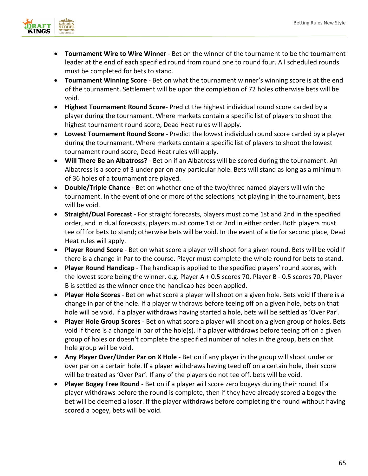

- **Tournament Wire to Wire Winner** Bet on the winner of the tournament to be the tournament leader at the end of each specified round from round one to round four. All scheduled rounds must be completed for bets to stand.
- **Tournament Winning Score** Bet on what the tournament winner's winning score is at the end of the tournament. Settlement will be upon the completion of 72 holes otherwise bets will be void.
- **Highest Tournament Round Score** Predict the highest individual round score carded by a player during the tournament. Where markets contain a specific list of players to shoot the highest tournament round score, Dead Heat rules will apply.
- **Lowest Tournament Round Score** Predict the lowest individual round score carded by a player during the tournament. Where markets contain a specific list of players to shoot the lowest tournament round score, Dead Heat rules will apply.
- **Will There Be an Albatross?**  Bet on if an Albatross will be scored during the tournament. An Albatross is a score of 3 under par on any particular hole. Bets will stand as long as a minimum of 36 holes of a tournament are played.
- **Double/Triple Chance** Bet on whether one of the two/three named players will win the tournament. In the event of one or more of the selections not playing in the tournament, bets will be void.
- **Straight/Dual Forecast** For straight forecasts, players must come 1st and 2nd in the specified order, and in dual forecasts, players must come 1st or 2nd in either order. Both players must tee off for bets to stand; otherwise bets will be void. In the event of a tie for second place, Dead Heat rules will apply.
- **Player Round Score** Bet on what score a player will shoot for a given round. Bets will be void If there is a change in Par to the course. Player must complete the whole round for bets to stand.
- **Player Round Handicap** The handicap is applied to the specified players' round scores, with the lowest score being the winner. e.g. Player A + 0.5 scores 70, Player B - 0.5 scores 70, Player B is settled as the winner once the handicap has been applied.
- **Player Hole Scores** Bet on what score a player will shoot on a given hole. Bets void If there is a change in par of the hole. If a player withdraws before teeing off on a given hole, bets on that hole will be void. If a player withdraws having started a hole, bets will be settled as 'Over Par'.
- **Player Hole Group Scores** Bet on what score a player will shoot on a given group of holes. Bets void If there is a change in par of the hole(s). If a player withdraws before teeing off on a given group of holes or doesn't complete the specified number of holes in the group, bets on that hole group will be void.
- **Any Player Over/Under Par on X Hole** Bet on if any player in the group will shoot under or over par on a certain hole. If a player withdraws having teed off on a certain hole, their score will be treated as 'Over Par'. If any of the players do not tee off, bets will be void.
- **Player Bogey Free Round** Bet on if a player will score zero bogeys during their round. If a player withdraws before the round is complete, then if they have already scored a bogey the bet will be deemed a loser. If the player withdraws before completing the round without having scored a bogey, bets will be void.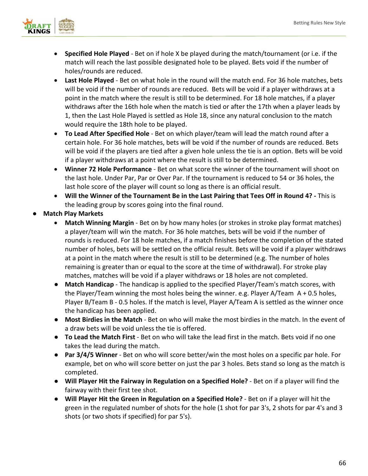

- **Specified Hole Played** Bet on if hole X be played during the match/tournament (or i.e. if the match will reach the last possible designated hole to be played. Bets void if the number of holes/rounds are reduced.
- **Last Hole Played** Bet on what hole in the round will the match end. For 36 hole matches, bets will be void if the number of rounds are reduced. Bets will be void if a player withdraws at a point in the match where the result is still to be determined. For 18 hole matches, if a player withdraws after the 16th hole when the match is tied or after the 17th when a player leads by 1, then the Last Hole Played is settled as Hole 18, since any natural conclusion to the match would require the 18th hole to be played.
- **To Lead After Specified Hole** Bet on which player/team will lead the match round after a certain hole. For 36 hole matches, bets will be void if the number of rounds are reduced. Bets will be void if the players are tied after a given hole unless the tie is an option. Bets will be void if a player withdraws at a point where the result is still to be determined.
- **Winner 72 Hole Performance**  Bet on what score the winner of the tournament will shoot on the last hole. Under Par, Par or Over Par. If the tournament is reduced to 54 or 36 holes, the last hole score of the player will count so long as there is an official result.
- **Will the Winner of the Tournament Be in the Last Pairing that Tees Off in Round 4? -** This is the leading group by scores going into the final round.
- **Match Play Markets** 
	- **Match Winning Margin** Bet on by how many holes (or strokes in stroke play format matches) a player/team will win the match. For 36 hole matches, bets will be void if the number of rounds is reduced. For 18 hole matches, if a match finishes before the completion of the stated number of holes, bets will be settled on the official result. Bets will be void if a player withdraws at a point in the match where the result is still to be determined (e.g. The number of holes remaining is greater than or equal to the score at the time of withdrawal). For stroke play matches, matches will be void if a player withdraws or 18 holes are not completed.
	- **Match Handicap** The handicap is applied to the specified Player/Team's match scores, with the Player/Team winning the most holes being the winner. e.g. Player A/Team A + 0.5 holes, Player B/Team B - 0.5 holes. If the match is level, Player A/Team A is settled as the winner once the handicap has been applied.
	- **Most Birdies in the Match** Bet on who will make the most birdies in the match. In the event of a draw bets will be void unless the tie is offered.
	- **To Lead the Match First** Bet on who will take the lead first in the match. Bets void if no one takes the lead during the match.
	- **Par 3/4/5 Winner**  Bet on who will score better/win the most holes on a specific par hole. For example, bet on who will score better on just the par 3 holes. Bets stand so long as the match is completed.
	- **Will Player Hit the Fairway in Regulation on a Specified Hole?** Bet on if a player will find the fairway with their first tee shot.
	- **Will Player Hit the Green in Regulation on a Specified Hole?** Bet on if a player will hit the green in the regulated number of shots for the hole (1 shot for par 3's, 2 shots for par 4's and 3 shots (or two shots if specified) for par 5's).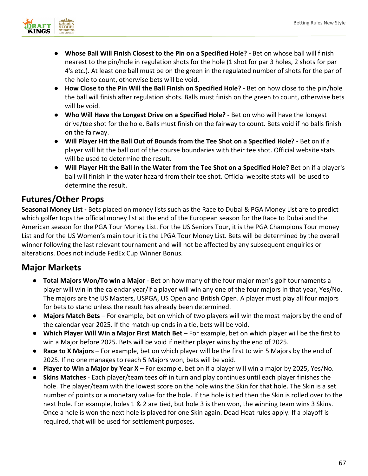

- **Whose Ball Will Finish Closest to the Pin on a Specified Hole? -** Bet on whose ball will finish nearest to the pin/hole in regulation shots for the hole (1 shot for par 3 holes, 2 shots for par 4's etc.). At least one ball must be on the green in the regulated number of shots for the par of the hole to count, otherwise bets will be void.
- **How Close to the Pin Will the Ball Finish on Specified Hole? -** Bet on how close to the pin/hole the ball will finish after regulation shots. Balls must finish on the green to count, otherwise bets will be void.
- **Who Will Have the Longest Drive on a Specified Hole? -** Bet on who will have the longest drive/tee shot for the hole. Balls must finish on the fairway to count. Bets void if no balls finish on the fairway.
- **Will Player Hit the Ball Out of Bounds from the Tee Shot on a Specified Hole? -** Bet on if a player will hit the ball out of the course boundaries with their tee shot. Official website stats will be used to determine the result.
- **Will Player Hit the Ball in the Water from the Tee Shot on a Specified Hole?** Bet on if a player's ball will finish in the water hazard from their tee shot. Official website stats will be used to determine the result.

## **Futures/Other Props**

**Seasonal Money List -** Bets placed on money lists such as the Race to Dubai & PGA Money List are to predict which golfer tops the official money list at the end of the European season for the Race to Dubai and the American season for the PGA Tour Money List. For the US Seniors Tour, it is the PGA Champions Tour money List and for the US Women's main tour it is the LPGA Tour Money List. Bets will be determined by the overall winner following the last relevant tournament and will not be affected by any subsequent enquiries or alterations. Does not include FedEx Cup Winner Bonus.

## **Major Markets**

- **Total Majors Won/To win a Major** Bet on how many of the four major men's golf tournaments a player will win in the calendar year/if a player will win any one of the four majors in that year, Yes/No. The majors are the US Masters, USPGA, US Open and British Open. A player must play all four majors for bets to stand unless the result has already been determined.
- **Majors Match Bets** For example, bet on which of two players will win the most majors by the end of the calendar year 2025. If the match-up ends in a tie, bets will be void.
- **Which Player Will Win a Major First Match Bet** For example, bet on which player will be the first to win a Major before 2025. Bets will be void if neither player wins by the end of 2025.
- **Race to X Majors** For example, bet on which player will be the first to win 5 Majors by the end of 2025. If no one manages to reach 5 Majors won, bets will be void.
- **Player to Win a Major by Year X** For example, bet on if a player will win a major by 2025, Yes/No.
- **Skins Matches**  Each player/team tees off in turn and play continues until each player finishes the hole. The player/team with the lowest score on the hole wins the Skin for that hole. The Skin is a set number of points or a monetary value for the hole. If the hole is tied then the Skin is rolled over to the next hole. For example, holes 1 & 2 are tied, but hole 3 is then won, the winning team wins 3 Skins. Once a hole is won the next hole is played for one Skin again. Dead Heat rules apply. If a playoff is required, that will be used for settlement purposes.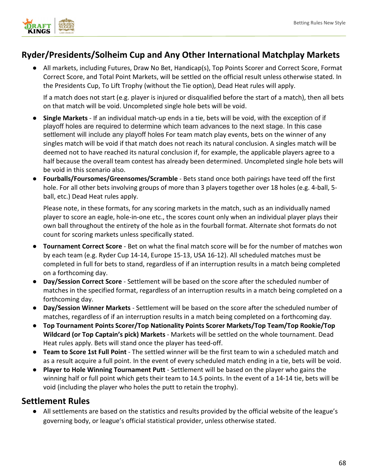

## **Ryder/Presidents/Solheim Cup and Any Other International Matchplay Markets**

All markets, including Futures, Draw No Bet, Handicap(s), Top Points Scorer and Correct Score, Format Correct Score, and Total Point Markets, will be settled on the official result unless otherwise stated. In the Presidents Cup, To Lift Trophy (without the Tie option), Dead Heat rules will apply.

If a match does not start (e.g. player is injured or disqualified before the start of a match), then all bets on that match will be void. Uncompleted single hole bets will be void.

- **Single Markets** If an individual match-up ends in a tie, bets will be void, with the exception of if playoff holes are required to determine which team advances to the next stage. In this case settlement will include any playoff holes For team match play events, bets on the winner of any singles match will be void if that match does not reach its natural conclusion. A singles match will be deemed not to have reached its natural conclusion if, for example, the applicable players agree to a half because the overall team contest has already been determined. Uncompleted single hole bets will be void in this scenario also.
- **Fourballs/Foursomes/Greensomes/Scramble**  Bets stand once both pairings have teed off the first hole. For all other bets involving groups of more than 3 players together over 18 holes (e.g. 4-ball, 5 ball, etc.) Dead Heat rules apply.

Please note, in these formats, for any scoring markets in the match, such as an individually named player to score an eagle, hole-in-one etc., the scores count only when an individual player plays their own ball throughout the entirety of the hole as in the fourball format. Alternate shot formats do not count for scoring markets unless specifically stated.

- **Tournament Correct Score** Bet on what the final match score will be for the number of matches won by each team (e.g. Ryder Cup 14-14, Europe 15-13, USA 16-12). All scheduled matches must be completed in full for bets to stand, regardless of if an interruption results in a match being completed on a forthcoming day.
- **Day/Session Correct Score** Settlement will be based on the score after the scheduled number of matches in the specified format, regardless of an interruption results in a match being completed on a forthcoming day.
- **Day/Session Winner Markets** Settlement will be based on the score after the scheduled number of matches, regardless of if an interruption results in a match being completed on a forthcoming day.
- **Top Tournament Points Scorer/Top Nationality Points Scorer Markets/Top Team/Top Rookie/Top Wildcard (or Top Captain's pick) Markets** - Markets will be settled on the whole tournament. Dead Heat rules apply. Bets will stand once the player has teed-off.
- **Team to Score 1st Full Point**  The settled winner will be the first team to win a scheduled match and as a result acquire a full point. In the event of every scheduled match ending in a tie, bets will be void.
- **Player to Hole Winning Tournament Putt** Settlement will be based on the player who gains the winning half or full point which gets their team to 14.5 points. In the event of a 14-14 tie, bets will be void (including the player who holes the putt to retain the trophy).

## **Settlement Rules**

● All settlements are based on the statistics and results provided by the official website of the league's governing body, or league's official statistical provider, unless otherwise stated.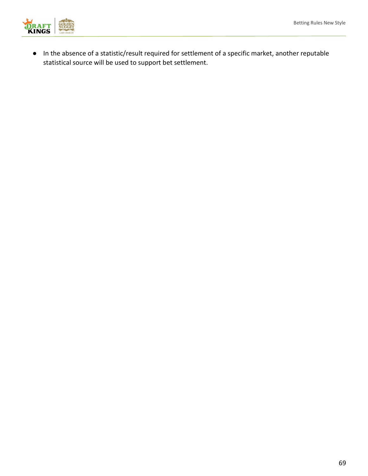

● In the absence of a statistic/result required for settlement of a specific market, another reputable statistical source will be used to support bet settlement.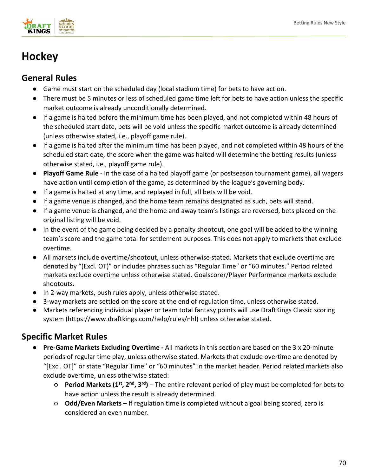

# **Hockey**

## **General Rules**

- Game must start on the scheduled day (local stadium time) for bets to have action.
- There must be 5 minutes or less of scheduled game time left for bets to have action unless the specific market outcome is already unconditionally determined.
- If a game is halted before the minimum time has been played, and not completed within 48 hours of the scheduled start date, bets will be void unless the specific market outcome is already determined (unless otherwise stated, i.e., playoff game rule).
- If a game is halted after the minimum time has been played, and not completed within 48 hours of the scheduled start date, the score when the game was halted will determine the betting results (unless otherwise stated, i.e., playoff game rule).
- **Playoff Game Rule** In the case of a halted playoff game (or postseason tournament game), all wagers have action until completion of the game, as determined by the league's governing body.
- If a game is halted at any time, and replayed in full, all bets will be void.
- If a game venue is changed, and the home team remains designated as such, bets will stand.
- If a game venue is changed, and the home and away team's listings are reversed, bets placed on the original listing will be void.
- In the event of the game being decided by a penalty shootout, one goal will be added to the winning team's score and the game total for settlement purposes. This does not apply to markets that exclude overtime.
- All markets include overtime/shootout, unless otherwise stated. Markets that exclude overtime are denoted by "(Excl. OT)" or includes phrases such as "Regular Time" or "60 minutes." Period related markets exclude overtime unless otherwise stated. Goalscorer/Player Performance markets exclude shootouts.
- In 2-way markets, push rules apply, unless otherwise stated.
- 3-way markets are settled on the score at the end of regulation time, unless otherwise stated.
- Markets referencing individual player or team total fantasy points will use DraftKings Classic scoring system (https://www.draftkings.com/help/rules/nhl) unless otherwise stated.

- **Pre-Game Markets Excluding Overtime -** All markets in this section are based on the 3 x 20-minute periods of regular time play, unless otherwise stated. Markets that exclude overtime are denoted by "[Excl. OT]" or state "Regular Time" or "60 minutes" in the market header. Period related markets also exclude overtime, unless otherwise stated:
	- **Period Markets (1st, 2nd, 3rd)** The entire relevant period of play must be completed for bets to have action unless the result is already determined.
	- **Odd/Even Markets** If regulation time is completed without a goal being scored, zero is considered an even number.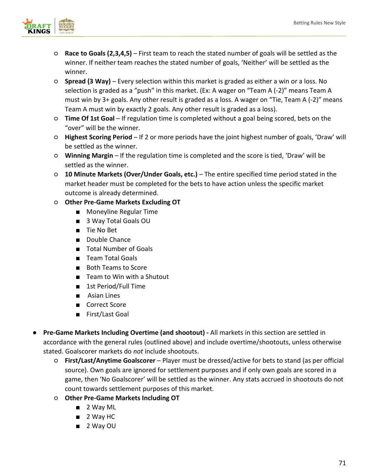

- **Race to Goals (2,3,4,5)** First team to reach the stated number of goals will be settled as the winner. If neither team reaches the stated number of goals, 'Neither' will be settled as the winner.
- **Spread (3 Way)**  Every selection within this market is graded as either a win or a loss. No selection is graded as a "push" in this market. (Ex: A wager on "Team A (-2)" means Team A must win by 3+ goals. Any other result is graded as a loss. A wager on "Tie, Team A (-2)" means Team A must win by exactly 2 goals. Any other result is graded as a loss).
- **Time Of 1st Goal**  If regulation time is completed without a goal being scored, bets on the "over" will be the winner.
- **Highest Scoring Period**  If 2 or more periods have the joint highest number of goals, 'Draw' will be settled as the winner.
- **Winning Margin** If the regulation time is completed and the score is tied, 'Draw' will be settled as the winner.
- **10 Minute Markets (Over/Under Goals, etc.)** The entire specified time period stated in the market header must be completed for the bets to have action unless the specific market outcome is already determined.
- **Other Pre-Game Markets Excluding OT**
	- Moneyline Regular Time
	- 3 Way Total Goals OU
	- Tie No Bet
	- Double Chance
	- Total Number of Goals
	- Team Total Goals
	- Both Teams to Score
	- Team to Win with a Shutout
	- 1st Period/Full Time
	- Asian Lines
	- Correct Score
	- First/Last Goal
- **Pre-Game Markets Including Overtime (and shootout) -** All markets in this section are settled in accordance with the general rules (outlined above) and include overtime/shootouts, unless otherwise stated. Goalscorer markets do *not* include shootouts.
	- **First/Last/Anytime Goalscorer** Player must be dressed/active for bets to stand (as per official source). Own goals are ignored for settlement purposes and if only own goals are scored in a game, then 'No Goalscorer' will be settled as the winner. Any stats accrued in shootouts do not count towards settlement purposes of this market.
	- **Other Pre-Game Markets Including OT** 
		- 2 Way ML
		- 2 Way HC
		- 2 Way OU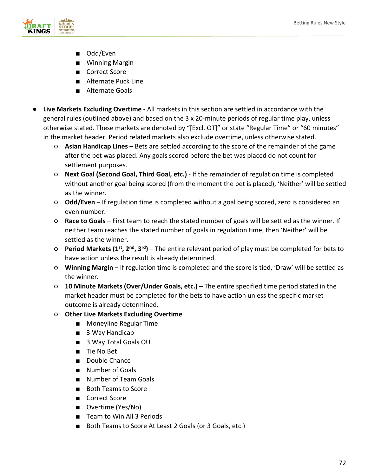

- Odd/Even
- Winning Margin
- Correct Score
- Alternate Puck Line
- Alternate Goals
- **Live Markets Excluding Overtime -** All markets in this section are settled in accordance with the general rules (outlined above) and based on the 3 x 20-minute periods of regular time play, unless otherwise stated. These markets are denoted by "[Excl. OT]" or state "Regular Time" or "60 minutes" in the market header. Period related markets also exclude overtime, unless otherwise stated.
	- **Asian Handicap Lines** Bets are settled according to the score of the remainder of the game after the bet was placed. Any goals scored before the bet was placed do not count for settlement purposes.
	- **Next Goal (Second Goal, Third Goal, etc.)**  If the remainder of regulation time is completed without another goal being scored (from the moment the bet is placed), 'Neither' will be settled as the winner.
	- **Odd/Even** If regulation time is completed without a goal being scored, zero is considered an even number.
	- **Race to Goals** First team to reach the stated number of goals will be settled as the winner. If neither team reaches the stated number of goals in regulation time, then 'Neither' will be settled as the winner.
	- **Period Markets (1st, 2nd, 3rd)** The entire relevant period of play must be completed for bets to have action unless the result is already determined.
	- **Winning Margin** If regulation time is completed and the score is tied, 'Draw' will be settled as the winner.
	- **10 Minute Markets (Over/Under Goals, etc.)**  The entire specified time period stated in the market header must be completed for the bets to have action unless the specific market outcome is already determined.
	- **Other Live Markets Excluding Overtime**
		- Moneyline Regular Time
		- 3 Way Handicap
		- 3 Way Total Goals OU
		- Tie No Bet
		- Double Chance
		- Number of Goals
		- Number of Team Goals
		- Both Teams to Score
		- Correct Score
		- Overtime (Yes/No)
		- Team to Win All 3 Periods
		- Both Teams to Score At Least 2 Goals (or 3 Goals, etc.)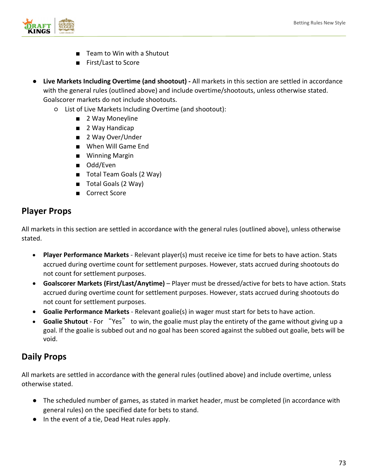

- Team to Win with a Shutout
- First/Last to Score
- **Live Markets Including Overtime (and shootout) -** All markets in this section are settled in accordance with the general rules (outlined above) and include overtime/shootouts, unless otherwise stated. Goalscorer markets do not include shootouts.
	- List of Live Markets Including Overtime (and shootout):
		- 2 Way Moneyline
		- 2 Way Handicap
		- 2 Way Over/Under
		- When Will Game End
		- Winning Margin
		- Odd/Even
		- Total Team Goals (2 Way)
		- Total Goals (2 Way)
		- Correct Score

## **Player Props**

All markets in this section are settled in accordance with the general rules (outlined above), unless otherwise stated.

- **Player Performance Markets**  Relevant player(s) must receive ice time for bets to have action. Stats accrued during overtime count for settlement purposes. However, stats accrued during shootouts do not count for settlement purposes.
- **Goalscorer Markets (First/Last/Anytime)**  Player must be dressed/active for bets to have action. Stats accrued during overtime count for settlement purposes. However, stats accrued during shootouts do not count for settlement purposes.
- **Goalie Performance Markets** Relevant goalie(s) in wager must start for bets to have action.
- **Goalie Shutout** For "Yes" to win, the goalie must play the entirety of the game without giving up a goal. If the goalie is subbed out and no goal has been scored against the subbed out goalie, bets will be void.

# **Daily Props**

All markets are settled in accordance with the general rules (outlined above) and include overtime, unless otherwise stated.

- The scheduled number of games, as stated in market header, must be completed (in accordance with general rules) on the specified date for bets to stand.
- In the event of a tie, Dead Heat rules apply.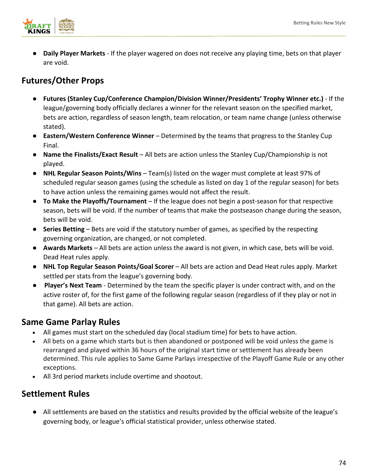

**Daily Player Markets** - If the player wagered on does not receive any playing time, bets on that player are void.

# **Futures/Other Props**

- **Futures (Stanley Cup/Conference Champion/Division Winner/Presidents' Trophy Winner etc.)**  If the league/governing body officially declares a winner for the relevant season on the specified market, bets are action, regardless of season length, team relocation, or team name change (unless otherwise stated).
- **Eastern/Western Conference Winner**  Determined by the teams that progress to the Stanley Cup Final.
- **Name the Finalists/Exact Result**  All bets are action unless the Stanley Cup/Championship is not played.
- **NHL Regular Season Points/Wins** Team(s) listed on the wager must complete at least 97% of scheduled regular season games (using the schedule as listed on day 1 of the regular season) for bets to have action unless the remaining games would not affect the result.
- **To Make the Playoffs/Tournament** If the league does not begin a post-season for that respective season, bets will be void. If the number of teams that make the postseason change during the season, bets will be void.
- **Series Betting** Bets are void if the statutory number of games, as specified by the respecting governing organization, are changed, or not completed.
- **Awards Markets**  All bets are action unless the award is not given, in which case, bets will be void. Dead Heat rules apply.
- **NHL Top Regular Season Points/Goal Scorer** All bets are action and Dead Heat rules apply. Market settled per stats from the league's governing body.
- **Player's Next Team** Determined by the team the specific player is under contract with, and on the active roster of, for the first game of the following regular season (regardless of if they play or not in that game). All bets are action.

# **Same Game Parlay Rules**

- All games must start on the scheduled day (local stadium time) for bets to have action.
- All bets on a game which starts but is then abandoned or postponed will be void unless the game is rearranged and played within 36 hours of the original start time or settlement has already been determined. This rule applies to Same Game Parlays irrespective of the Playoff Game Rule or any other exceptions.
- All 3rd period markets include overtime and shootout.

# **Settlement Rules**

● All settlements are based on the statistics and results provided by the official website of the league's governing body, or league's official statistical provider, unless otherwise stated.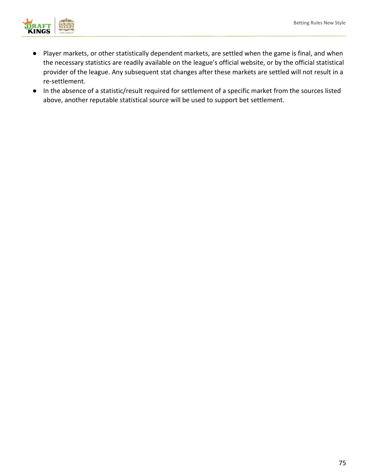

- Player markets, or other statistically dependent markets, are settled when the game is final, and when the necessary statistics are readily available on the league's official website, or by the official statistical provider of the league. Any subsequent stat changes after these markets are settled will not result in a re-settlement.
- In the absence of a statistic/result required for settlement of a specific market from the sources listed above, another reputable statistical source will be used to support bet settlement.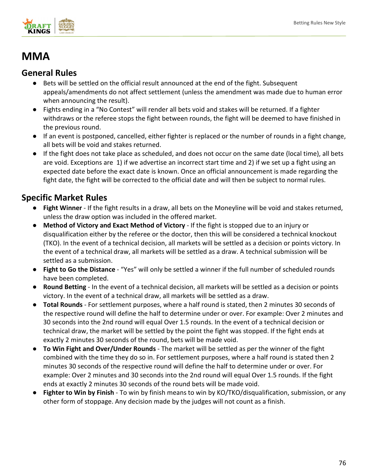

# **MMA**

## **General Rules**

- Bets will be settled on the official result announced at the end of the fight. Subsequent appeals/amendments do not affect settlement (unless the amendment was made due to human error when announcing the result).
- Fights ending in a "No Contest" will render all bets void and stakes will be returned. If a fighter withdraws or the referee stops the fight between rounds, the fight will be deemed to have finished in the previous round.
- If an event is postponed, cancelled, either fighter is replaced or the number of rounds in a fight change, all bets will be void and stakes returned.
- If the fight does not take place as scheduled, and does not occur on the same date (local time), all bets are void. Exceptions are 1) if we advertise an incorrect start time and 2) if we set up a fight using an expected date before the exact date is known. Once an official announcement is made regarding the fight date, the fight will be corrected to the official date and will then be subject to normal rules.

# **Specific Market Rules**

- Fight Winner If the fight results in a draw, all bets on the Moneyline will be void and stakes returned, unless the draw option was included in the offered market.
- **Method of Victory and Exact Method of Victory**  If the fight is stopped due to an injury or disqualification either by the referee or the doctor, then this will be considered a technical knockout (TKO). In the event of a technical decision, all markets will be settled as a decision or points victory. In the event of a technical draw, all markets will be settled as a draw. A technical submission will be settled as a submission.
- **Fight to Go the Distance** "Yes" will only be settled a winner if the full number of scheduled rounds have been completed.
- **Round Betting** In the event of a technical decision, all markets will be settled as a decision or points victory. In the event of a technical draw, all markets will be settled as a draw.
- **Total Rounds** For settlement purposes, where a half round is stated, then 2 minutes 30 seconds of the respective round will define the half to determine under or over. For example: Over 2 minutes and 30 seconds into the 2nd round will equal Over 1.5 rounds. In the event of a technical decision or technical draw, the market will be settled by the point the fight was stopped. If the fight ends at exactly 2 minutes 30 seconds of the round, bets will be made void.
- **To Win Fight and Over/Under Rounds** The market will be settled as per the winner of the fight combined with the time they do so in. For settlement purposes, where a half round is stated then 2 minutes 30 seconds of the respective round will define the half to determine under or over. For example: Over 2 minutes and 30 seconds into the 2nd round will equal Over 1.5 rounds. If the fight ends at exactly 2 minutes 30 seconds of the round bets will be made void.
- **Fighter to Win by Finish** To win by finish means to win by KO/TKO/disqualification, submission, or any other form of stoppage. Any decision made by the judges will not count as a finish.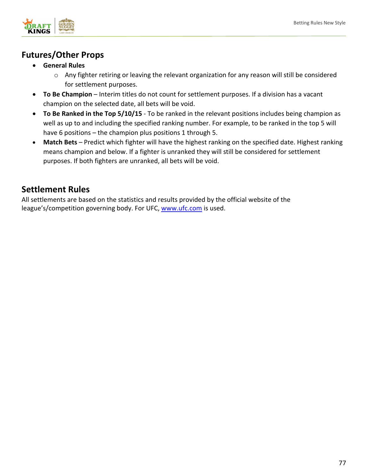

# **Futures/Other Props**

- **General Rules**
	- $\circ$  Any fighter retiring or leaving the relevant organization for any reason will still be considered for settlement purposes.
- **To Be Champion** Interim titles do not count for settlement purposes. If a division has a vacant champion on the selected date, all bets will be void.
- **To Be Ranked in the Top 5/10/15** - To be ranked in the relevant positions includes being champion as well as up to and including the specified ranking number. For example, to be ranked in the top 5 will have 6 positions – the champion plus positions 1 through 5.
- **Match Bets** Predict which fighter will have the highest ranking on the specified date. Highest ranking means champion and below. If a fighter is unranked they will still be considered for settlement purposes. If both fighters are unranked, all bets will be void.

# **Settlement Rules**

All settlements are based on the statistics and results provided by the official website of the league's/competition governing body. For UFC, [www.ufc.com](http://www.ufc.com/) is used.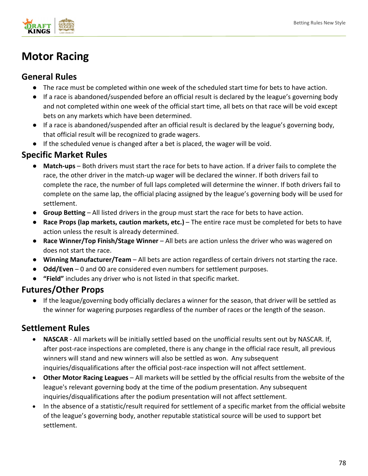

# **Motor Racing**

## **General Rules**

- The race must be completed within one week of the scheduled start time for bets to have action.
- If a race is abandoned/suspended before an official result is declared by the league's governing body and not completed within one week of the official start time, all bets on that race will be void except bets on any markets which have been determined.
- If a race is abandoned/suspended after an official result is declared by the league's governing body, that official result will be recognized to grade wagers.
- If the scheduled venue is changed after a bet is placed, the wager will be void.

# **Specific Market Rules**

- **Match-ups** Both drivers must start the race for bets to have action. If a driver fails to complete the race, the other driver in the match-up wager will be declared the winner. If both drivers fail to complete the race, the number of full laps completed will determine the winner. If both drivers fail to complete on the same lap, the official placing assigned by the league's governing body will be used for settlement.
- **Group Betting** All listed drivers in the group must start the race for bets to have action.
- **Race Props (lap markets, caution markets, etc.)** The entire race must be completed for bets to have action unless the result is already determined.
- **Race Winner/Top Finish/Stage Winner**  All bets are action unless the driver who was wagered on does not start the race.
- **Winning Manufacturer/Team**  All bets are action regardless of certain drivers not starting the race.
- **Odd/Even** 0 and 00 are considered even numbers for settlement purposes.
- **"Field"** includes any driver who is not listed in that specific market.

## **Futures/Other Props**

● If the league/governing body officially declares a winner for the season, that driver will be settled as the winner for wagering purposes regardless of the number of races or the length of the season.

- **NASCAR** All markets will be initially settled based on the unofficial results sent out by NASCAR. If, after post-race inspections are completed, there is any change in the official race result, all previous winners will stand and new winners will also be settled as won. Any subsequent inquiries/disqualifications after the official post-race inspection will not affect settlement.
- **Other Motor Racing Leagues** All markets will be settled by the official results from the website of the league's relevant governing body at the time of the podium presentation. Any subsequent inquiries/disqualifications after the podium presentation will not affect settlement.
- In the absence of a statistic/result required for settlement of a specific market from the official website of the league's governing body, another reputable statistical source will be used to support bet settlement.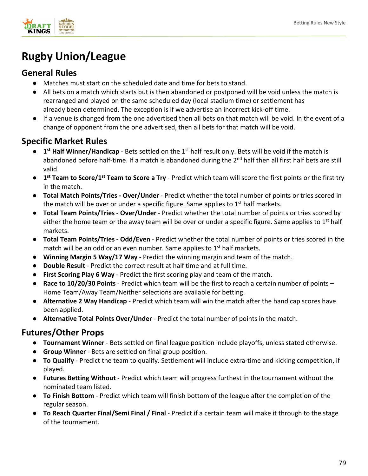

# **Rugby Union/League**

# **General Rules**

- Matches must start on the scheduled date and time for bets to stand.
- All bets on a match which starts but is then abandoned or postponed will be void unless the match is rearranged and played on the same scheduled day (local stadium time) or settlement has already been determined. The exception is if we advertise an incorrect kick-off time.
- If a venue is changed from the one advertised then all bets on that match will be void. In the event of a change of opponent from the one advertised, then all bets for that match will be void.

## **Specific Market Rules**

- **1<sup>st</sup> Half Winner/Handicap** Bets settled on the 1<sup>st</sup> half result only. Bets will be void if the match is abandoned before half-time. If a match is abandoned during the 2<sup>nd</sup> half then all first half bets are still valid.
- **1st Team to Score/1st Team to Score a Try** Predict which team will score the first points or the first try in the match.
- **Total Match Points/Tries - Over/Under** Predict whether the total number of points or tries scored in the match will be over or under a specific figure. Same applies to  $1<sup>st</sup>$  half markets.
- **Total Team Points/Tries - Over/Under**  Predict whether the total number of points or tries scored by either the home team or the away team will be over or under a specific figure. Same applies to  $1<sup>st</sup>$  half markets.
- **Total Team Points/Tries - Odd/Even** Predict whether the total number of points or tries scored in the match will be an odd or an even number. Same applies to  $1<sup>st</sup>$  half markets.
- **Winning Margin 5 Way/17 Way**  Predict the winning margin and team of the match.
- **Double Result**  Predict the correct result at half time and at full time.
- **First Scoring Play 6 Way** Predict the first scoring play and team of the match.
- **Race to 10/20/30 Points** Predict which team will be the first to reach a certain number of points Home Team/Away Team/Neither selections are available for betting.
- **Alternative 2 Way Handicap**  Predict which team will win the match after the handicap scores have been applied.
- **Alternative Total Points Over/Under** Predict the total number of points in the match.

## **Futures/Other Props**

- **Tournament Winner**  Bets settled on final league position include playoffs, unless stated otherwise.
- **Group Winner** Bets are settled on final group position.
- **To Qualify**  Predict the team to qualify. Settlement will include extra-time and kicking competition, if played.
- **Futures Betting Without** Predict which team will progress furthest in the tournament without the nominated team listed.
- **To Finish Bottom** Predict which team will finish bottom of the league after the completion of the regular season.
- **To Reach Quarter Final/Semi Final / Final**  Predict if a certain team will make it through to the stage of the tournament.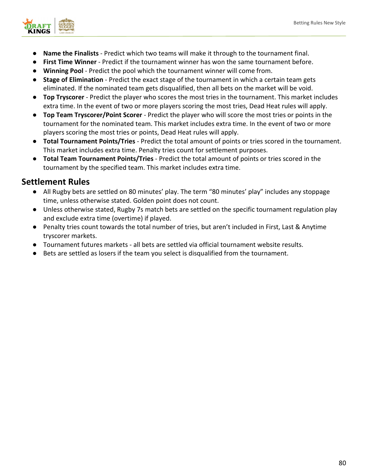

- **Name the Finalists** Predict which two teams will make it through to the tournament final.
- **First Time Winner** Predict if the tournament winner has won the same tournament before.
- **Winning Pool**  Predict the pool which the tournament winner will come from.
- **Stage of Elimination** Predict the exact stage of the tournament in which a certain team gets eliminated. If the nominated team gets disqualified, then all bets on the market will be void.
- **Top Tryscorer** Predict the player who scores the most tries in the tournament. This market includes extra time. In the event of two or more players scoring the most tries, Dead Heat rules will apply.
- **Top Team Tryscorer/Point Scorer**  Predict the player who will score the most tries or points in the tournament for the nominated team. This market includes extra time. In the event of two or more players scoring the most tries or points, Dead Heat rules will apply.
- **Total Tournament Points/Tries** Predict the total amount of points or tries scored in the tournament. This market includes extra time. Penalty tries count for settlement purposes.
- **Total Team Tournament Points/Tries** Predict the total amount of points or tries scored in the tournament by the specified team. This market includes extra time.

- All Rugby bets are settled on 80 minutes' play. The term "80 minutes' play" includes any stoppage time, unless otherwise stated. Golden point does not count.
- Unless otherwise stated, Rugby 7s match bets are settled on the specific tournament regulation play and exclude extra time (overtime) if played.
- Penalty tries count towards the total number of tries, but aren't included in First, Last & Anytime tryscorer markets.
- Tournament futures markets all bets are settled via official tournament website results.
- Bets are settled as losers if the team you select is disqualified from the tournament.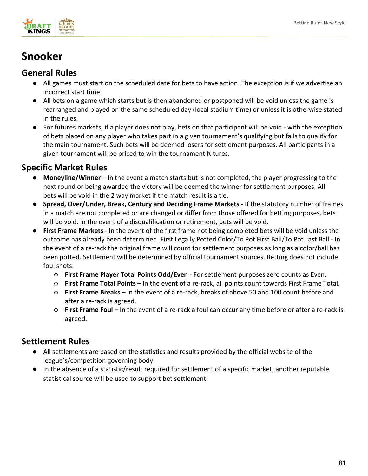

# **Snooker**

## **General Rules**

- All games must start on the scheduled date for bets to have action. The exception is if we advertise an incorrect start time.
- All bets on a game which starts but is then abandoned or postponed will be void unless the game is rearranged and played on the same scheduled day (local stadium time) or unless it is otherwise stated in the rules.
- For futures markets, if a player does not play, bets on that participant will be void with the exception of bets placed on any player who takes part in a given tournament's qualifying but fails to qualify for the main tournament. Such bets will be deemed losers for settlement purposes. All participants in a given tournament will be priced to win the tournament futures.

# **Specific Market Rules**

- **Moneyline/Winner** – In the event a match starts but is not completed, the player progressing to the next round or being awarded the victory will be deemed the winner for settlement purposes. All bets will be void in the 2 way market if the match result is a tie.
- **Spread, Over/Under, Break, Century and Deciding Frame Markets** If the statutory number of frames in a match are not completed or are changed or differ from those offered for betting purposes, bets will be void. In the event of a disqualification or retirement, bets will be void.
- **First Frame Markets**  In the event of the first frame not being completed bets will be void unless the outcome has already been determined. First Legally Potted Color/To Pot First Ball/To Pot Last Ball - In the event of a re-rack the original frame will count for settlement purposes as long as a color/ball has been potted. Settlement will be determined by official tournament sources. Betting does not include foul shots.
	- **First Frame Player Total Points Odd/Even** For settlement purposes zero counts as Even.
	- **First Frame Total Points**  In the event of a re-rack, all points count towards First Frame Total.
	- **First Frame Breaks** In the event of a re-rack, breaks of above 50 and 100 count before and after a re-rack is agreed.
	- **First Frame Foul –** In the event of a re-rack a foul can occur any time before or after a re-rack is agreed.

- All settlements are based on the statistics and results provided by the official website of the league's/competition governing body.
- In the absence of a statistic/result required for settlement of a specific market, another reputable statistical source will be used to support bet settlement.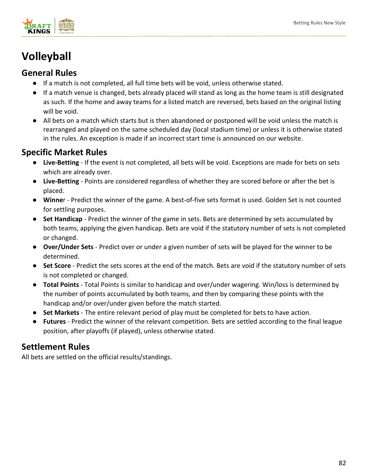

# **Volleyball**

## **General Rules**

- If a match is not completed, all full time bets will be void, unless otherwise stated.
- If a match venue is changed, bets already placed will stand as long as the home team is still designated as such. If the home and away teams for a listed match are reversed, bets based on the original listing will be void.
- All bets on a match which starts but is then abandoned or postponed will be void unless the match is rearranged and played on the same scheduled day (local stadium time) or unless it is otherwise stated in the rules. An exception is made if an incorrect start time is announced on our website.

## **Specific Market Rules**

- **Live-Betting**  If the event is not completed, all bets will be void. Exceptions are made for bets on sets which are already over.
- **Live-Betting** Points are considered regardless of whether they are scored before or after the bet is placed.
- **Winne**r Predict the winner of the game. A best-of-five sets format is used. Golden Set is not counted for settling purposes.
- **Set Handicap** Predict the winner of the game in sets. Bets are determined by sets accumulated by both teams, applying the given handicap. Bets are void if the statutory number of sets is not completed or changed.
- **Over/Under Sets**  Predict over or under a given number of sets will be played for the winner to be determined.
- **Set Score** Predict the sets scores at the end of the match. Bets are void if the statutory number of sets is not completed or changed.
- **Total Points**  Total Points is similar to handicap and over/under wagering. Win/loss is determined by the number of points accumulated by both teams, and then by comparing these points with the handicap and/or over/under given before the match started.
- **Set Markets** The entire relevant period of play must be completed for bets to have action.
- **Futures** Predict the winner of the relevant competition. Bets are settled according to the final league position, after playoffs (if played), unless otherwise stated.

# **Settlement Rules**

All bets are settled on the official results/standings.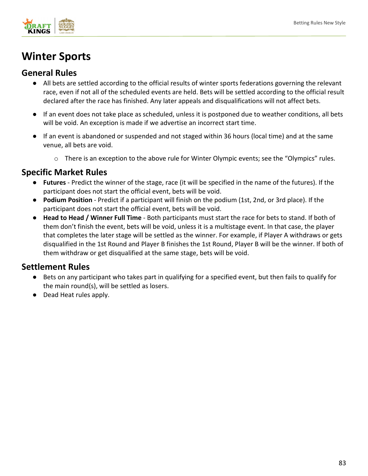

# **Winter Sports**

## **General Rules**

- All bets are settled according to the official results of winter sports federations governing the relevant race, even if not all of the scheduled events are held. Bets will be settled according to the official result declared after the race has finished. Any later appeals and disqualifications will not affect bets.
- If an event does not take place as scheduled, unless it is postponed due to weather conditions, all bets will be void. An exception is made if we advertise an incorrect start time.
- If an event is abandoned or suspended and not staged within 36 hours (local time) and at the same venue, all bets are void.
	- o There is an exception to the above rule for Winter Olympic events; see the "Olympics" rules.

## **Specific Market Rules**

- Futures Predict the winner of the stage, race (it will be specified in the name of the futures). If the participant does not start the official event, bets will be void.
- **Podium Position** Predict if a participant will finish on the podium (1st, 2nd, or 3rd place). If the participant does not start the official event, bets will be void.
- **Head to Head / Winner Full Time** Both participants must start the race for bets to stand. If both of them don't finish the event, bets will be void, unless it is a multistage event. In that case, the player that completes the later stage will be settled as the winner. For example, if Player A withdraws or gets disqualified in the 1st Round and Player B finishes the 1st Round, Player B will be the winner. If both of them withdraw or get disqualified at the same stage, bets will be void.

- Bets on any participant who takes part in qualifying for a specified event, but then fails to qualify for the main round(s), will be settled as losers.
- Dead Heat rules apply.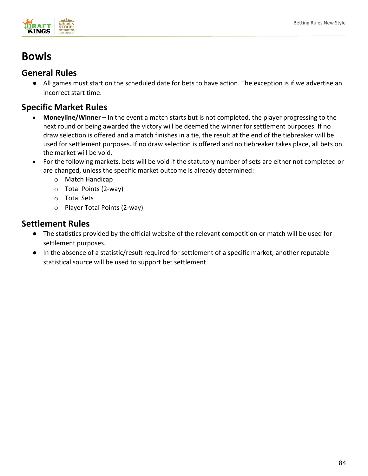

# **Bowls**

## **General Rules**

● All games must start on the scheduled date for bets to have action. The exception is if we advertise an incorrect start time.

## **Specific Market Rules**

- **Moneyline/Winner** In the event a match starts but is not completed, the player progressing to the next round or being awarded the victory will be deemed the winner for settlement purposes. If no draw selection is offered and a match finishes in a tie, the result at the end of the tiebreaker will be used for settlement purposes. If no draw selection is offered and no tiebreaker takes place, all bets on the market will be void.
- For the following markets, bets will be void if the statutory number of sets are either not completed or are changed, unless the specific market outcome is already determined:
	- o Match Handicap
	- o Total Points (2-way)
	- o Total Sets
	- o Player Total Points (2-way)

- The statistics provided by the official website of the relevant competition or match will be used for settlement purposes.
- In the absence of a statistic/result required for settlement of a specific market, another reputable statistical source will be used to support bet settlement.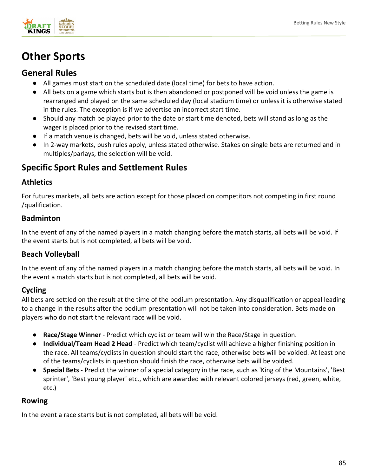

# **Other Sports**

## **General Rules**

- All games must start on the scheduled date (local time) for bets to have action.
- All bets on a game which starts but is then abandoned or postponed will be void unless the game is rearranged and played on the same scheduled day (local stadium time) or unless it is otherwise stated in the rules. The exception is if we advertise an incorrect start time.
- Should any match be played prior to the date or start time denoted, bets will stand as long as the wager is placed prior to the revised start time.
- If a match venue is changed, bets will be void, unless stated otherwise.
- In 2-way markets, push rules apply, unless stated otherwise. Stakes on single bets are returned and in multiples/parlays, the selection will be void.

# **Specific Sport Rules and Settlement Rules**

## **Athletics**

For futures markets, all bets are action except for those placed on competitors not competing in first round /qualification.

## **Badminton**

In the event of any of the named players in a match changing before the match starts, all bets will be void. If the event starts but is not completed, all bets will be void.

## **Beach Volleyball**

In the event of any of the named players in a match changing before the match starts, all bets will be void. In the event a match starts but is not completed, all bets will be void.

## **Cycling**

All bets are settled on the result at the time of the podium presentation. Any disqualification or appeal leading to a change in the results after the podium presentation will not be taken into consideration. Bets made on players who do not start the relevant race will be void.

- **Race/Stage Winner** Predict which cyclist or team will win the Race/Stage in question.
- **Individual/Team Head 2 Head** Predict which team/cyclist will achieve a higher finishing position in the race. All teams/cyclists in question should start the race, otherwise bets will be voided. At least one of the teams/cyclists in question should finish the race, otherwise bets will be voided.
- **Special Bets** Predict the winner of a special category in the race, such as 'King of the Mountains', 'Best sprinter', 'Best young player' etc., which are awarded with relevant colored jerseys (red, green, white, etc.)

## **Rowing**

In the event a race starts but is not completed, all bets will be void.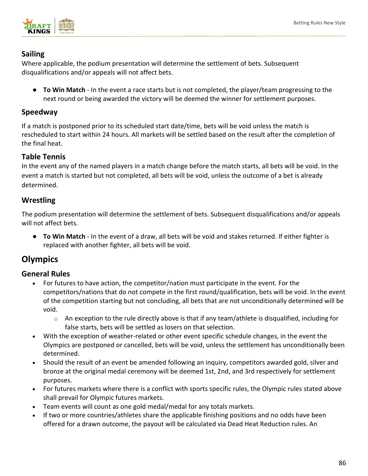

### **Sailing**

Where applicable, the podium presentation will determine the settlement of bets. Subsequent disqualifications and/or appeals will not affect bets.

● **To Win Match** - In the event a race starts but is not completed, the player/team progressing to the next round or being awarded the victory will be deemed the winner for settlement purposes.

### **Speedway**

If a match is postponed prior to its scheduled start date/time, bets will be void unless the match is rescheduled to start within 24 hours. All markets will be settled based on the result after the completion of the final heat.

## **Table Tennis**

In the event any of the named players in a match change before the match starts, all bets will be void. In the event a match is started but not completed, all bets will be void, unless the outcome of a bet is already determined.

## **Wrestling**

The podium presentation will determine the settlement of bets. Subsequent disqualifications and/or appeals will not affect bets.

● **To Win Match** - In the event of a draw, all bets will be void and stakes returned. If either fighter is replaced with another fighter, all bets will be void.

# **Olympics**

## **General Rules**

- For futures to have action, the competitor/nation must participate in the event. For the competitors/nations that do not compete in the first round/qualification, bets will be void. In the event of the competition starting but not concluding, all bets that are not unconditionally determined will be void.
	- $\circ$  An exception to the rule directly above is that if any team/athlete is disqualified, including for false starts, bets will be settled as losers on that selection.
- With the exception of weather-related or other event specific schedule changes, in the event the Olympics are postponed or cancelled, bets will be void, unless the settlement has unconditionally been determined.
- Should the result of an event be amended following an inquiry, competitors awarded gold, silver and bronze at the original medal ceremony will be deemed 1st, 2nd, and 3rd respectively for settlement purposes.
- For futures markets where there is a conflict with sports specific rules, the Olympic rules stated above shall prevail for Olympic futures markets.
- Team events will count as one gold medal/medal for any totals markets.
- If two or more countries/athletes share the applicable finishing positions and no odds have been offered for a drawn outcome, the payout will be calculated via Dead Heat Reduction rules. An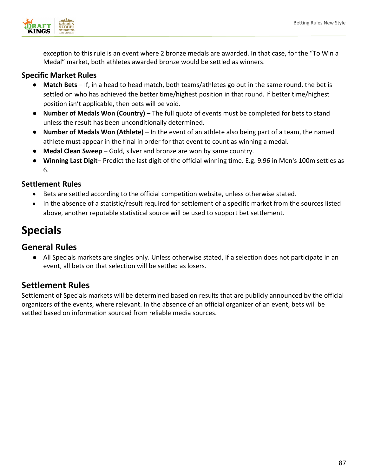

exception to this rule is an event where 2 bronze medals are awarded. In that case, for the "To Win a Medal" market, both athletes awarded bronze would be settled as winners.

### **Specific Market Rules**

- **Match Bets** If, in a head to head match, both teams/athletes go out in the same round, the bet is settled on who has achieved the better time/highest position in that round. If better time/highest position isn't applicable, then bets will be void.
- **Number of Medals Won (Country)** The full quota of events must be completed for bets to stand unless the result has been unconditionally determined.
- **Number of Medals Won (Athlete)**  In the event of an athlete also being part of a team, the named athlete must appear in the final in order for that event to count as winning a medal.
- **Medal Clean Sweep** Gold, silver and bronze are won by same country.
- **Winning Last Digit** Predict the last digit of the official winning time. E.g. 9.96 in Men's 100m settles as 6.

## **Settlement Rules**

- Bets are settled according to the official competition website, unless otherwise stated.
- In the absence of a statistic/result required for settlement of a specific market from the sources listed above, another reputable statistical source will be used to support bet settlement.

# **Specials**

## **General Rules**

● All Specials markets are singles only. Unless otherwise stated, if a selection does not participate in an event, all bets on that selection will be settled as losers.

## **Settlement Rules**

Settlement of Specials markets will be determined based on results that are publicly announced by the official organizers of the events, where relevant. In the absence of an official organizer of an event, bets will be settled based on information sourced from reliable media sources.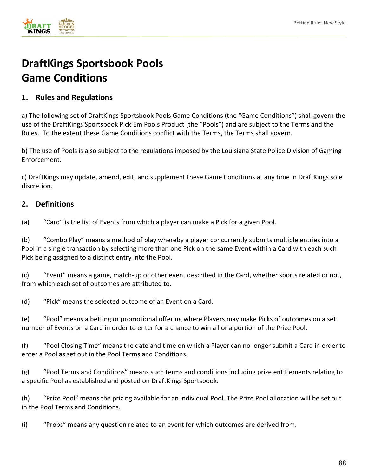

# **DraftKings Sportsbook Pools Game Conditions**

## **1. Rules and Regulations**

a) The following set of DraftKings Sportsbook Pools Game Conditions (the "Game Conditions") shall govern the use of the DraftKings Sportsbook Pick'Em Pools Product (the "Pools") and are subject to the Terms and the Rules. To the extent these Game Conditions conflict with the Terms, the Terms shall govern.

b) The use of Pools is also subject to the regulations imposed by the Louisiana State Police Division of Gaming Enforcement.

c) DraftKings may update, amend, edit, and supplement these Game Conditions at any time in DraftKings sole discretion.

## **2. Definitions**

(a) "Card" is the list of Events from which a player can make a Pick for a given Pool.

(b) "Combo Play" means a method of play whereby a player concurrently submits multiple entries into a Pool in a single transaction by selecting more than one Pick on the same Event within a Card with each such Pick being assigned to a distinct entry into the Pool.

(c) "Event" means a game, match-up or other event described in the Card, whether sports related or not, from which each set of outcomes are attributed to.

(d) "Pick" means the selected outcome of an Event on a Card.

(e) "Pool" means a betting or promotional offering where Players may make Picks of outcomes on a set number of Events on a Card in order to enter for a chance to win all or a portion of the Prize Pool.

(f) "Pool Closing Time" means the date and time on which a Player can no longer submit a Card in order to enter a Pool as set out in the Pool Terms and Conditions.

(g) "Pool Terms and Conditions" means such terms and conditions including prize entitlements relating to a specific Pool as established and posted on DraftKings Sportsbook.

(h) "Prize Pool" means the prizing available for an individual Pool. The Prize Pool allocation will be set out in the Pool Terms and Conditions.

(i) "Props" means any question related to an event for which outcomes are derived from.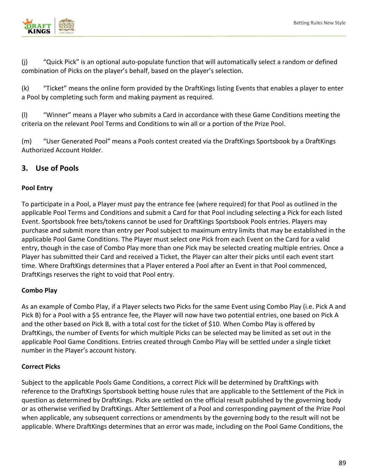

(j) "Quick Pick" is an optional auto-populate function that will automatically select a random or defined combination of Picks on the player's behalf, based on the player's selection.

(k) "Ticket" means the online form provided by the DraftKings listing Events that enables a player to enter a Pool by completing such form and making payment as required.

(l) "Winner" means a Player who submits a Card in accordance with these Game Conditions meeting the criteria on the relevant Pool Terms and Conditions to win all or a portion of the Prize Pool.

(m) "User Generated Pool" means a Pools contest created via the DraftKings Sportsbook by a DraftKings Authorized Account Holder.

## **3. Use of Pools**

### **Pool Entry**

To participate in a Pool, a Player must pay the entrance fee (where required) for that Pool as outlined in the applicable Pool Terms and Conditions and submit a Card for that Pool including selecting a Pick for each listed Event. Sportsbook free bets/tokens cannot be used for DraftKings Sportsbook Pools entries. Players may purchase and submit more than entry per Pool subject to maximum entry limits that may be established in the applicable Pool Game Conditions. The Player must select one Pick from each Event on the Card for a valid entry, though in the case of Combo Play more than one Pick may be selected creating multiple entries. Once a Player has submitted their Card and received a Ticket, the Player can alter their picks until each event start time. Where DraftKings determines that a Player entered a Pool after an Event in that Pool commenced, DraftKings reserves the right to void that Pool entry.

### **Combo Play**

As an example of Combo Play, if a Player selects two Picks for the same Event using Combo Play (i.e. Pick A and Pick B) for a Pool with a \$5 entrance fee, the Player will now have two potential entries, one based on Pick A and the other based on Pick B, with a total cost for the ticket of \$10. When Combo Play is offered by DraftKings, the number of Events for which multiple Picks can be selected may be limited as set out in the applicable Pool Game Conditions. Entries created through Combo Play will be settled under a single ticket number in the Player's account history.

### **Correct Picks**

Subject to the applicable Pools Game Conditions, a correct Pick will be determined by DraftKings with reference to the DraftKings Sportsbook betting house rules that are applicable to the Settlement of the Pick in question as determined by DraftKings. Picks are settled on the official result published by the governing body or as otherwise verified by DraftKings. After Settlement of a Pool and corresponding payment of the Prize Pool when applicable, any subsequent corrections or amendments by the governing body to the result will not be applicable. Where DraftKings determines that an error was made, including on the Pool Game Conditions, the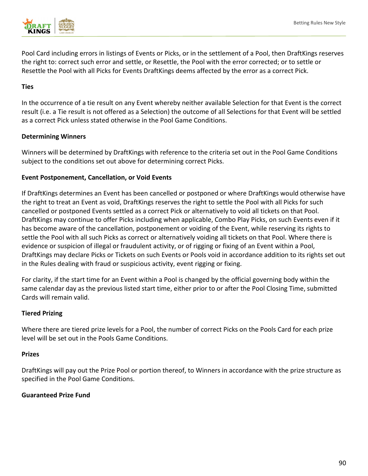

Pool Card including errors in listings of Events or Picks, or in the settlement of a Pool, then DraftKings reserves the right to: correct such error and settle, or Resettle, the Pool with the error corrected; or to settle or Resettle the Pool with all Picks for Events DraftKings deems affected by the error as a correct Pick.

#### **Ties**

In the occurrence of a tie result on any Event whereby neither available Selection for that Event is the correct result (i.e. a Tie result is not offered as a Selection) the outcome of all Selections for that Event will be settled as a correct Pick unless stated otherwise in the Pool Game Conditions.

### **Determining Winners**

Winners will be determined by DraftKings with reference to the criteria set out in the Pool Game Conditions subject to the conditions set out above for determining correct Picks.

### **Event Postponement, Cancellation, or Void Events**

If DraftKings determines an Event has been cancelled or postponed or where DraftKings would otherwise have the right to treat an Event as void, DraftKings reserves the right to settle the Pool with all Picks for such cancelled or postponed Events settled as a correct Pick or alternatively to void all tickets on that Pool. DraftKings may continue to offer Picks including when applicable, Combo Play Picks, on such Events even if it has become aware of the cancellation, postponement or voiding of the Event, while reserving its rights to settle the Pool with all such Picks as correct or alternatively voiding all tickets on that Pool. Where there is evidence or suspicion of illegal or fraudulent activity, or of rigging or fixing of an Event within a Pool, DraftKings may declare Picks or Tickets on such Events or Pools void in accordance addition to its rights set out in the Rules dealing with fraud or suspicious activity, event rigging or fixing.

For clarity, if the start time for an Event within a Pool is changed by the official governing body within the same calendar day as the previous listed start time, either prior to or after the Pool Closing Time, submitted Cards will remain valid.

### **Tiered Prizing**

Where there are tiered prize levels for a Pool, the number of correct Picks on the Pools Card for each prize level will be set out in the Pools Game Conditions.

### **Prizes**

DraftKings will pay out the Prize Pool or portion thereof, to Winners in accordance with the prize structure as specified in the Pool Game Conditions.

### **Guaranteed Prize Fund**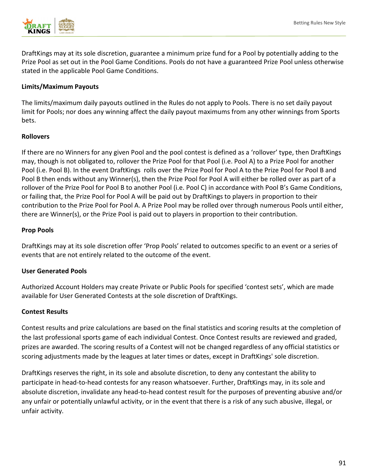

DraftKings may at its sole discretion, guarantee a minimum prize fund for a Pool by potentially adding to the Prize Pool as set out in the Pool Game Conditions. Pools do not have a guaranteed Prize Pool unless otherwise stated in the applicable Pool Game Conditions.

#### **Limits/Maximum Payouts**

The limits/maximum daily payouts outlined in the Rules do not apply to Pools. There is no set daily payout limit for Pools; nor does any winning affect the daily payout maximums from any other winnings from Sports bets.

#### **Rollovers**

If there are no Winners for any given Pool and the pool contest is defined as a 'rollover' type, then DraftKings may, though is not obligated to, rollover the Prize Pool for that Pool (i.e. Pool A) to a Prize Pool for another Pool (i.e. Pool B). In the event DraftKings rolls over the Prize Pool for Pool A to the Prize Pool for Pool B and Pool B then ends without any Winner(s), then the Prize Pool for Pool A will either be rolled over as part of a rollover of the Prize Pool for Pool B to another Pool (i.e. Pool C) in accordance with Pool B's Game Conditions, or failing that, the Prize Pool for Pool A will be paid out by DraftKings to players in proportion to their contribution to the Prize Pool for Pool A. A Prize Pool may be rolled over through numerous Pools until either, there are Winner(s), or the Prize Pool is paid out to players in proportion to their contribution.

#### **Prop Pools**

DraftKings may at its sole discretion offer 'Prop Pools' related to outcomes specific to an event or a series of events that are not entirely related to the outcome of the event.

#### **User Generated Pools**

Authorized Account Holders may create Private or Public Pools for specified 'contest sets', which are made available for User Generated Contests at the sole discretion of DraftKings.

#### **Contest Results**

Contest results and prize calculations are based on the final statistics and scoring results at the completion of the last professional sports game of each individual Contest. Once Contest results are reviewed and graded, prizes are awarded. The scoring results of a Contest will not be changed regardless of any official statistics or scoring adjustments made by the leagues at later times or dates, except in DraftKings' sole discretion.

DraftKings reserves the right, in its sole and absolute discretion, to deny any contestant the ability to participate in head-to-head contests for any reason whatsoever. Further, DraftKings may, in its sole and absolute discretion, invalidate any head-to-head contest result for the purposes of preventing abusive and/or any unfair or potentially unlawful activity, or in the event that there is a risk of any such abusive, illegal, or unfair activity.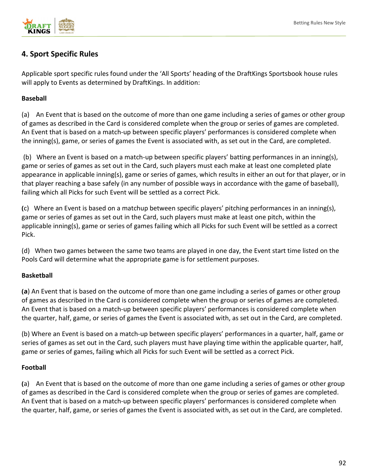

## **4. Sport Specific Rules**

Applicable sport specific rules found under the 'All Sports' heading of the DraftKings Sportsbook house rules will apply to Events as determined by DraftKings. In addition:

### **Baseball**

(a) An Event that is based on the outcome of more than one game including a series of games or other group of games as described in the Card is considered complete when the group or series of games are completed. An Event that is based on a match-up between specific players' performances is considered complete when the inning(s), game, or series of games the Event is associated with, as set out in the Card, are completed.

(b) Where an Event is based on a match-up between specific players' batting performances in an inning(s), game or series of games as set out in the Card, such players must each make at least one completed plate appearance in applicable inning(s), game or series of games, which results in either an out for that player, or in that player reaching a base safely (in any number of possible ways in accordance with the game of baseball), failing which all Picks for such Event will be settled as a correct Pick.

**(**c) Where an Event is based on a matchup between specific players' pitching performances in an inning(s), game or series of games as set out in the Card, such players must make at least one pitch, within the applicable inning(s), game or series of games failing which all Picks for such Event will be settled as a correct Pick.

(d) When two games between the same two teams are played in one day, the Event start time listed on the Pools Card will determine what the appropriate game is for settlement purposes.

### **Basketball**

**(a**) An Event that is based on the outcome of more than one game including a series of games or other group of games as described in the Card is considered complete when the group or series of games are completed. An Event that is based on a match-up between specific players' performances is considered complete when the quarter, half, game, or series of games the Event is associated with, as set out in the Card, are completed.

(b) Where an Event is based on a match-up between specific players' performances in a quarter, half, game or series of games as set out in the Card, such players must have playing time within the applicable quarter, half, game or series of games, failing which all Picks for such Event will be settled as a correct Pick.

### **Football**

**(**a) An Event that is based on the outcome of more than one game including a series of games or other group of games as described in the Card is considered complete when the group or series of games are completed. An Event that is based on a match-up between specific players' performances is considered complete when the quarter, half, game, or series of games the Event is associated with, as set out in the Card, are completed.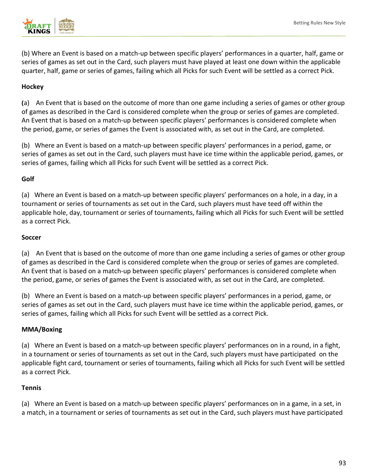

(b) Where an Event is based on a match-up between specific players' performances in a quarter, half, game or series of games as set out in the Card, such players must have played at least one down within the applicable quarter, half, game or series of games, failing which all Picks for such Event will be settled as a correct Pick.

### **Hockey**

**(**a) An Event that is based on the outcome of more than one game including a series of games or other group of games as described in the Card is considered complete when the group or series of games are completed. An Event that is based on a match-up between specific players' performances is considered complete when the period, game, or series of games the Event is associated with, as set out in the Card, are completed.

(b) Where an Event is based on a match-up between specific players' performances in a period, game, or series of games as set out in the Card, such players must have ice time within the applicable period, games, or series of games, failing which all Picks for such Event will be settled as a correct Pick.

#### **Golf**

(a) Where an Event is based on a match-up between specific players' performances on a hole, in a day, in a tournament or series of tournaments as set out in the Card, such players must have teed off within the applicable hole, day, tournament or series of tournaments, failing which all Picks for such Event will be settled as a correct Pick.

#### **Soccer**

(a) An Event that is based on the outcome of more than one game including a series of games or other group of games as described in the Card is considered complete when the group or series of games are completed. An Event that is based on a match-up between specific players' performances is considered complete when the period, game, or series of games the Event is associated with, as set out in the Card, are completed.

(b) Where an Event is based on a match-up between specific players' performances in a period, game, or series of games as set out in the Card, such players must have ice time within the applicable period, games, or series of games, failing which all Picks for such Event will be settled as a correct Pick.

#### **MMA/Boxing**

(a) Where an Event is based on a match-up between specific players' performances on in a round, in a fight, in a tournament or series of tournaments as set out in the Card, such players must have participated on the applicable fight card, tournament or series of tournaments, failing which all Picks for such Event will be settled as a correct Pick.

#### **Tennis**

(a) Where an Event is based on a match-up between specific players' performances on in a game, in a set, in a match, in a tournament or series of tournaments as set out in the Card, such players must have participated